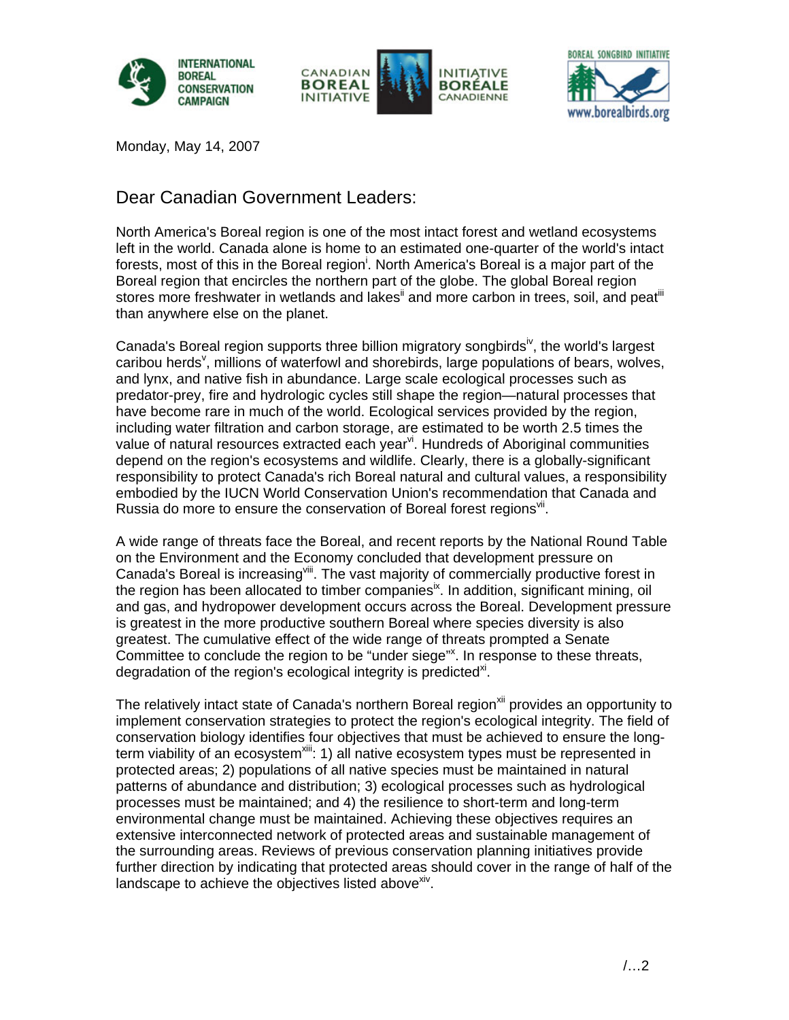





Monday, May 14, 2007

# Dear Canadian Government Leaders:

North America's Boreal region is one of the most intact forest and wetland ecosystems left in the world. Canada alone is home to an estimated one-quarter of the world's intact forests, most of this in the Boreal region<sup>i</sup>. North America's Boreal is a major part of the Boreal region that encircles the northern part of the globe. The global Boreal region stores more freshwater in wetlands and lakes<sup>ii</sup> and more carbon in trees, soil, and peat<sup>iii</sup> than anywhere else on the planet.

Canada's Boreal region supports three billion migratory songbirds<sup>iv</sup>, the world's largest caribou herds<sup>v</sup>, millions of waterfowl and shorebirds, large populations of bears, wolves, and lynx, and native fish in abundance. Large scale ecological processes such as predator-prey, fire and hydrologic cycles still shape the region—natural processes that have become rare in much of the world. Ecological services provided by the region, including water filtration and carbon storage, are estimated to be worth 2.5 times the value of natural resources extracted each year<sup>vi</sup>. Hundreds of Aboriginal communities depend on the region's ecosystems and wildlife. Clearly, there is a globally-significant responsibility to protect Canada's rich Boreal natural and cultural values, a responsibility embodied by the IUCN World Conservation Union's recommendation that Canada and Russia do more to ensure the conservation of Boreal forest regions<sup>vii</sup>.

A wide range of threats face the Boreal, and recent reports by the National Round Table on the Environment and the Economy concluded that development pressure on Canada's Boreal is increasing<sup>viii</sup>. The vast majority of commercially productive forest in the region has been allocated to timber companies<sup>ix</sup>. In addition, significant mining, oil and gas, and hydropower development occurs across the Boreal. Development pressure is greatest in the more productive southern Boreal where species diversity is also greatest. The cumulative effect of the wide range of threats prompted a Senate Committee to conclude the region to be "under siege"<sup>x</sup>. In response to these threats, degradation of the region's ecological integrity is predicted<sup>xi</sup>.

The relatively intact state of Canada's northern Boreal region<sup>xii</sup> provides an opportunity to implement conservation strategies to protect the region's ecological integrity. The field of conservation biology identifies four objectives that must be achieved to ensure the longterm viability of an ecosystem<sup>xiii</sup>: 1) all native ecosystem types must be represented in protected areas; 2) populations of all native species must be maintained in natural patterns of abundance and distribution; 3) ecological processes such as hydrological processes must be maintained; and 4) the resilience to short-term and long-term environmental change must be maintained. Achieving these objectives requires an extensive interconnected network of protected areas and sustainable management of the surrounding areas. Reviews of previous conservation planning initiatives provide further direction by indicating that protected areas should cover in the range of half of the landscape to achieve the objectives listed above<sup>xiv</sup>.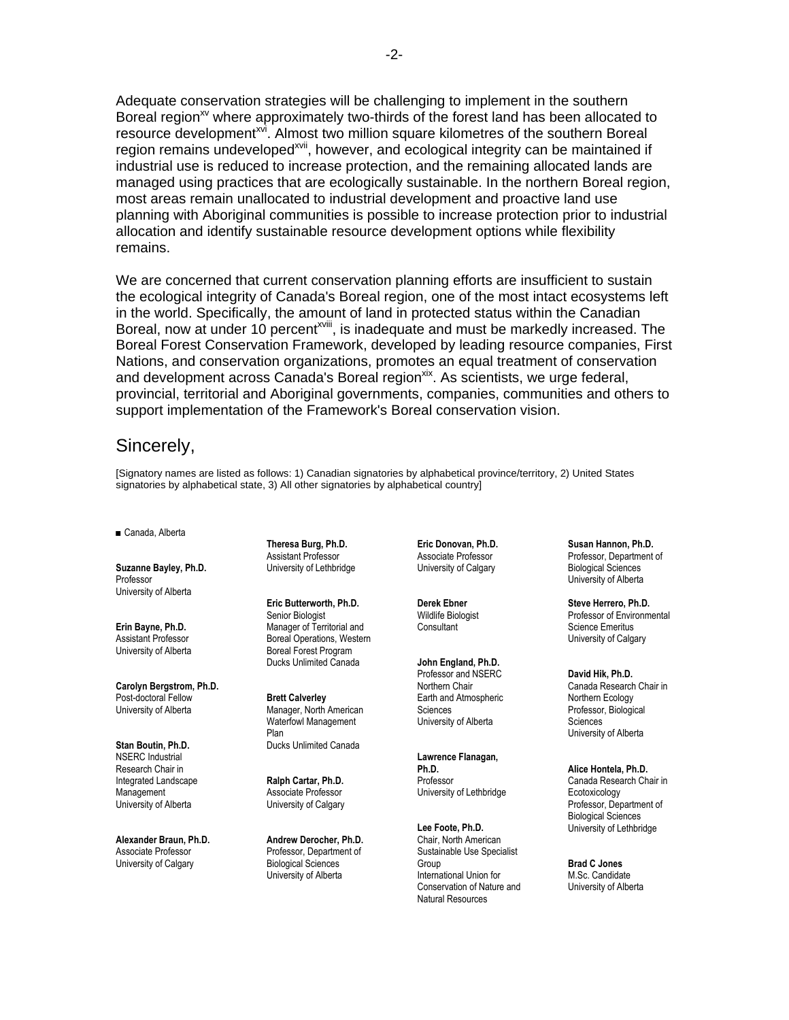Adequate conservation strategies will be challenging to implement in the southern Boreal region<sup>xy</sup> where approximately two-thirds of the forest land has been allocated to resource development<sup>xvi</sup>. Almost two million square kilometres of the southern Boreal region remains undeveloped<sup>xvii</sup>, however, and ecological integrity can be maintained if industrial use is reduced to increase protection, and the remaining allocated lands are managed using practices that are ecologically sustainable. In the northern Boreal region, most areas remain unallocated to industrial development and proactive land use planning with Aboriginal communities is possible to increase protection prior to industrial allocation and identify sustainable resource development options while flexibility remains.

We are concerned that current conservation planning efforts are insufficient to sustain the ecological integrity of Canada's Boreal region, one of the most intact ecosystems left in the world. Specifically, the amount of land in protected status within the Canadian Boreal, now at under 10 percent<sup>xviii</sup>, is inadequate and must be markedly increased. The Boreal Forest Conservation Framework, developed by leading resource companies, First Nations, and conservation organizations, promotes an equal treatment of conservation and development across Canada's Boreal region<sup>xix</sup>. As scientists, we urge federal, provincial, territorial and Aboriginal governments, companies, communities and others to support implementation of the Framework's Boreal conservation vision.

## Sincerely,

[Signatory names are listed as follows: 1) Canadian signatories by alphabetical province/territory, 2) United States signatories by alphabetical state, 3) All other signatories by alphabetical country]

■ Canada, Alberta

**Suzanne Bayley, Ph.D.** Professor University of Alberta

**Erin Bayne, Ph.D.** Assistant Professor University of Alberta

**Carolyn Bergstrom, Ph.D.** Post-doctoral Fellow University of Alberta

**Stan Boutin, Ph.D.** NSERC Industrial Research Chair in Integrated Landscape **Management** University of Alberta

**Alexander Braun, Ph.D.** Associate Professor University of Calgary

**Theresa Burg, Ph.D.** Assistant Professor University of Lethbridge

**Eric Butterworth, Ph.D.** Senior Biologist Manager of Territorial and Boreal Operations, Western Boreal Forest Program Ducks Unlimited Canada

**Brett Calverley** Manager, North American Waterfowl Management Plan Ducks Unlimited Canada

**Ralph Cartar, Ph.D.** Associate Professor University of Calgary

**Andrew Derocher, Ph.D.** Professor, Department of Biological Sciences University of Alberta

**Eric Donovan, Ph.D.** Associate Professor University of Calgary

**Derek Ebner** Wildlife Biologist **Consultant** 

**John England, Ph.D.** Professor and NSERC Northern Chair Earth and Atmospheric Sciences University of Alberta

**Lawrence Flanagan, Ph.D.** Professor University of Lethbridge

**Lee Foote, Ph.D.** Chair, North American Sustainable Use Specialist Group International Union for Conservation of Nature and Natural Resources

**Susan Hannon, Ph.D.** Professor, Department of Biological Sciences University of Alberta

**Steve Herrero, Ph.D.** Professor of Environmental Science Emeritus University of Calgary

**David Hik, Ph.D.** Canada Research Chair in Northern Ecology Professor, Biological Sciences University of Alberta

**Alice Hontela, Ph.D.** Canada Research Chair in Ecotoxicology Professor, Department of Biological Sciences University of Lethbridge

**Brad C Jones** M.Sc. Candidate University of Alberta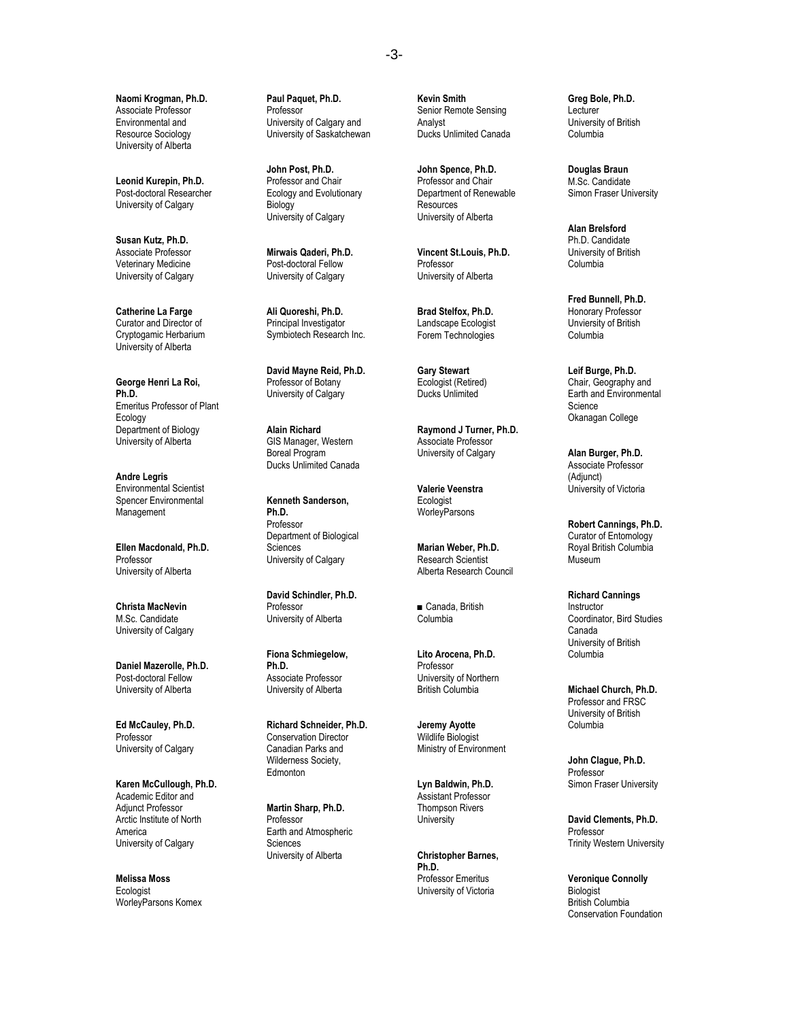**Naomi Krogman, Ph.D.** Associate Professor Environmental and Resource Sociology University of Alberta

**Leonid Kurepin, Ph.D.** Post-doctoral Researcher University of Calgary

**Susan Kutz, Ph.D.** Associate Professor Veterinary Medicine University of Calgary

**Catherine La Farge** Curator and Director of Cryptogamic Herbarium University of Alberta

**George Henri La Roi, Ph.D.** Emeritus Professor of Plant Ecology Department of Biology University of Alberta

**Andre Legris** Environmental Scientist Spencer Environmental **Management** 

**Ellen Macdonald, Ph.D.** Professor University of Alberta

**Christa MacNevin** M.Sc. Candidate University of Calgary

**Daniel Mazerolle, Ph.D.** Post-doctoral Fellow University of Alberta

**Ed McCauley, Ph.D.** Professor University of Calgary

**Karen McCullough, Ph.D.** Academic Editor and Adjunct Professor Arctic Institute of North America University of Calgary

**Melissa Moss Ecologist** WorleyParsons Komex **Paul Paquet, Ph.D.** Professor University of Calgary and University of Saskatchewan

**John Post, Ph.D.** Professor and Chair Ecology and Evolutionary Biology University of Calgary

**Mirwais Qaderi, Ph.D.** Post-doctoral Fellow University of Calgary

**Ali Quoreshi, Ph.D.** Principal Investigator Symbiotech Research Inc.

**David Mayne Reid, Ph.D.** Professor of Botany University of Calgary

**Alain Richard** GIS Manager, Western Boreal Program Ducks Unlimited Canada

**Kenneth Sanderson, Ph.D.** Professor Department of Biological Sciences University of Calgary

**David Schindler, Ph.D.** Professor University of Alberta

**Fiona Schmiegelow, Ph.D.** Associate Professor University of Alberta

**Richard Schneider, Ph.D.** Conservation Director Canadian Parks and Wilderness Society, **Edmonton** 

**Martin Sharp, Ph.D.** Professor Earth and Atmospheric Sciences University of Alberta

**Kevin Smith** Senior Remote Sensing Analyst Ducks Unlimited Canada

**John Spence, Ph.D.** Professor and Chair Department of Renewable Resources University of Alberta

**Vincent St.Louis, Ph.D. Professor** University of Alberta

**Brad Stelfox, Ph.D.** Landscape Ecologist Forem Technologies

**Gary Stewart** Ecologist (Retired) Ducks Unlimited

**Raymond J Turner, Ph.D.** Associate Professor University of Calgary

**Valerie Veenstra Ecologist WorleyParsons** 

**Marian Weber, Ph.D.** Research Scientist Alberta Research Council

■ Canada, British Columbia

**Lito Arocena, Ph.D.** Professor University of Northern British Columbia

**Jeremy Ayotte** Wildlife Biologist Ministry of Environment

**Lyn Baldwin, Ph.D.** Assistant Professor Thompson Rivers **University** 

**Christopher Barnes, Ph.D.** Professor Emeritus University of Victoria

**Greg Bole, Ph.D.** Lecturer University of British Columbia

**Douglas Braun** M.Sc. Candidate Simon Fraser University

**Alan Brelsford** Ph.D. Candidate University of British Columbia

**Fred Bunnell, Ph.D.** Honorary Professor Unviersity of British Columbia

**Leif Burge, Ph.D.** Chair, Geography and Earth and Environmental Science Okanagan College

**Alan Burger, Ph.D.** Associate Professor (Adjunct) University of Victoria

**Robert Cannings, Ph.D.** Curator of Entomology Royal British Columbia Museum

**Richard Cannings** Instructor Coordinator, Bird Studies Canada University of British Columbia

**Michael Church, Ph.D.** Professor and FRSC University of British Columbia

**John Clague, Ph.D. Professor** Simon Fraser University

**David Clements, Ph.D.** Professor Trinity Western University

**Veronique Connolly Biologist** British Columbia Conservation Foundation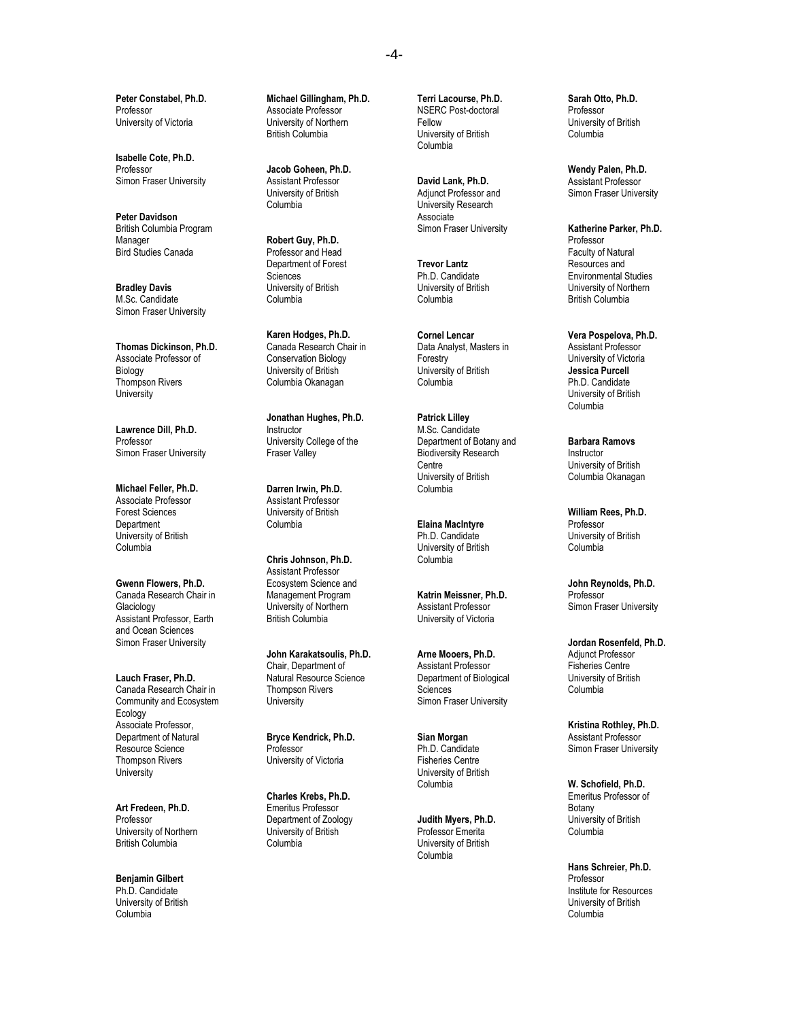**Peter Constabel, Ph.D.** Professor University of Victoria

**Isabelle Cote, Ph.D.** Professor Simon Fraser University

**Peter Davidson** British Columbia Program Manager Bird Studies Canada

**Bradley Davis** M.Sc. Candidate Simon Fraser University

**Thomas Dickinson, Ph.D.** Associate Professor of Biology Thompson Rivers **University** 

**Lawrence Dill, Ph.D.** Professor Simon Fraser University

**Michael Feller, Ph.D.** Associate Professor Forest Sciences Department University of British Columbia

**Gwenn Flowers, Ph.D.** Canada Research Chair in **Glaciology** Assistant Professor, Earth and Ocean Sciences Simon Fraser University

**Lauch Fraser, Ph.D.** Canada Research Chair in Community and Ecosystem Ecology Associate Professor, Department of Natural Resource Science Thompson Rivers University

**Art Fredeen, Ph.D.** Professor University of Northern British Columbia

**Benjamin Gilbert** Ph.D. Candidate University of British Columbia

**Michael Gillingham, Ph.D.** Associate Professor University of Northern British Columbia

**Jacob Goheen, Ph.D.** Assistant Professor University of British Columbia

**Robert Guy, Ph.D.** Professor and Head Department of Forest **Sciences** University of British Columbia

**Karen Hodges, Ph.D.** Canada Research Chair in Conservation Biology University of British Columbia Okanagan

**Jonathan Hughes, Ph.D.** Instructor University College of the Fraser Valley

**Darren Irwin, Ph.D.** Assistant Professor University of British Columbia

**Chris Johnson, Ph.D.** Assistant Professor Ecosystem Science and Management Program University of Northern British Columbia

**John Karakatsoulis, Ph.D.** Chair, Department of Natural Resource Science Thompson Rivers **University** 

**Bryce Kendrick, Ph.D.** Professor University of Victoria

**Charles Krebs, Ph.D.** Emeritus Professor Department of Zoology University of British Columbia

**Terri Lacourse, Ph.D.** NSERC Post-doctoral Fellow University of British Columbia

**David Lank, Ph.D.** Adjunct Professor and University Research Associate Simon Fraser University

**Trevor Lantz** Ph.D. Candidate University of British Columbia

**Cornel Lencar** Data Analyst, Masters in Forestry University of British Columbia

**Patrick Lilley** M.Sc. Candidate Department of Botany and Biodiversity Research **Centre** University of British Columbia

**Elaina MacIntyre** Ph.D. Candidate University of British Columbia

**Katrin Meissner, Ph.D.** Assistant Professor University of Victoria

**Arne Mooers, Ph.D.** Assistant Professor Department of Biological Sciences Simon Fraser University

**Sian Morgan** Ph.D. Candidate Fisheries Centre University of British Columbia

**Judith Myers, Ph.D.** Professor Emerita University of British Columbia

**Sarah Otto, Ph.D.** Professor University of British Columbia

**Wendy Palen, Ph.D.** Assistant Professor Simon Fraser University

**Katherine Parker, Ph.D.** Professor Faculty of Natural Resources and Environmental Studies University of Northern British Columbia

**Vera Pospelova, Ph.D.** Assistant Professor University of Victoria **Jessica Purcell** Ph.D. Candidate University of British Columbia

**Barbara Ramovs** Instructor University of British Columbia Okanagan

**William Rees, Ph.D.** Professor University of British Columbia

**John Reynolds, Ph.D.** Professor Simon Fraser University

**Jordan Rosenfeld, Ph.D.** Adjunct Professor Fisheries Centre University of British Columbia

**Kristina Rothley, Ph.D.** Assistant Professor Simon Fraser University

**W. Schofield, Ph.D.** Emeritus Professor of Botany University of British Columbia

**Hans Schreier, Ph.D.** Professor Institute for Resources University of British Columbia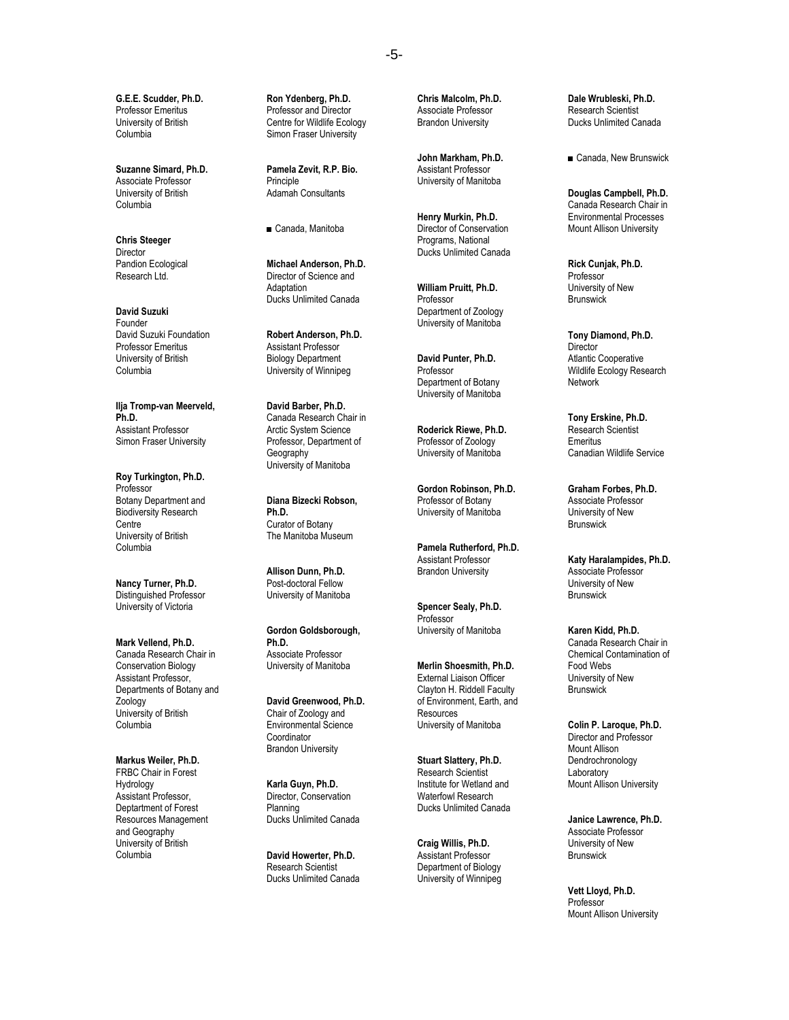**G.E.E. Scudder, Ph.D.** Professor Emeritus University of British Columbia

**Suzanne Simard, Ph.D.** Associate Professor University of British Columbia

**Chris Steeger Director** Pandion Ecological Research Ltd.

**David Suzuki** Founder David Suzuki Foundation Professor Emeritus University of British Columbia

**Ilja Tromp-van Meerveld, Ph.D.** Assistant Professor Simon Fraser University

**Roy Turkington, Ph.D.** Professor Botany Department and Biodiversity Research Centre University of British Columbia

**Nancy Turner, Ph.D.** Distinguished Professor University of Victoria

**Mark Vellend, Ph.D.** Canada Research Chair in Conservation Biology Assistant Professor, Departments of Botany and Zoology University of British Columbia

**Markus Weiler, Ph.D.** FRBC Chair in Forest Hydrology Assistant Professor, Deptartment of Forest Resources Management and Geography University of British Columbia

**Ron Ydenberg, Ph.D.** Professor and Director Centre for Wildlife Ecology Simon Fraser University

**Pamela Zevit, R.P. Bio.** Principle Adamah Consultants

■ Canada, Manitoba

**Michael Anderson, Ph.D.** Director of Science and **Adaptation** Ducks Unlimited Canada

**Robert Anderson, Ph.D.** Assistant Professor Biology Department University of Winnipeg

**David Barber, Ph.D.** Canada Research Chair in Arctic System Science Professor, Department of **Geography** University of Manitoba

**Diana Bizecki Robson, Ph.D.** Curator of Botany The Manitoba Museum

**Allison Dunn, Ph.D.** Post-doctoral Fellow University of Manitoba

**Gordon Goldsborough, Ph.D.** Associate Professor University of Manitoba

**David Greenwood, Ph.D.** Chair of Zoology and Environmental Science Coordinator Brandon University

**Karla Guyn, Ph.D.** Director, Conservation Planning Ducks Unlimited Canada

**David Howerter, Ph.D.** Research Scientist Ducks Unlimited Canada **Chris Malcolm, Ph.D.** Associate Professor Brandon University

**John Markham, Ph.D.** Assistant Professor University of Manitoba

**Henry Murkin, Ph.D.** Director of Conservation Programs, National Ducks Unlimited Canada

**William Pruitt, Ph.D.** Professor Department of Zoology University of Manitoba

**David Punter, Ph.D.** Professor Department of Botany University of Manitoba

**Roderick Riewe, Ph.D.** Professor of Zoology University of Manitoba

**Gordon Robinson, Ph.D.** Professor of Botany University of Manitoba

**Pamela Rutherford, Ph.D.** Assistant Professor Brandon University

**Spencer Sealy, Ph.D.** Professor University of Manitoba

**Merlin Shoesmith, Ph.D.** External Liaison Officer Clayton H. Riddell Faculty of Environment, Earth, and **Resources** University of Manitoba

**Stuart Slattery, Ph.D.** Research Scientist Institute for Wetland and Waterfowl Research Ducks Unlimited Canada

**Craig Willis, Ph.D.** Assistant Professor Department of Biology University of Winnipeg **Dale Wrubleski, Ph.D.** Research Scientist Ducks Unlimited Canada

■ Canada, New Brunswick

**Douglas Campbell, Ph.D.** Canada Research Chair in Environmental Processes Mount Allison University

**Rick Cunjak, Ph.D.** Professor University of New **Brunswick** 

**Tony Diamond, Ph.D. Director** Atlantic Cooperative Wildlife Ecology Research Network

**Tony Erskine, Ph.D.** Research Scientist Emeritus Canadian Wildlife Service

**Graham Forbes, Ph.D.** Associate Professor University of New **Brunswick** 

**Katy Haralampides, Ph.D.** Associate Professor University of New **Brunswick** 

**Karen Kidd, Ph.D.** Canada Research Chair in Chemical Contamination of Food Webs University of New Brunswick

**Colin P. Laroque, Ph.D.** Director and Professor Mount Allison Dendrochronology Laboratory Mount Allison University

**Janice Lawrence, Ph.D.** Associate Professor University of New **Brunswick** 

**Vett Lloyd, Ph.D.** Professor Mount Allison University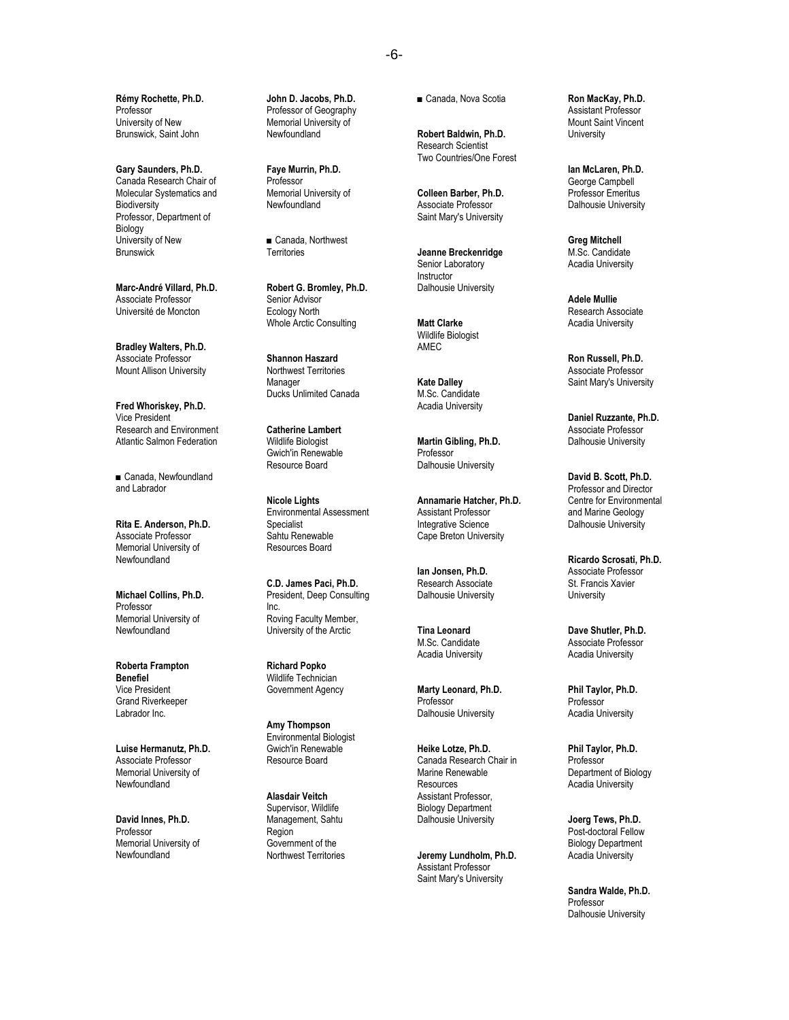**Rémy Rochette, Ph.D.** Professor University of New Brunswick, Saint John

**Gary Saunders, Ph.D.** Canada Research Chair of Molecular Systematics and **Biodiversity** Professor, Department of Biology University of New **Brunswick** 

**Marc-André Villard, Ph.D.** Associate Professor Université de Moncton

**Bradley Walters, Ph.D.** Associate Professor Mount Allison University

**Fred Whoriskey, Ph.D.** Vice President Research and Environment Atlantic Salmon Federation

■ Canada, Newfoundland and Labrador

**Rita E. Anderson, Ph.D.** Associate Professor Memorial University of Newfoundland

**Michael Collins, Ph.D.** Professor Memorial University of Newfoundland

**Roberta Frampton Benefiel** Vice President Grand Riverkeeper Labrador Inc.

**Luise Hermanutz, Ph.D.** Associate Professor Memorial University of Newfoundland

**David Innes, Ph.D.** Professor Memorial University of Newfoundland

**John D. Jacobs, Ph.D.** Professor of Geography Memorial University of Newfoundland

**Faye Murrin, Ph.D.** Professor Memorial University of Newfoundland

■ Canada, Northwest **Territories** 

**Robert G. Bromley, Ph.D.** Senior Advisor Ecology North Whole Arctic Consulting

**Shannon Haszard** Northwest Territories Manager Ducks Unlimited Canada

**Catherine Lambert** Wildlife Biologist Gwich'in Renewable Resource Board

**Nicole Lights** Environmental Assessment Specialist Sahtu Renewable Resources Board

**C.D. James Paci, Ph.D.** President, Deep Consulting Inc. Roving Faculty Member, University of the Arctic

**Richard Popko** Wildlife Technician Government Agency

**Amy Thompson** Environmental Biologist Gwich'in Renewable Resource Board

**Alasdair Veitch** Supervisor, Wildlife Management, Sahtu Region Government of the Northwest Territories ■ Canada, Nova Scotia

**Robert Baldwin, Ph.D.** Research Scientist Two Countries/One Forest

**Colleen Barber, Ph.D.** Associate Professor Saint Mary's University

**Jeanne Breckenridge** Senior Laboratory Instructor Dalhousie University

**Matt Clarke** Wildlife Biologist AMEC

**Kate Dalley** M.Sc. Candidate Acadia University

**Martin Gibling, Ph.D.** Professor Dalhousie University

**Annamarie Hatcher, Ph.D.** Assistant Professor Integrative Science Cape Breton University

**Ian Jonsen, Ph.D.** Research Associate Dalhousie University

**Tina Leonard** M.Sc. Candidate Acadia University

**Marty Leonard, Ph.D.** Professor Dalhousie University

**Heike Lotze, Ph.D.** Canada Research Chair in Marine Renewable Resources Assistant Professor, Biology Department Dalhousie University

**Jeremy Lundholm, Ph.D.** Assistant Professor Saint Mary's University

**Ron MacKay, Ph.D.** Assistant Professor Mount Saint Vincent **University** 

**Ian McLaren, Ph.D.** George Campbell Professor Emeritus Dalhousie University

**Greg Mitchell** M.Sc. Candidate Acadia University

**Adele Mullie** Research Associate Acadia University

**Ron Russell, Ph.D.** Associate Professor Saint Mary's University

**Daniel Ruzzante, Ph.D.** Associate Professor Dalhousie University

**David B. Scott, Ph.D.** Professor and Director Centre for Environmental and Marine Geology Dalhousie University

**Ricardo Scrosati, Ph.D.** Associate Professor St. Francis Xavier **University** 

**Dave Shutler, Ph.D.** Associate Professor Acadia University

**Phil Taylor, Ph.D.** Professor Acadia University

**Phil Taylor, Ph.D.** Professor Department of Biology Acadia University

**Joerg Tews, Ph.D.** Post-doctoral Fellow Biology Department Acadia University

**Sandra Walde, Ph.D.** Professor Dalhousie University

### -6-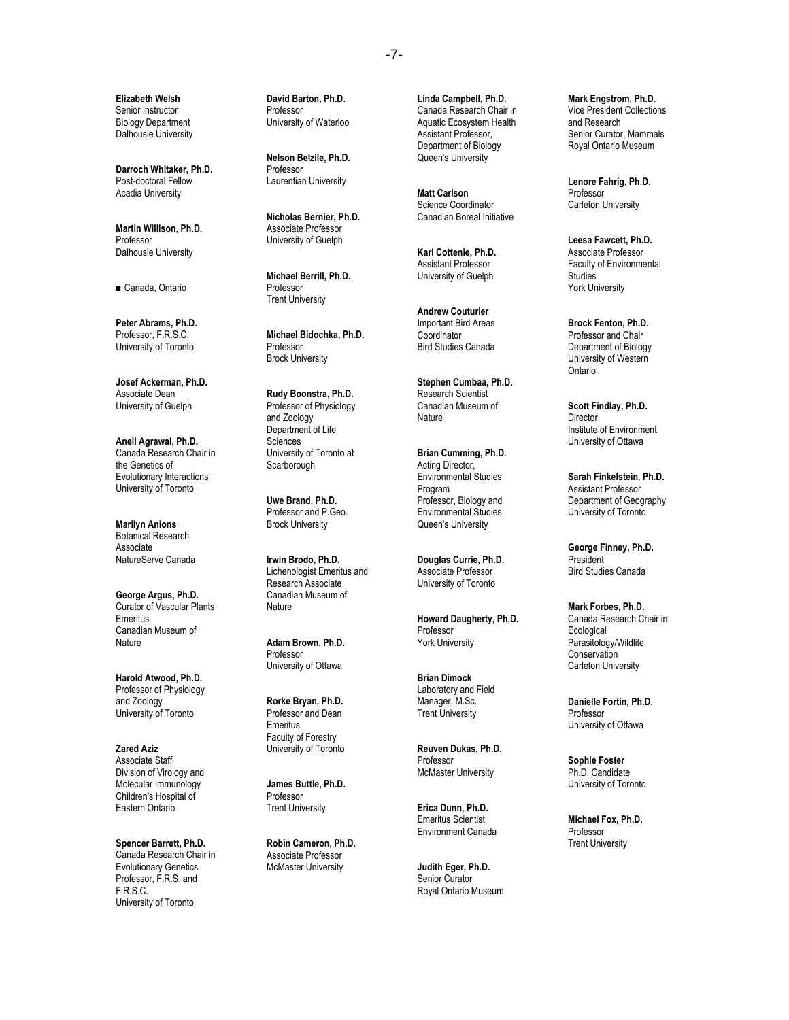**Elizabeth Welsh** Senior Instructor Biology Department Dalhousie University

**Darroch Whitaker, Ph.D.** Post-doctoral Fellow Acadia University

**Martin Willison, Ph.D.** Professor Dalhousie University

■ Canada, Ontario

**Peter Abrams, Ph.D.** Professor, F.R.S.C. University of Toronto

**Josef Ackerman, Ph.D.** Associate Dean University of Guelph

**Aneil Agrawal, Ph.D.** Canada Research Chair in the Genetics of Evolutionary Interactions University of Toronto

**Marilyn Anions**  Botanical Research **Associate** NatureServe Canada

**George Argus, Ph.D.** Curator of Vascular Plants Emeritus Canadian Museum of **Nature** 

**Harold Atwood, Ph.D.** Professor of Physiology and Zoology University of Toronto

**Zared Aziz** Associate Staff Division of Virology and Molecular Immunology Children's Hospital of Eastern Ontario

**Spencer Barrett, Ph.D.** Canada Research Chair in Evolutionary Genetics Professor, F.R.S. and F.R.S.C. University of Toronto

**David Barton, Ph.D.** Professor University of Waterloo

**Nelson Belzile, Ph.D.** Professor Laurentian University

**Nicholas Bernier, Ph.D.** Associate Professor University of Guelph

**Michael Berrill, Ph.D.** Professor Trent University

**Michael Bidochka, Ph.D.** Professor Brock University

**Rudy Boonstra, Ph.D.** Professor of Physiology and Zoology Department of Life Sciences University of Toronto at **Scarborough** 

**Uwe Brand, Ph.D.** Professor and P.Geo. Brock University

**Irwin Brodo, Ph.D.** Lichenologist Emeritus and Research Associate Canadian Museum of Nature

**Adam Brown, Ph.D.** Professor University of Ottawa

**Rorke Bryan, Ph.D.** Professor and Dean **Emeritus** Faculty of Forestry University of Toronto

**James Buttle, Ph.D.** Professor Trent University

**Robin Cameron, Ph.D.** Associate Professor McMaster University

**Linda Campbell, Ph.D.** Canada Research Chair in Aquatic Ecosystem Health Assistant Professor, Department of Biology Queen's University

**Matt Carlson** Science Coordinator Canadian Boreal Initiative

**Karl Cottenie, Ph.D.** Assistant Professor University of Guelph

**Andrew Couturier** Important Bird Areas **Coordinator** Bird Studies Canada

**Stephen Cumbaa, Ph.D.** Research Scientist Canadian Museum of Nature

**Brian Cumming, Ph.D.** Acting Director, Environmental Studies Program Professor, Biology and Environmental Studies Queen's University

**Douglas Currie, Ph.D.** Associate Professor University of Toronto

**Howard Daugherty, Ph.D.** Professor York University

**Brian Dimock** Laboratory and Field Manager, M.Sc. Trent University

**Reuven Dukas, Ph.D.** Professor McMaster University

**Erica Dunn, Ph.D.** Emeritus Scientist Environment Canada

**Judith Eger, Ph.D.** Senior Curator Royal Ontario Museum **Mark Engstrom, Ph.D.** Vice President Collections and Research Senior Curator, Mammals Royal Ontario Museum

**Lenore Fahrig, Ph.D.** Professor Carleton University

**Leesa Fawcett, Ph.D.** Associate Professor Faculty of Environmental **Studies** York University

**Brock Fenton, Ph.D.** Professor and Chair Department of Biology University of Western Ontario

**Scott Findlay, Ph.D.** Director Institute of Environment University of Ottawa

**Sarah Finkelstein, Ph.D.** Assistant Professor Department of Geography University of Toronto

**George Finney, Ph.D.** President Bird Studies Canada

**Mark Forbes, Ph.D.** Canada Research Chair in **Ecological** Parasitology/Wildlife Conservation Carleton University

**Danielle Fortin, Ph.D. Professor** University of Ottawa

**Sophie Foster** Ph.D. Candidate University of Toronto

**Michael Fox, Ph.D.** Professor Trent University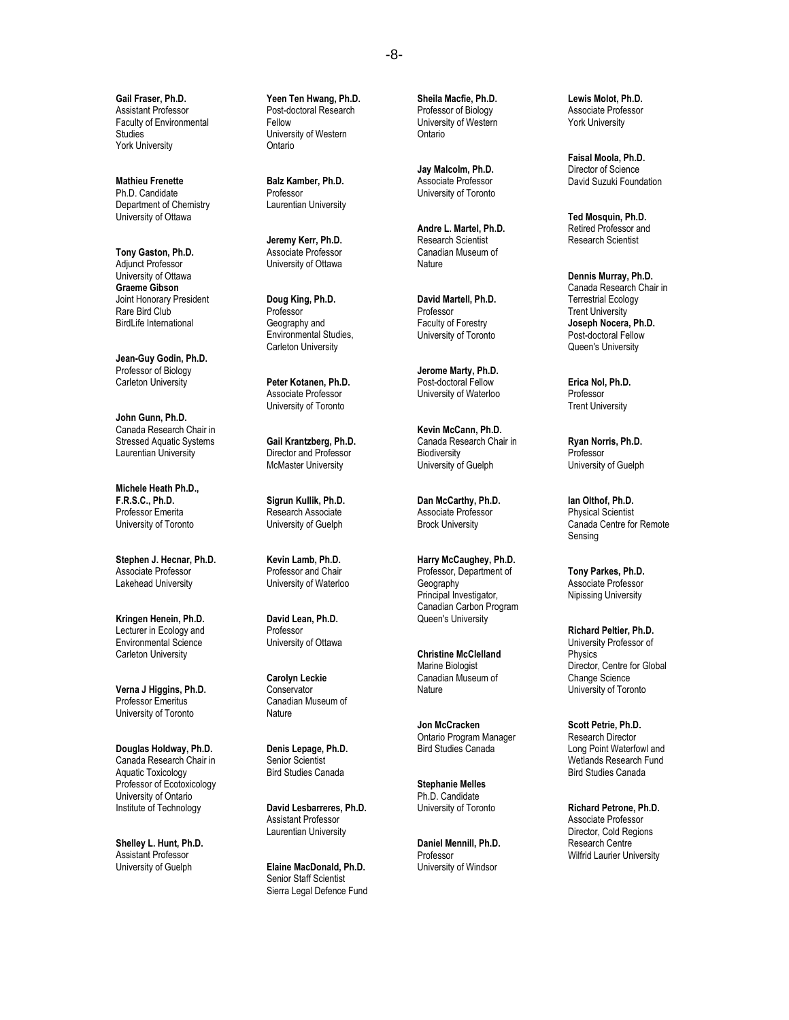**Gail Fraser, Ph.D.** Assistant Professor Faculty of Environmental **Studies** York University

**Mathieu Frenette**  Ph.D. Candidate Department of Chemistry University of Ottawa

**Tony Gaston, Ph.D.** Adjunct Professor University of Ottawa **Graeme Gibson** Joint Honorary President Rare Bird Club BirdLife International

**Jean-Guy Godin, Ph.D.** Professor of Biology Carleton University

**John Gunn, Ph.D.** Canada Research Chair in Stressed Aquatic Systems Laurentian University

**Michele Heath Ph.D., F.R.S.C., Ph.D.** Professor Emerita University of Toronto

**Stephen J. Hecnar, Ph.D.** Associate Professor Lakehead University

**Kringen Henein, Ph.D.** Lecturer in Ecology and Environmental Science Carleton University

**Verna J Higgins, Ph.D.** Professor Emeritus University of Toronto

**Douglas Holdway, Ph.D.** Canada Research Chair in Aquatic Toxicology Professor of Ecotoxicology University of Ontario Institute of Technology

**Shelley L. Hunt, Ph.D.** Assistant Professor University of Guelph

**Yeen Ten Hwang, Ph.D.** Post-doctoral Research Fellow University of Western Ontario

**Balz Kamber, Ph.D.** Professor Laurentian University

**Jeremy Kerr, Ph.D.** Associate Professor University of Ottawa

**Doug King, Ph.D.** Professor Geography and Environmental Studies, Carleton University

**Peter Kotanen, Ph.D.** Associate Professor University of Toronto

**Gail Krantzberg, Ph.D.** Director and Professor McMaster University

**Sigrun Kullik, Ph.D.** Research Associate University of Guelph

**Kevin Lamb, Ph.D.** Professor and Chair University of Waterloo

**David Lean, Ph.D.** Professor University of Ottawa

**Carolyn Leckie Conservator** Canadian Museum of Nature

**Denis Lepage, Ph.D.** Senior Scientist Bird Studies Canada

**David Lesbarreres, Ph.D.** Assistant Professor Laurentian University

**Elaine MacDonald, Ph.D.** Senior Staff Scientist Sierra Legal Defence Fund **Sheila Macfie, Ph.D.** Professor of Biology University of Western Ontario

**Jay Malcolm, Ph.D.** Associate Professor University of Toronto

**Andre L. Martel, Ph.D.** Research Scientist Canadian Museum of Nature

**David Martell, Ph.D.** Professor Faculty of Forestry University of Toronto

**Jerome Marty, Ph.D.** Post-doctoral Fellow University of Waterloo

**Kevin McCann, Ph.D.** Canada Research Chair in Biodiversity University of Guelph

**Dan McCarthy, Ph.D.** Associate Professor Brock University

**Harry McCaughey, Ph.D.** Professor, Department of **Geography** Principal Investigator, Canadian Carbon Program Queen's University

**Christine McClelland** Marine Biologist Canadian Museum of **Nature** 

**Jon McCracken** Ontario Program Manager Bird Studies Canada

**Stephanie Melles** Ph.D. Candidate University of Toronto

**Daniel Mennill, Ph.D.** Professor University of Windsor

**Lewis Molot, Ph.D.** Associate Professor York University

**Faisal Moola, Ph.D.** Director of Science David Suzuki Foundation

**Ted Mosquin, Ph.D.** Retired Professor and Research Scientist

**Dennis Murray, Ph.D.** Canada Research Chair in Terrestrial Ecology Trent University **Joseph Nocera, Ph.D.** Post-doctoral Fellow Queen's University

**Erica Nol, Ph.D.** Professor Trent University

**Ryan Norris, Ph.D.** Professor University of Guelph

**Ian Olthof, Ph.D.** Physical Scientist Canada Centre for Remote Sensing

**Tony Parkes, Ph.D.** Associate Professor Nipissing University

**Richard Peltier, Ph.D.** University Professor of Physics Director, Centre for Global Change Science University of Toronto

**Scott Petrie, Ph.D.** Research Director Long Point Waterfowl and Wetlands Research Fund Bird Studies Canada

**Richard Petrone, Ph.D.** Associate Professor Director, Cold Regions Research Centre Wilfrid Laurier University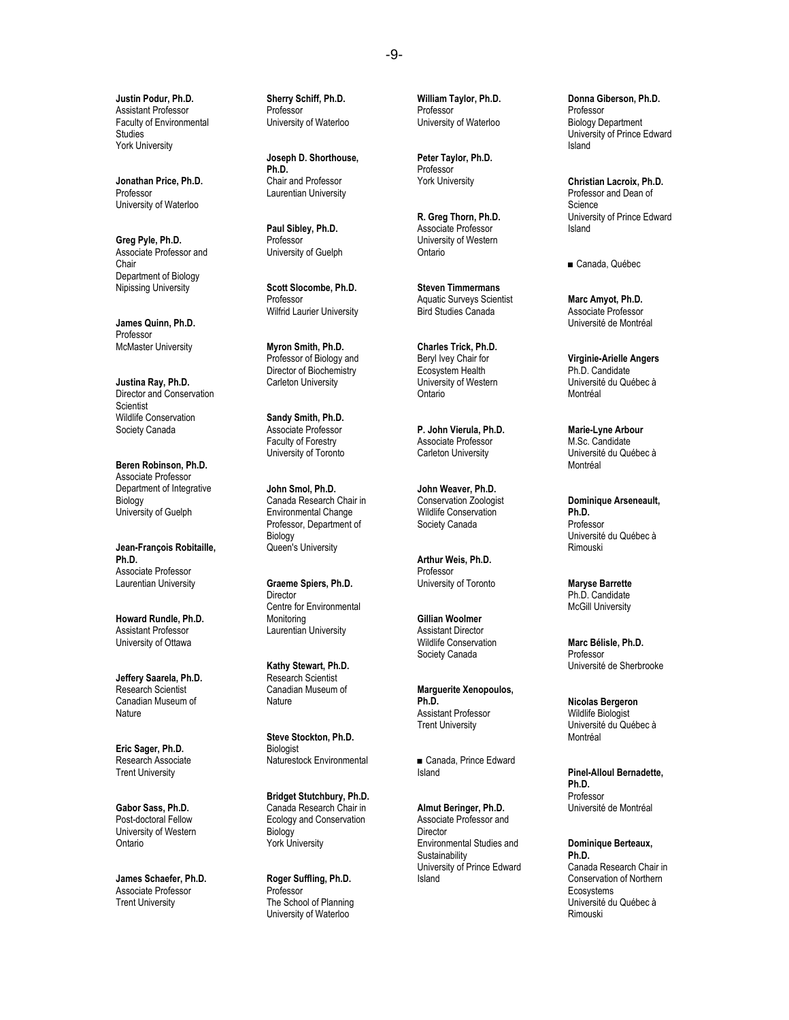**Justin Podur, Ph.D.** Assistant Professor Faculty of Environmental **Studies** York University

**Jonathan Price, Ph.D.** Professor University of Waterloo

**Greg Pyle, Ph.D.** Associate Professor and Chair Department of Biology Nipissing University

**James Quinn, Ph.D.** Professor McMaster University

**Justina Ray, Ph.D.** Director and Conservation **Scientist** Wildlife Conservation Society Canada

**Beren Robinson, Ph.D.** Associate Professor Department of Integrative Biology University of Guelph

**Jean-François Robitaille, Ph.D.** Associate Professor Laurentian University

**Howard Rundle, Ph.D.** Assistant Professor University of Ottawa

**Jeffery Saarela, Ph.D.** Research Scientist Canadian Museum of Nature

**Eric Sager, Ph.D.** Research Associate Trent University

**Gabor Sass, Ph.D.** Post-doctoral Fellow University of Western Ontario

**James Schaefer, Ph.D.** Associate Professor Trent University

**Sherry Schiff, Ph.D.** Professor University of Waterloo

**Joseph D. Shorthouse, Ph.D.** Chair and Professor Laurentian University

**Paul Sibley, Ph.D.** Professor University of Guelph

**Scott Slocombe, Ph.D.** Professor Wilfrid Laurier University

**Myron Smith, Ph.D.** Professor of Biology and Director of Biochemistry Carleton University

**Sandy Smith, Ph.D.** Associate Professor Faculty of Forestry University of Toronto

**John Smol, Ph.D.** Canada Research Chair in Environmental Change Professor, Department of Biology Queen's University

**Graeme Spiers, Ph.D. Director** Centre for Environmental Monitoring Laurentian University

**Kathy Stewart, Ph.D.** Research Scientist Canadian Museum of **Nature** 

**Steve Stockton, Ph.D. Biologist** Naturestock Environmental

**Bridget Stutchbury, Ph.D.** Canada Research Chair in Ecology and Conservation Biology York University

**Roger Suffling, Ph.D.** Professor The School of Planning University of Waterloo

**William Taylor, Ph.D.** Professor University of Waterloo

**Peter Taylor, Ph.D.** Professor York University

**R. Greg Thorn, Ph.D.** Associate Professor University of Western Ontario

**Steven Timmermans** Aquatic Surveys Scientist Bird Studies Canada

**Charles Trick, Ph.D.** Beryl Ivey Chair for Ecosystem Health University of Western Ontario

**P. John Vierula, Ph.D.** Associate Professor Carleton University

**John Weaver, Ph.D.**  Conservation Zoologist Wildlife Conservation Society Canada

**Arthur Weis, Ph.D.** Professor University of Toronto

**Gillian Woolmer** Assistant Director Wildlife Conservation Society Canada

**Marguerite Xenopoulos, Ph.D.** Assistant Professor Trent University

■ Canada, Prince Edward Island

**Almut Beringer, Ph.D.** Associate Professor and **Director** Environmental Studies and Sustainability University of Prince Edward Island

**Donna Giberson, Ph.D.** Professor Biology Department University of Prince Edward Island

**Christian Lacroix, Ph.D.** Professor and Dean of Science University of Prince Edward Island

■ Canada, Québec

**Marc Amyot, Ph.D.** Associate Professor Université de Montréal

**Virginie-Arielle Angers** Ph.D. Candidate Université du Québec à Montréal

**Marie-Lyne Arbour** M.Sc. Candidate Université du Québec à Montréal

**Dominique Arseneault, Ph.D.** Professor Université du Québec à Rimouski

**Maryse Barrette** Ph.D. Candidate McGill University

**Marc Bélisle, Ph.D.** Professor Université de Sherbrooke

**Nicolas Bergeron** Wildlife Biologist Université du Québec à Montréal

**Pinel-Alloul Bernadette, Ph.D.** Professor Université de Montréal

**Dominique Berteaux, Ph.D.**

Canada Research Chair in Conservation of Northern **Ecosystems** Université du Québec à Rimouski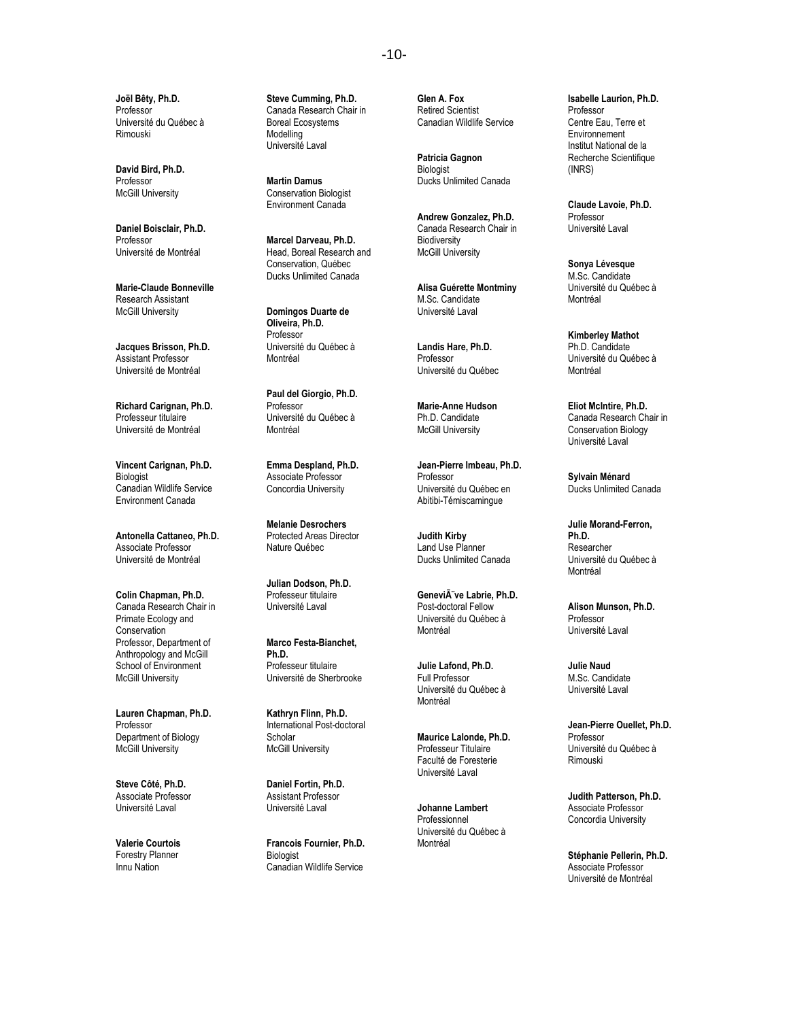**Joël Bêty, Ph.D.** Professor Université du Québec à Rimouski

**David Bird, Ph.D.** Professor McGill University

**Daniel Boisclair, Ph.D.** Professor Université de Montréal

**Marie-Claude Bonneville** Research Assistant McGill University

**Jacques Brisson, Ph.D.** Assistant Professor Université de Montréal

**Richard Carignan, Ph.D.** Professeur titulaire Université de Montréal

**Vincent Carignan, Ph.D.** Biologist Canadian Wildlife Service Environment Canada

**Antonella Cattaneo, Ph.D.** Associate Professor Université de Montréal

**Colin Chapman, Ph.D.** Canada Research Chair in Primate Ecology and **Conservation** Professor, Department of Anthropology and McGill School of Environment McGill University

**Lauren Chapman, Ph.D.** Professor Department of Biology McGill University

**Steve Côté, Ph.D.** Associate Professor Université Laval

**Valerie Courtois**  Forestry Planner Innu Nation

**Steve Cumming, Ph.D.** Canada Research Chair in Boreal Ecosystems Modelling Université Laval

**Martin Damus** Conservation Biologist Environment Canada

**Marcel Darveau, Ph.D.** Head, Boreal Research and Conservation, Québec Ducks Unlimited Canada

**Domingos Duarte de Oliveira, Ph.D.** Professor Université du Québec à Montréal

**Paul del Giorgio, Ph.D.** Professor Université du Québec à Montréal

**Emma Despland, Ph.D.** Associate Professor Concordia University

**Melanie Desrochers** Protected Areas Director Nature Québec

**Julian Dodson, Ph.D.** Professeur titulaire Université Laval

**Marco Festa-Bianchet, Ph.D.** Professeur titulaire Université de Sherbrooke

**Kathryn Flinn, Ph.D.** International Post-doctoral Scholar McGill University

**Daniel Fortin, Ph.D.** Assistant Professor Université Laval

**Francois Fournier, Ph.D. Biologist** Canadian Wildlife Service

**Glen A. Fox** Retired Scientist Canadian Wildlife Service

**Patricia Gagnon** Biologist Ducks Unlimited Canada

**Andrew Gonzalez, Ph.D.** Canada Research Chair in Biodiversity McGill University

**Alisa Guérette Montminy** M.Sc. Candidate Université Laval

**Landis Hare, Ph.D.** Professor Université du Québec

**Marie-Anne Hudson** Ph.D. Candidate McGill University

**Jean-Pierre Imbeau, Ph.D.** Professor Université du Québec en Abitibi-Témiscamingue

**Judith Kirby** Land Use Planner Ducks Unlimited Canada

Genevi**Ã** ve Labrie, Ph.D. Post-doctoral Fellow Université du Québec à Montréal

**Julie Lafond, Ph.D.** Full Professor Université du Québec à Montréal

**Maurice Lalonde, Ph.D.** Professeur Titulaire Faculté de Foresterie Université Laval

**Johanne Lambert** Professionnel Université du Québec à Montréal

**Isabelle Laurion, Ph.D.** Professor Centre Eau, Terre et Environnement Institut National de la Recherche Scientifique (INRS)

**Claude Lavoie, Ph.D.** Professor Université Laval

**Sonya Lévesque** M.Sc. Candidate Université du Québec à Montréal

**Kimberley Mathot** Ph.D. Candidate Université du Québec à Montréal

**Eliot McIntire, Ph.D.** Canada Research Chair in Conservation Biology Université Laval

**Sylvain Ménard** Ducks Unlimited Canada

**Julie Morand-Ferron, Ph.D.** Researcher Université du Québec à Montréal

**Alison Munson, Ph.D.** Professor Université Laval

**Julie Naud** M.Sc. Candidate Université Laval

**Jean-Pierre Ouellet, Ph.D.** Professor Université du Québec à Rimouski

**Judith Patterson, Ph.D.** Associate Professor Concordia University

**Stéphanie Pellerin, Ph.D.** Associate Professor Université de Montréal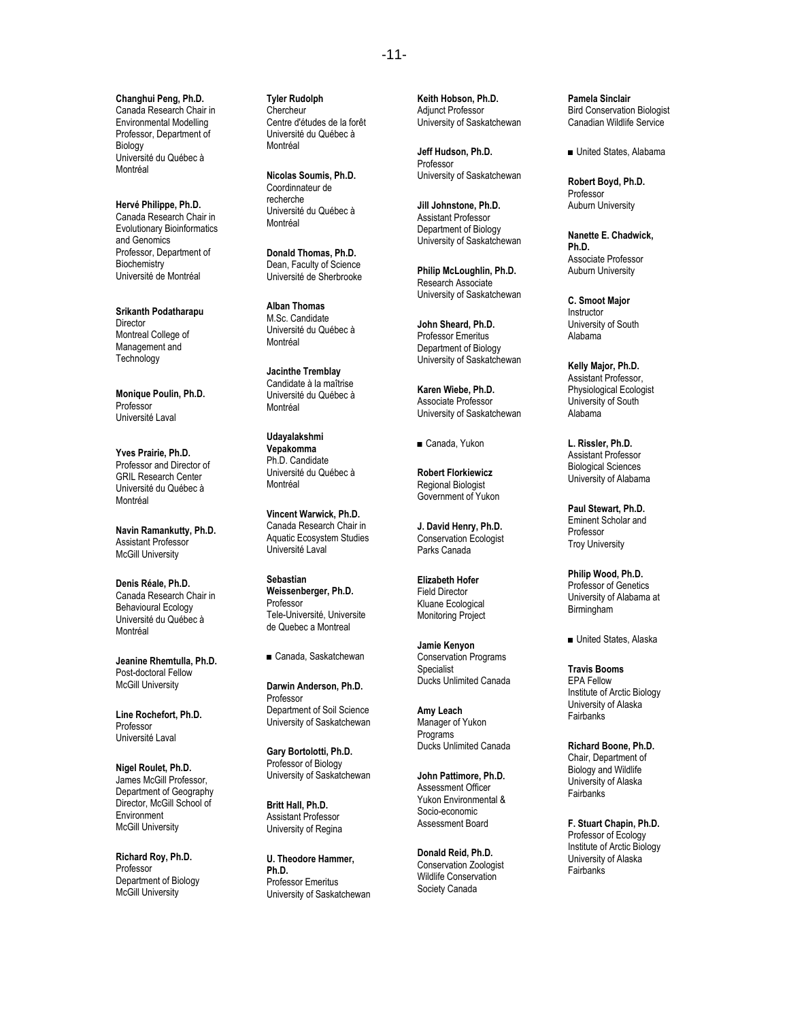**Changhui Peng, Ph.D.** Canada Research Chair in Environmental Modelling Professor, Department of Biology Université du Québec à Montréal

**Hervé Philippe, Ph.D.** Canada Research Chair in Evolutionary Bioinformatics and Genomics Professor, Department of **Biochemistry** Université de Montréal

**Srikanth Podatharapu Director** Montreal College of Management and **Technology** 

**Monique Poulin, Ph.D.** Professor Université Laval

**Yves Prairie, Ph.D.** Professor and Director of GRIL Research Center Université du Québec à Montréal

**Navin Ramankutty, Ph.D.** Assistant Professor McGill University

**Denis Réale, Ph.D.** Canada Research Chair in Behavioural Ecology Université du Québec à Montréal

**Jeanine Rhemtulla, Ph.D.** Post-doctoral Fellow McGill University

**Line Rochefort, Ph.D.** Professor Université Laval

**Nigel Roulet, Ph.D.** James McGill Professor, Department of Geography Director, McGill School of Environment McGill University

**Richard Roy, Ph.D.** Professor Department of Biology McGill University

**Tyler Rudolph** Chercheur Centre d'études de la forêt Université du Québec à Montréal

**Nicolas Soumis, Ph.D.** Coordinnateur de recherche Université du Québec à Montréal

**Donald Thomas, Ph.D.** Dean, Faculty of Science Université de Sherbrooke

**Alban Thomas** M.Sc. Candidate Université du Québec à Montréal

**Jacinthe Tremblay** Candidate à la maîtrise Université du Québec à Montréal

**Udayalakshmi Vepakomma** Ph.D. Candidate Université du Québec à Montréal

**Vincent Warwick, Ph.D.** Canada Research Chair in Aquatic Ecosystem Studies Université Laval

**Sebastian Weissenberger, Ph.D.** Professor Tele-Université, Universite de Quebec a Montreal

■ Canada, Saskatchewan

**Darwin Anderson, Ph.D.** Professor Department of Soil Science University of Saskatchewan

**Gary Bortolotti, Ph.D.** Professor of Biology University of Saskatchewan

**Britt Hall, Ph.D.** Assistant Professor University of Regina

**U. Theodore Hammer, Ph.D.** Professor Emeritus University of Saskatchewan **Keith Hobson, Ph.D.** Adjunct Professor University of Saskatchewan

**Jeff Hudson, Ph.D.** Professor University of Saskatchewan

**Jill Johnstone, Ph.D.** Assistant Professor Department of Biology University of Saskatchewan

**Philip McLoughlin, Ph.D.** Research Associate University of Saskatchewan

**John Sheard, Ph.D.** Professor Emeritus Department of Biology University of Saskatchewan

**Karen Wiebe, Ph.D.** Associate Professor University of Saskatchewan

■ Canada, Yukon

**Robert Florkiewicz** Regional Biologist Government of Yukon

**J. David Henry, Ph.D.** Conservation Ecologist Parks Canada

**Elizabeth Hofer** Field Director Kluane Ecological Monitoring Project

**Jamie Kenyon** Conservation Programs **Specialist** Ducks Unlimited Canada

**Amy Leach** Manager of Yukon **Programs** Ducks Unlimited Canada

**John Pattimore, Ph.D.** Assessment Officer Yukon Environmental & Socio-economic Assessment Board

**Donald Reid, Ph.D.** Conservation Zoologist Wildlife Conservation Society Canada

**Pamela Sinclair** Bird Conservation Biologist Canadian Wildlife Service

■ United States, Alabama

**Robert Boyd, Ph.D.** Professor Auburn University

**Nanette E. Chadwick, Ph.D.** Associate Professor Auburn University

**C. Smoot Major** Instructor University of South Alabama

**Kelly Major, Ph.D.** Assistant Professor, Physiological Ecologist University of South Alabama

**L. Rissler, Ph.D.** Assistant Professor Biological Sciences University of Alabama

**Paul Stewart, Ph.D.** Eminent Scholar and Professor Troy University

**Philip Wood, Ph.D.** Professor of Genetics University of Alabama at Birmingham

■ United States, Alaska

**Travis Booms** EPA Fellow Institute of Arctic Biology University of Alaska **Fairbanks** 

**Richard Boone, Ph.D.** Chair, Department of Biology and Wildlife University of Alaska **Fairbanks** 

**F. Stuart Chapin, Ph.D.** Professor of Ecology Institute of Arctic Biology University of Alaska **Fairbanks**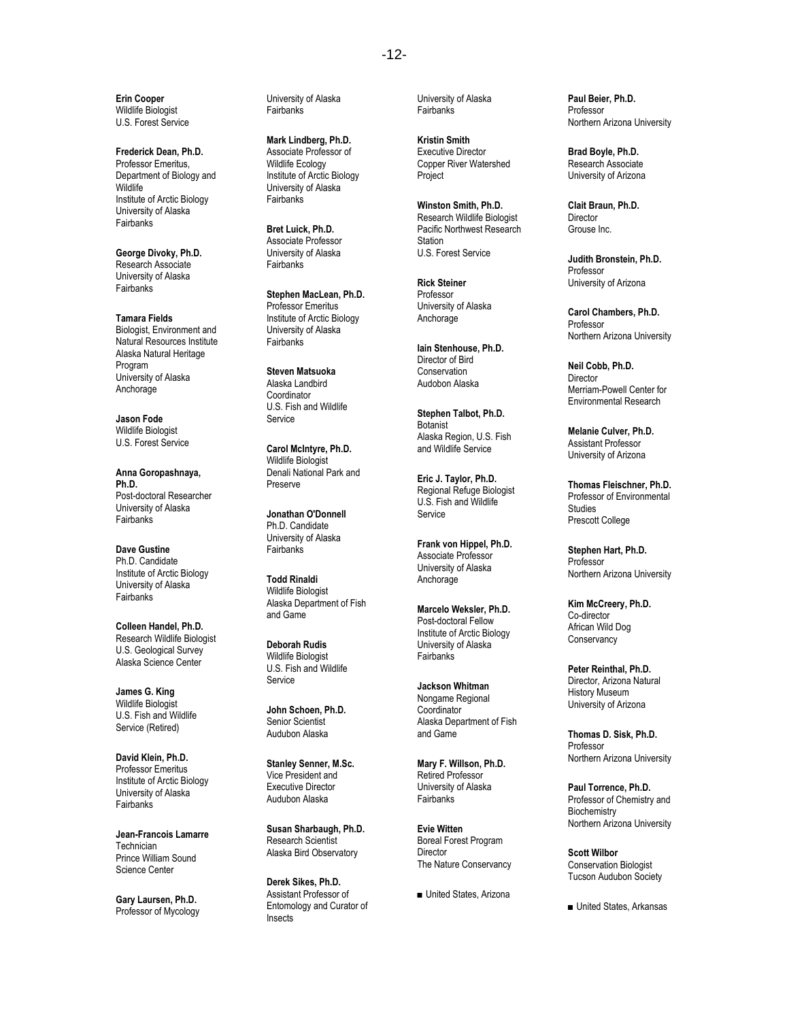**Erin Cooper** Wildlife Biologist U.S. Forest Service

**Frederick Dean, Ph.D.** Professor Emeritus, Department of Biology and **Wildlife** Institute of Arctic Biology University of Alaska **Fairbanks** 

**George Divoky, Ph.D.** Research Associate University of Alaska Fairbanks

**Tamara Fields** Biologist, Environment and Natural Resources Institute Alaska Natural Heritage Program University of Alaska Anchorage

**Jason Fode** Wildlife Biologist U.S. Forest Service

**Anna Goropashnaya, Ph.D.** Post-doctoral Researcher University of Alaska Fairbanks

**Dave Gustine** Ph.D. Candidate Institute of Arctic Biology University of Alaska **Fairbanks** 

**Colleen Handel, Ph.D.** Research Wildlife Biologist U.S. Geological Survey Alaska Science Center

**James G. King** Wildlife Biologist U.S. Fish and Wildlife Service (Retired)

**David Klein, Ph.D.** Professor Emeritus Institute of Arctic Biology University of Alaska **Fairbanks** 

**Jean-Francois Lamarre Technician** Prince William Sound Science Center

**Gary Laursen, Ph.D.** Professor of Mycology University of Alaska **Fairbanks** 

**Mark Lindberg, Ph.D.** Associate Professor of Wildlife Ecology Institute of Arctic Biology University of Alaska **Fairbanks** 

**Bret Luick, Ph.D.** Associate Professor University of Alaska Fairbanks

**Stephen MacLean, Ph.D.** Professor Emeritus Institute of Arctic Biology University of Alaska **Fairbanks** 

**Steven Matsuoka** Alaska Landbird Coordinator U.S. Fish and Wildlife Service

**Carol McIntyre, Ph.D.** Wildlife Biologist Denali National Park and Preserve

**Jonathan O'Donnell** Ph.D. Candidate University of Alaska Fairbanks

**Todd Rinaldi** Wildlife Biologist Alaska Department of Fish and Game

**Deborah Rudis** Wildlife Biologist U.S. Fish and Wildlife Service

**John Schoen, Ph.D.** Senior Scientist Audubon Alaska

**Stanley Senner, M.Sc.** Vice President and Executive Director Audubon Alaska

**Susan Sharbaugh, Ph.D.** Research Scientist Alaska Bird Observatory

**Derek Sikes, Ph.D.** Assistant Professor of Entomology and Curator of Insects

University of Alaska **Fairbanks** 

**Kristin Smith** Executive Director Copper River Watershed Project

**Winston Smith, Ph.D.** Research Wildlife Biologist Pacific Northwest Research **Station** U.S. Forest Service

**Rick Steiner** Professor University of Alaska Anchorage

**Iain Stenhouse, Ph.D.** Director of Bird **Conservation** Audobon Alaska

**Stephen Talbot, Ph.D.** Botanist Alaska Region, U.S. Fish and Wildlife Service

**Eric J. Taylor, Ph.D.** Regional Refuge Biologist U.S. Fish and Wildlife **Service** 

**Frank von Hippel, Ph.D.** Associate Professor University of Alaska Anchorage

**Marcelo Weksler, Ph.D.** Post-doctoral Fellow Institute of Arctic Biology University of Alaska **Fairbanks** 

**Jackson Whitman** Nongame Regional Coordinator Alaska Department of Fish and Game

**Mary F. Willson, Ph.D.** Retired Professor University of Alaska **Fairbanks** 

**Evie Witten** Boreal Forest Program **Director** The Nature Conservancy

■ United States, Arizona

**Paul Beier, Ph.D.** Professor Northern Arizona University

**Brad Boyle, Ph.D.** Research Associate University of Arizona

**Clait Braun, Ph.D.** Director Grouse Inc.

**Judith Bronstein, Ph.D.** Professor University of Arizona

**Carol Chambers, Ph.D.** Professor Northern Arizona University

**Neil Cobb, Ph.D. Director** Merriam-Powell Center for Environmental Research

**Melanie Culver, Ph.D.** Assistant Professor University of Arizona

**Thomas Fleischner, Ph.D.** Professor of Environmental Studies Prescott College

**Stephen Hart, Ph.D.** Professor Northern Arizona University

**Kim McCreery, Ph.D.** Co-director African Wild Dog **Conservancy** 

**Peter Reinthal, Ph.D.** Director, Arizona Natural History Museum University of Arizona

**Thomas D. Sisk, Ph.D.** Professor Northern Arizona University

**Paul Torrence, Ph.D.** Professor of Chemistry and **Biochemistry** Northern Arizona University

**Scott Wilbor** Conservation Biologist Tucson Audubon Society

■ United States, Arkansas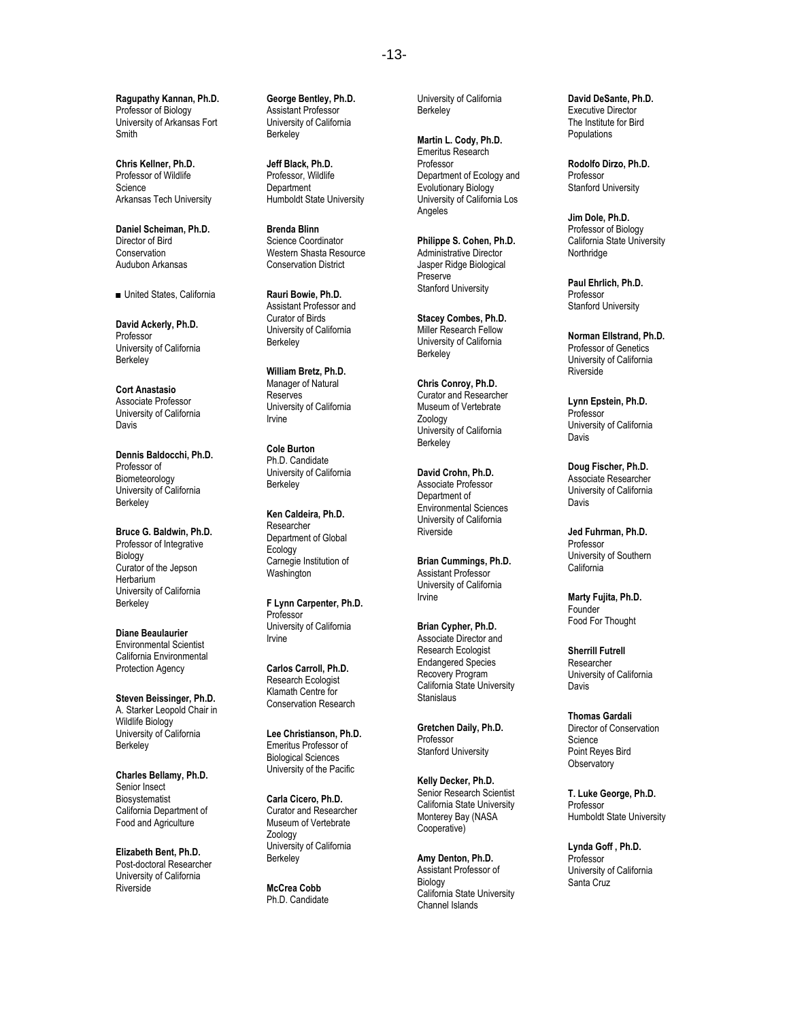**Ragupathy Kannan, Ph.D.** Professor of Biology University of Arkansas Fort Smith

**Chris Kellner, Ph.D.** Professor of Wildlife **Science** Arkansas Tech University

**Daniel Scheiman, Ph.D.** Director of Bird **Conservation** Audubon Arkansas

■ United States, California

**David Ackerly, Ph.D.** Professor University of California **Berkeley** 

**Cort Anastasio** Associate Professor University of California Davis

**Dennis Baldocchi, Ph.D.** Professor of Biometeorology University of California **Berkeley** 

**Bruce G. Baldwin, Ph.D.** Professor of Integrative Biology Curator of the Jepson **Herbarium** University of California **Berkeley** 

**Diane Beaulaurier** Environmental Scientist California Environmental Protection Agency

**Steven Beissinger, Ph.D.** A. Starker Leopold Chair in Wildlife Biology University of California **Berkeley** 

**Charles Bellamy, Ph.D.** Senior Insect Biosystematist California Department of Food and Agriculture

**Elizabeth Bent, Ph.D.** Post-doctoral Researcher University of California Riverside

**George Bentley, Ph.D.** Assistant Professor University of California Berkeley

**Jeff Black, Ph.D.** Professor, Wildlife **Department** Humboldt State University

**Brenda Blinn** Science Coordinator Western Shasta Resource Conservation District

**Rauri Bowie, Ph.D.** Assistant Professor and Curator of Birds University of California Berkeley

**William Bretz, Ph.D.** Manager of Natural **Reserves** University of California Irvine

**Cole Burton** Ph.D. Candidate University of California **Berkeley** 

**Ken Caldeira, Ph.D.** Researcher Department of Global Ecology Carnegie Institution of Washington

**F Lynn Carpenter, Ph.D.** Professor University of California Irvine

**Carlos Carroll, Ph.D.** Research Ecologist Klamath Centre for Conservation Research

**Lee Christianson, Ph.D.** Emeritus Professor of Biological Sciences University of the Pacific

**Carla Cicero, Ph.D.** Curator and Researcher Museum of Vertebrate Zoology University of California **Berkeley** 

**McCrea Cobb** Ph.D. Candidate University of California **Berkeley** 

**Martin L. Cody, Ph.D.** Emeritus Research Professor Department of Ecology and Evolutionary Biology University of California Los Angeles

**Philippe S. Cohen, Ph.D.** Administrative Director Jasper Ridge Biological Preserve Stanford University

**Stacey Combes, Ph.D.** Miller Research Fellow University of California **Berkeley** 

**Chris Conroy, Ph.D.** Curator and Researcher Museum of Vertebrate Zoology University of California **Berkelev** 

**David Crohn, Ph.D.** Associate Professor Department of Environmental Sciences University of California **Riverside** 

**Brian Cummings, Ph.D.** Assistant Professor University of California Irvine

**Brian Cypher, Ph.D.** Associate Director and Research Ecologist Endangered Species Recovery Program California State University Stanislaus

**Gretchen Daily, Ph.D.** Professor Stanford University

**Kelly Decker, Ph.D.** Senior Research Scientist California State University Monterey Bay (NASA Cooperative)

**Amy Denton, Ph.D.** Assistant Professor of Biology California State University Channel Islands

**David DeSante, Ph.D.** Executive Director The Institute for Bird Populations

**Rodolfo Dirzo, Ph.D.** Professor Stanford University

**Jim Dole, Ph.D.** Professor of Biology California State University Northridge

**Paul Ehrlich, Ph.D.** Professor Stanford University

**Norman Ellstrand, Ph.D.** Professor of Genetics University of California Riverside

**Lynn Epstein, Ph.D.** Professor University of California Davis

**Doug Fischer, Ph.D.** Associate Researcher University of California Davis

**Jed Fuhrman, Ph.D.** Professor University of Southern California

**Marty Fujita, Ph.D. Founder** Food For Thought

**Sherrill Futrell** Researcher University of California Davis

**Thomas Gardali** Director of Conservation Science Point Reyes Bird **Observatory** 

**T. Luke George, Ph.D.** Professor Humboldt State University

**Lynda Goff , Ph.D.** Professor University of California Santa Cruz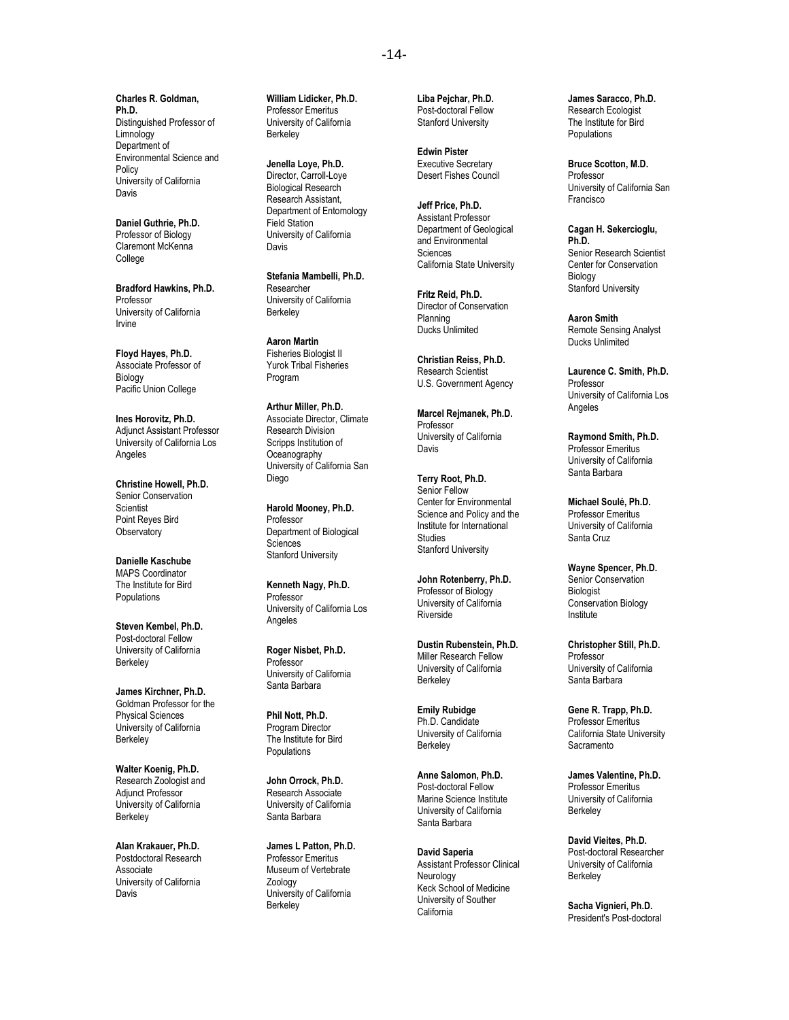**Charles R. Goldman, Ph.D.** Distinguished Professor of Limnology Department of Environmental Science and Policy University of California Davis

**Daniel Guthrie, Ph.D.** Professor of Biology Claremont McKenna College

**Bradford Hawkins, Ph.D.** Professor University of California Irvine

**Floyd Hayes, Ph.D.** Associate Professor of Biology Pacific Union College

**Ines Horovitz, Ph.D.** Adjunct Assistant Professor University of California Los Angeles

**Christine Howell, Ph.D.** Senior Conservation **Scientist** Point Reyes Bird **Observatory** 

**Danielle Kaschube** MAPS Coordinator The Institute for Bird **Populations** 

**Steven Kembel, Ph.D.** Post-doctoral Fellow University of California Berkeley

**James Kirchner, Ph.D.** Goldman Professor for the Physical Sciences University of California **Berkeley** 

**Walter Koenig, Ph.D.** Research Zoologist and Adjunct Professor University of California **Berkeley** 

**Alan Krakauer, Ph.D.** Postdoctoral Research Associate University of California Davis

**William Lidicker, Ph.D.** Professor Emeritus University of California Berkeley

**Jenella Loye, Ph.D.** Director, Carroll-Loye Biological Research Research Assistant, Department of Entomology Field Station University of California Davis

**Stefania Mambelli, Ph.D.** Researcher University of California Berkeley

**Aaron Martin** Fisheries Biologist II Yurok Tribal Fisheries Program

**Arthur Miller, Ph.D.** Associate Director, Climate Research Division Scripps Institution of **Oceanography** University of California San Diego

**Harold Mooney, Ph.D.** Professor Department of Biological Sciences Stanford University

**Kenneth Nagy, Ph.D.** Professor University of California Los Angeles

**Roger Nisbet, Ph.D.** Professor University of California Santa Barbara

**Phil Nott, Ph.D.** Program Director The Institute for Bird Populations

**John Orrock, Ph.D.** Research Associate University of California Santa Barbara

**James L Patton, Ph.D.** Professor Emeritus Museum of Vertebrate Zoology University of California **Berkeley** 

**Liba Pejchar, Ph.D.** Post-doctoral Fellow Stanford University

**Edwin Pister** Executive Secretary Desert Fishes Council

**Jeff Price, Ph.D.** Assistant Professor Department of Geological and Environmental **Sciences** California State University

**Fritz Reid, Ph.D.** Director of Conservation Planning Ducks Unlimited

**Christian Reiss, Ph.D.** Research Scientist U.S. Government Agency

**Marcel Rejmanek, Ph.D.** Professor University of California Davis

**Terry Root, Ph.D.** Senior Fellow Center for Environmental Science and Policy and the Institute for International Studies Stanford University

**John Rotenberry, Ph.D.** Professor of Biology University of California **Riverside** 

**Dustin Rubenstein, Ph.D.** Miller Research Fellow University of California **Berkeley** 

**Emily Rubidge** Ph.D. Candidate University of California **Berkeley** 

**Anne Salomon, Ph.D.** Post-doctoral Fellow Marine Science Institute University of California Santa Barbara

**David Saperia** Assistant Professor Clinical Neurology Keck School of Medicine University of Souther California

**James Saracco, Ph.D.** Research Ecologist The Institute for Bird Populations

**Bruce Scotton, M.D.** Professor University of California San Francisco

**Cagan H. Sekercioglu, Ph.D.** Senior Research Scientist Center for Conservation Biology Stanford University

**Aaron Smith** Remote Sensing Analyst Ducks Unlimited

**Laurence C. Smith, Ph.D.** Professor University of California Los Angeles

**Raymond Smith, Ph.D.** Professor Emeritus University of California Santa Barbara

**Michael Soulé, Ph.D.** Professor Emeritus University of California Santa Cruz

**Wayne Spencer, Ph.D.** Senior Conservation **Biologist** Conservation Biology Institute

**Christopher Still, Ph.D.** Professor University of California Santa Barbara

**Gene R. Trapp, Ph.D.** Professor Emeritus California State University **Sacramento** 

**James Valentine, Ph.D.** Professor Emeritus University of California **Berkeley** 

**David Vieites, Ph.D.** Post-doctoral Researcher University of California Berkeley

**Sacha Vignieri, Ph.D.** President's Post-doctoral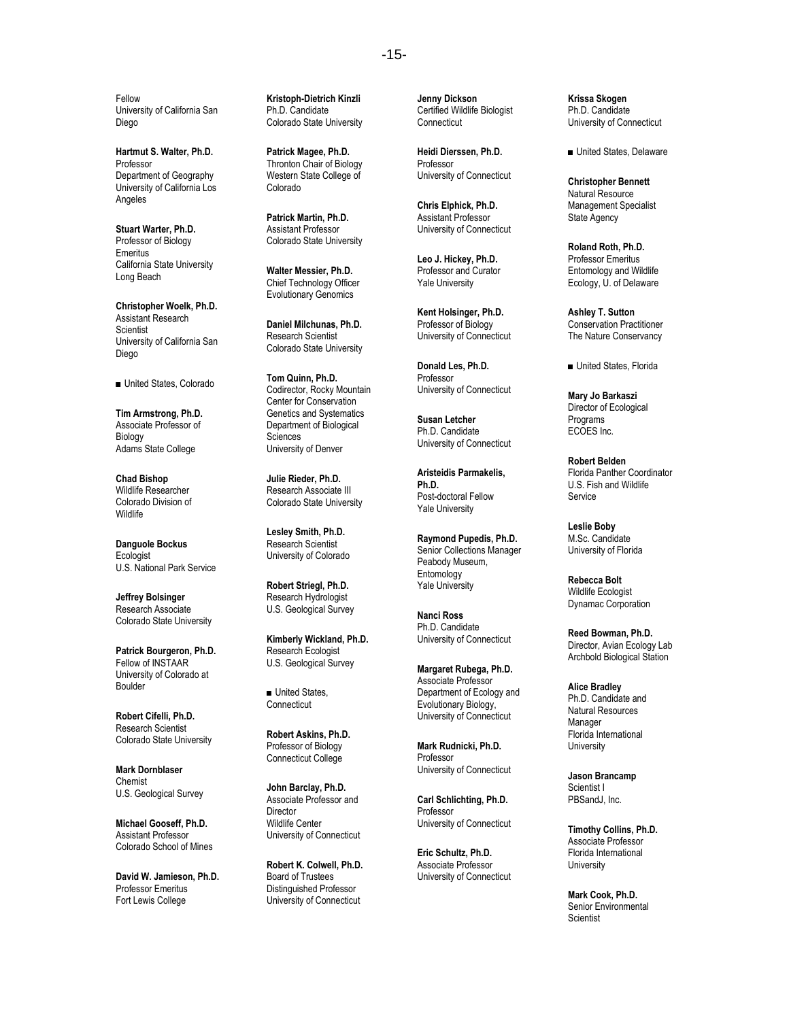Fellow University of California San Diego

**Hartmut S. Walter, Ph.D.** Professor Department of Geography University of California Los Angeles

**Stuart Warter, Ph.D.** Professor of Biology Emeritus California State University Long Beach

**Christopher Woelk, Ph.D.** Assistant Research **Scientist** University of California San Diego

■ United States, Colorado

**Tim Armstrong, Ph.D.** Associate Professor of Biology Adams State College

**Chad Bishop** Wildlife Researcher Colorado Division of **Wildlife** 

**Danguole Bockus Ecologist** U.S. National Park Service

**Jeffrey Bolsinger** Research Associate Colorado State University

**Patrick Bourgeron, Ph.D.** Fellow of INSTAAR University of Colorado at Boulder

**Robert Cifelli, Ph.D.** Research Scientist Colorado State University

**Mark Dornblaser** Chemist U.S. Geological Survey

**Michael Gooseff, Ph.D.** Assistant Professor Colorado School of Mines

**David W. Jamieson, Ph.D.**  Professor Emeritus Fort Lewis College

**Kristoph-Dietrich Kinzli** Ph.D. Candidate Colorado State University

**Patrick Magee, Ph.D.** Thronton Chair of Biology Western State College of Colorado

**Patrick Martin, Ph.D.** Assistant Professor Colorado State University

**Walter Messier, Ph.D.** Chief Technology Officer Evolutionary Genomics

**Daniel Milchunas, Ph.D.** Research Scientist Colorado State University

**Tom Quinn, Ph.D.** Codirector, Rocky Mountain Center for Conservation Genetics and Systematics Department of Biological **Sciences** University of Denver

**Julie Rieder, Ph.D.** Research Associate III Colorado State University

**Lesley Smith, Ph.D.** Research Scientist University of Colorado

**Robert Striegl, Ph.D.** Research Hydrologist U.S. Geological Survey

**Kimberly Wickland, Ph.D.** Research Ecologist U.S. Geological Survey

■ United States, **Connecticut** 

**Robert Askins, Ph.D.** Professor of Biology Connecticut College

**John Barclay, Ph.D.** Associate Professor and **Director** Wildlife Center University of Connecticut

**Robert K. Colwell, Ph.D.** Board of Trustees Distinguished Professor University of Connecticut

**Jenny Dickson** Certified Wildlife Biologist **Connecticut** 

**Heidi Dierssen, Ph.D.** Professor University of Connecticut

**Chris Elphick, Ph.D.** Assistant Professor University of Connecticut

**Leo J. Hickey, Ph.D.** Professor and Curator Yale University

**Kent Holsinger, Ph.D.** Professor of Biology University of Connecticut

**Donald Les, Ph.D.** Professor University of Connecticut

**Susan Letcher** Ph.D. Candidate University of Connecticut

**Aristeidis Parmakelis, Ph.D.** Post-doctoral Fellow Yale University

**Raymond Pupedis, Ph.D.** Senior Collections Manager Peabody Museum, Entomology Yale University

**Nanci Ross** Ph.D. Candidate University of Connecticut

**Margaret Rubega, Ph.D.** Associate Professor Department of Ecology and Evolutionary Biology, University of Connecticut

**Mark Rudnicki, Ph.D.** Professor University of Connecticut

**Carl Schlichting, Ph.D.** Professor University of Connecticut

**Eric Schultz, Ph.D.** Associate Professor University of Connecticut **Krissa Skogen** Ph.D. Candidate University of Connecticut

■ United States, Delaware

**Christopher Bennett** Natural Resource Management Specialist State Agency

**Roland Roth, Ph.D.** Professor Emeritus Entomology and Wildlife Ecology, U. of Delaware

**Ashley T. Sutton** Conservation Practitioner The Nature Conservancy

■ United States, Florida

**Mary Jo Barkaszi** Director of Ecological Programs ECOES Inc.

**Robert Belden** Florida Panther Coordinator U.S. Fish and Wildlife Service

**Leslie Boby** M.Sc. Candidate University of Florida

**Rebecca Bolt** Wildlife Ecologist Dynamac Corporation

**Reed Bowman, Ph.D.** Director, Avian Ecology Lab Archbold Biological Station

**Alice Bradley** Ph.D. Candidate and Natural Resources Manager Florida International **University** 

**Jason Brancamp** Scientist I PBSandJ, Inc.

**Timothy Collins, Ph.D.** Associate Professor Florida International University

**Mark Cook, Ph.D.** Senior Environmental **Scientist**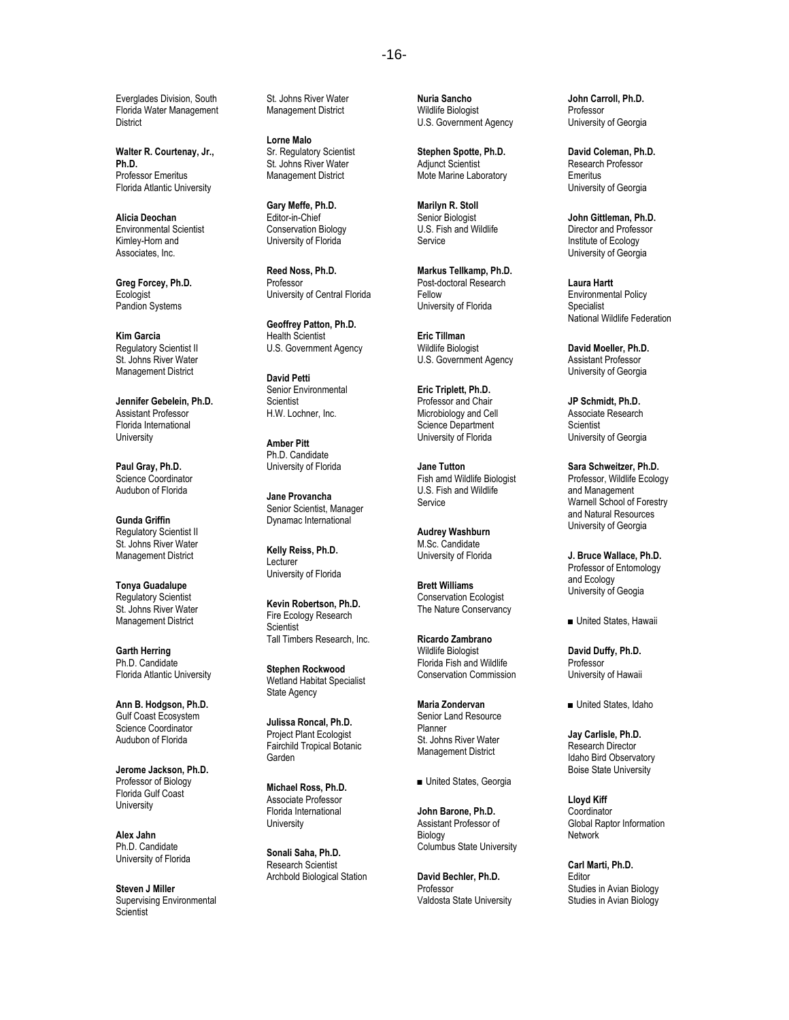Everglades Division, South Florida Water Management **District** 

**Walter R. Courtenay, Jr., Ph.D.** Professor Emeritus Florida Atlantic University

**Alicia Deochan** Environmental Scientist Kimley-Horn and Associates, Inc.

**Greg Forcey, Ph.D. Ecologist** Pandion Systems

**Kim Garcia** Regulatory Scientist II St. Johns River Water Management District

**Jennifer Gebelein, Ph.D.** Assistant Professor Florida International **University** 

**Paul Gray, Ph.D.** Science Coordinator Audubon of Florida

**Gunda Griffin** Regulatory Scientist II St. Johns River Water Management District

**Tonya Guadalupe** Regulatory Scientist St. Johns River Water Management District

**Garth Herring** Ph.D. Candidate Florida Atlantic University

**Ann B. Hodgson, Ph.D.** Gulf Coast Ecosystem Science Coordinator Audubon of Florida

**Jerome Jackson, Ph.D.** Professor of Biology Florida Gulf Coast **University** 

**Alex Jahn** Ph.D. Candidate University of Florida

**Steven J Miller**  Supervising Environmental **Scientist** 

St. Johns River Water Management District

**Lorne Malo** Sr. Regulatory Scientist St. Johns River Water Management District

**Gary Meffe, Ph.D.** Editor-in-Chief Conservation Biology University of Florida

**Reed Noss, Ph.D.** Professor University of Central Florida

**Geoffrey Patton, Ph.D.** Health Scientist U.S. Government Agency

**David Petti** Senior Environmental **Scientist** H.W. Lochner, Inc.

**Amber Pitt** Ph.D. Candidate University of Florida

**Jane Provancha** Senior Scientist, Manager Dynamac International

**Kelly Reiss, Ph.D.** Lecturer University of Florida

**Kevin Robertson, Ph.D.** Fire Ecology Research **Scientist** Tall Timbers Research, Inc.

**Stephen Rockwood** Wetland Habitat Specialist State Agency

**Julissa Roncal, Ph.D.** Project Plant Ecologist Fairchild Tropical Botanic Garden

**Michael Ross, Ph.D.** Associate Professor Florida International **University** 

**Sonali Saha, Ph.D.** Research Scientist Archbold Biological Station **Nuria Sancho** Wildlife Biologist U.S. Government Agency

**Stephen Spotte, Ph.D.** Adjunct Scientist Mote Marine Laboratory

**Marilyn R. Stoll** Senior Biologist U.S. Fish and Wildlife Service

**Markus Tellkamp, Ph.D.** Post-doctoral Research Fellow University of Florida

**Eric Tillman** Wildlife Biologist U.S. Government Agency

**Eric Triplett, Ph.D.** Professor and Chair Microbiology and Cell Science Department University of Florida

**Jane Tutton** Fish amd Wildlife Biologist U.S. Fish and Wildlife **Service** 

**Audrey Washburn** M.Sc. Candidate University of Florida

**Brett Williams** Conservation Ecologist The Nature Conservancy

**Ricardo Zambrano** Wildlife Biologist Florida Fish and Wildlife Conservation Commission

**Maria Zondervan** Senior Land Resource Planner St. Johns River Water Management District

■ United States, Georgia

**John Barone, Ph.D.** Assistant Professor of Biology Columbus State University

**David Bechler, Ph.D.** Professor Valdosta State University

**John Carroll, Ph.D.** Professor University of Georgia

**David Coleman, Ph.D.** Research Professor Emeritus University of Georgia

**John Gittleman, Ph.D.** Director and Professor Institute of Ecology University of Georgia

**Laura Hartt** Environmental Policy Specialist National Wildlife Federation

**David Moeller, Ph.D.** Assistant Professor University of Georgia

**JP Schmidt, Ph.D.** Associate Research **Scientist** University of Georgia

**Sara Schweitzer, Ph.D.** Professor, Wildlife Ecology and Management Warnell School of Forestry and Natural Resources University of Georgia

**J. Bruce Wallace, Ph.D.** Professor of Entomology and Ecology University of Geogia

■ United States, Hawaii

**David Duffy, Ph.D.** Professor University of Hawaii

■ United States, Idaho

**Jay Carlisle, Ph.D.** Research Director Idaho Bird Observatory Boise State University

**Lloyd Kiff Coordinator** Global Raptor Information Network

**Carl Marti, Ph.D.** Editor Studies in Avian Biology Studies in Avian Biology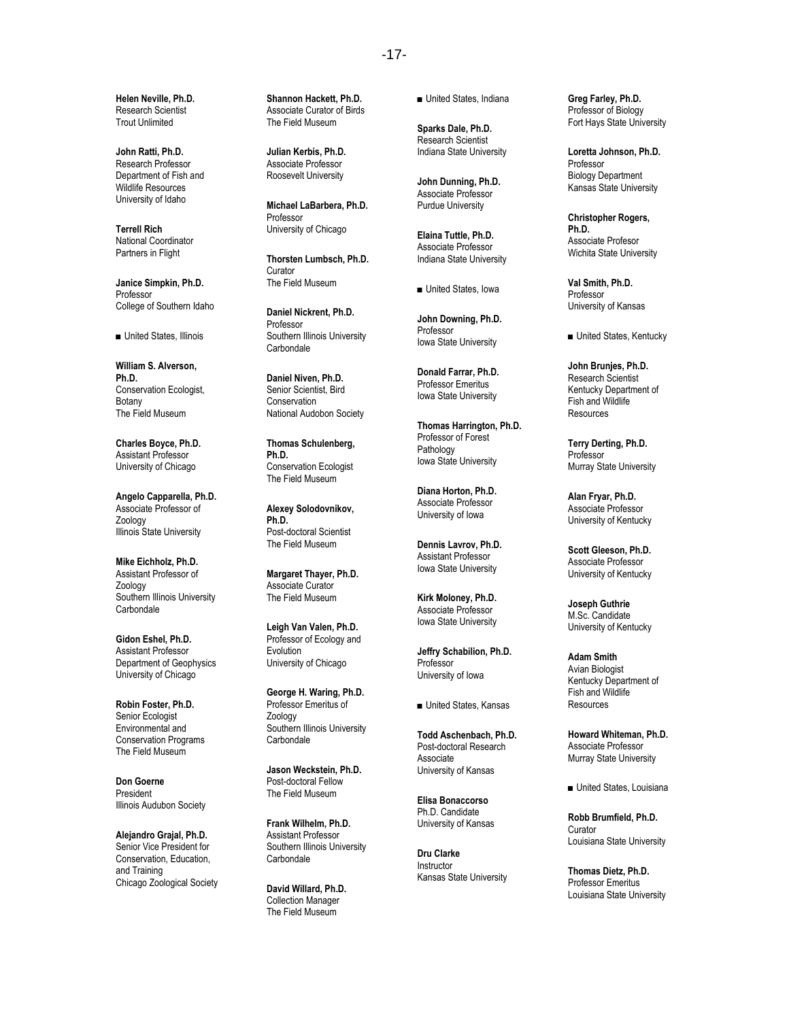**Helen Neville, Ph.D.** Research Scientist Trout Unlimited

**John Ratti, Ph.D.** Research Professor Department of Fish and Wildlife Resources University of Idaho

**Terrell Rich** National Coordinator Partners in Flight

**Janice Simpkin, Ph.D.** Professor College of Southern Idaho

■ United States, Illinois

**William S. Alverson, Ph.D.** Conservation Ecologist, Botany The Field Museum

**Charles Boyce, Ph.D.** Assistant Professor University of Chicago

**Angelo Capparella, Ph.D.** Associate Professor of Zoology Illinois State University

**Mike Eichholz, Ph.D.** Assistant Professor of Zoology Southern Illinois University **Carbondale** 

**Gidon Eshel, Ph.D.** Assistant Professor Department of Geophysics University of Chicago

**Robin Foster, Ph.D.** Senior Ecologist Environmental and Conservation Programs The Field Museum

**Don Goerne** President Illinois Audubon Society

**Alejandro Grajal, Ph.D.** Senior Vice President for Conservation, Education, and Training Chicago Zoological Society **Shannon Hackett, Ph.D.** Associate Curator of Birds The Field Museum

**Julian Kerbis, Ph.D.** Associate Professor Roosevelt University

**Michael LaBarbera, Ph.D.** Professor University of Chicago

**Thorsten Lumbsch, Ph.D.** Curator The Field Museum

**Daniel Nickrent, Ph.D.** Professor Southern Illinois University **Carbondale** 

**Daniel Niven, Ph.D.** Senior Scientist, Bird **Conservation** National Audobon Society

**Thomas Schulenberg, Ph.D.** Conservation Ecologist The Field Museum

**Alexey Solodovnikov, Ph.D.** Post-doctoral Scientist The Field Museum

**Margaret Thayer, Ph.D.** Associate Curator The Field Museum

**Leigh Van Valen, Ph.D.** Professor of Ecology and Evolution University of Chicago

**George H. Waring, Ph.D.** Professor Emeritus of Zoology Southern Illinois University Carbondale

**Jason Weckstein, Ph.D.** Post-doctoral Fellow The Field Museum

**Frank Wilhelm, Ph.D.** Assistant Professor Southern Illinois University Carbondale

**David Willard, Ph.D.** Collection Manager The Field Museum

■ United States, Indiana

**Sparks Dale, Ph.D.** Research Scientist Indiana State University

**John Dunning, Ph.D.** Associate Professor Purdue University

**Elaina Tuttle, Ph.D.** Associate Professor Indiana State University

■ United States, Iowa

**John Downing, Ph.D.** Professor Iowa State University

**Donald Farrar, Ph.D.** Professor Emeritus Iowa State University

**Thomas Harrington, Ph.D.** Professor of Forest **Pathology** Iowa State University

**Diana Horton, Ph.D.** Associate Professor University of Iowa

**Dennis Lavrov, Ph.D.** Assistant Professor Iowa State University

**Kirk Moloney, Ph.D.** Associate Professor Iowa State University

**Jeffry Schabilion, Ph.D.** Professor University of Iowa

■ United States, Kansas

**Todd Aschenbach, Ph.D.** Post-doctoral Research Associate University of Kansas

**Elisa Bonaccorso** Ph.D. Candidate University of Kansas

**Dru Clarke** Instructor Kansas State University **Greg Farley, Ph.D.** Professor of Biology Fort Hays State University

**Loretta Johnson, Ph.D.** Professor Biology Department Kansas State University

**Christopher Rogers, Ph.D.** Associate Profesor Wichita State University

**Val Smith, Ph.D.** Professor University of Kansas

■ United States, Kentucky

**John Brunjes, Ph.D.** Research Scientist Kentucky Department of Fish and Wildlife **Resources** 

**Terry Derting, Ph.D.** Professor Murray State University

**Alan Fryar, Ph.D.** Associate Professor University of Kentucky

**Scott Gleeson, Ph.D.** Associate Professor University of Kentucky

**Joseph Guthrie** M.Sc. Candidate University of Kentucky

**Adam Smith** Avian Biologist Kentucky Department of Fish and Wildlife Resources

**Howard Whiteman, Ph.D.** Associate Professor Murray State University

■ United States, Louisiana

**Robb Brumfield, Ph.D.** Curator Louisiana State University

**Thomas Dietz, Ph.D.** Professor Emeritus Louisiana State University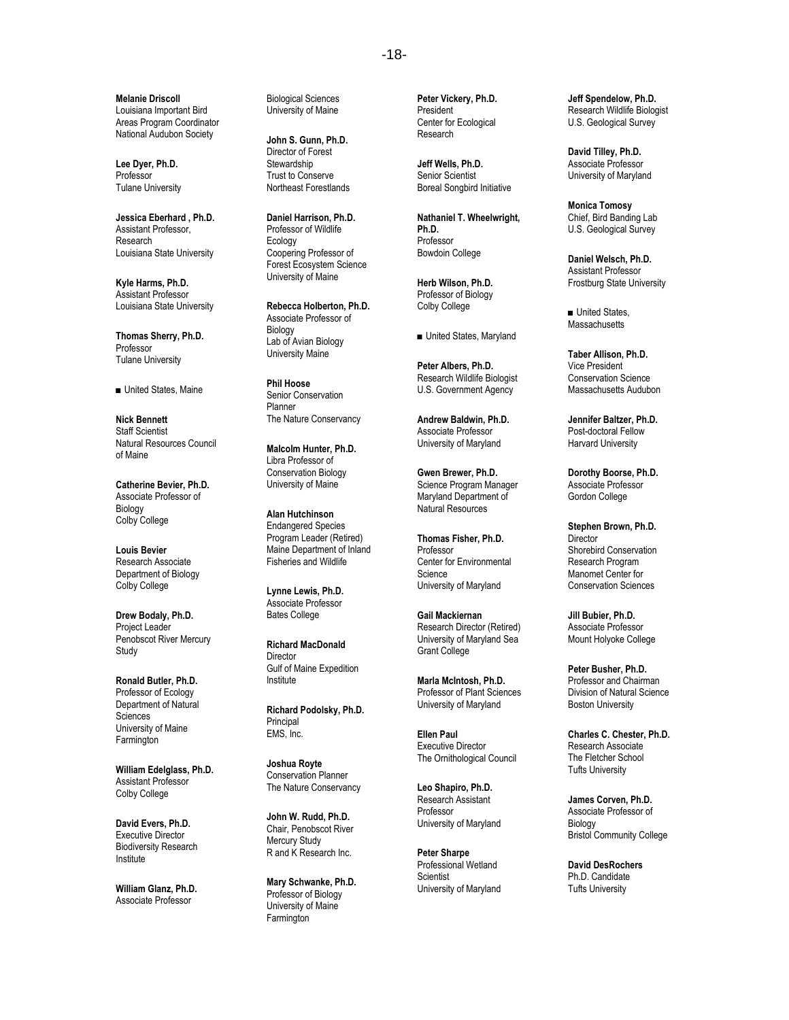**Melanie Driscoll** Louisiana Important Bird Areas Program Coordinator National Audubon Society

**Lee Dyer, Ph.D.** Professor Tulane University

**Jessica Eberhard , Ph.D.** Assistant Professor, Research Louisiana State University

**Kyle Harms, Ph.D.** Assistant Professor Louisiana State University

**Thomas Sherry, Ph.D.** Professor Tulane University

■ United States, Maine

**Nick Bennett** Staff Scientist Natural Resources Council of Maine

**Catherine Bevier, Ph.D.** Associate Professor of Biology Colby College

**Louis Bevier** Research Associate Department of Biology Colby College

**Drew Bodaly, Ph.D.** Project Leader Penobscot River Mercury **Study** 

**Ronald Butler, Ph.D.** Professor of Ecology Department of Natural **Sciences** University of Maine **Farmington** 

**William Edelglass, Ph.D.** Assistant Professor Colby College

**David Evers, Ph.D.** Executive Director Biodiversity Research Institute

**William Glanz, Ph.D.** Associate Professor

Biological Sciences University of Maine

**John S. Gunn, Ph.D.** Director of Forest **Stewardship** Trust to Conserve Northeast Forestlands

**Daniel Harrison, Ph.D.** Professor of Wildlife Ecology Coopering Professor of Forest Ecosystem Science University of Maine

**Rebecca Holberton, Ph.D.** Associate Professor of Biology Lab of Avian Biology University Maine

**Phil Hoose** Senior Conservation Planner The Nature Conservancy

**Malcolm Hunter, Ph.D.** Libra Professor of Conservation Biology University of Maine

**Alan Hutchinson** Endangered Species Program Leader (Retired) Maine Department of Inland Fisheries and Wildlife

**Lynne Lewis, Ph.D.** Associate Professor Bates College

**Richard MacDonald** Director Gulf of Maine Expedition Institute

**Richard Podolsky, Ph.D.** Principal EMS, Inc.

**Joshua Royte** Conservation Planner The Nature Conservancy

**John W. Rudd, Ph.D.** Chair, Penobscot River Mercury Study R and K Research Inc.

**Mary Schwanke, Ph.D.** Professor of Biology University of Maine **Farmington** 

**Peter Vickery, Ph.D.** President Center for Ecological Research

**Jeff Wells, Ph.D.** Senior Scientist Boreal Songbird Initiative

**Nathaniel T. Wheelwright, Ph.D.** Professor Bowdoin College

**Herb Wilson, Ph.D.** Professor of Biology Colby College

■ United States, Maryland

**Peter Albers, Ph.D.** Research Wildlife Biologist U.S. Government Agency

**Andrew Baldwin, Ph.D.** Associate Professor University of Maryland

**Gwen Brewer, Ph.D.** Science Program Manager Maryland Department of Natural Resources

**Thomas Fisher, Ph.D. Professor** Center for Environmental Science University of Maryland

**Gail Mackiernan** Research Director (Retired) University of Maryland Sea Grant College

**Marla McIntosh, Ph.D.** Professor of Plant Sciences University of Maryland

**Ellen Paul** Executive Director The Ornithological Council

**Leo Shapiro, Ph.D.** Research Assistant Professor University of Maryland

**Peter Sharpe** Professional Wetland **Scientist** University of Maryland

**Jeff Spendelow, Ph.D.** Research Wildlife Biologist U.S. Geological Survey

**David Tilley, Ph.D.** Associate Professor University of Maryland

**Monica Tomosy** Chief, Bird Banding Lab U.S. Geological Survey

**Daniel Welsch, Ph.D.** Assistant Professor Frostburg State University

■ United States, **Massachusetts** 

**Taber Allison, Ph.D.** Vice President Conservation Science Massachusetts Audubon

**Jennifer Baltzer, Ph.D.** Post-doctoral Fellow Harvard University

**Dorothy Boorse, Ph.D.** Associate Professor Gordon College

**Stephen Brown, Ph.D. Director** Shorebird Conservation Research Program Manomet Center for Conservation Sciences

**Jill Bubier, Ph.D.** Associate Professor Mount Holyoke College

**Peter Busher, Ph.D.** Professor and Chairman Division of Natural Science Boston University

**Charles C. Chester, Ph.D.** Research Associate The Fletcher School Tufts University

**James Corven, Ph.D.** Associate Professor of Biology Bristol Community College

**David DesRochers** Ph.D. Candidate Tufts University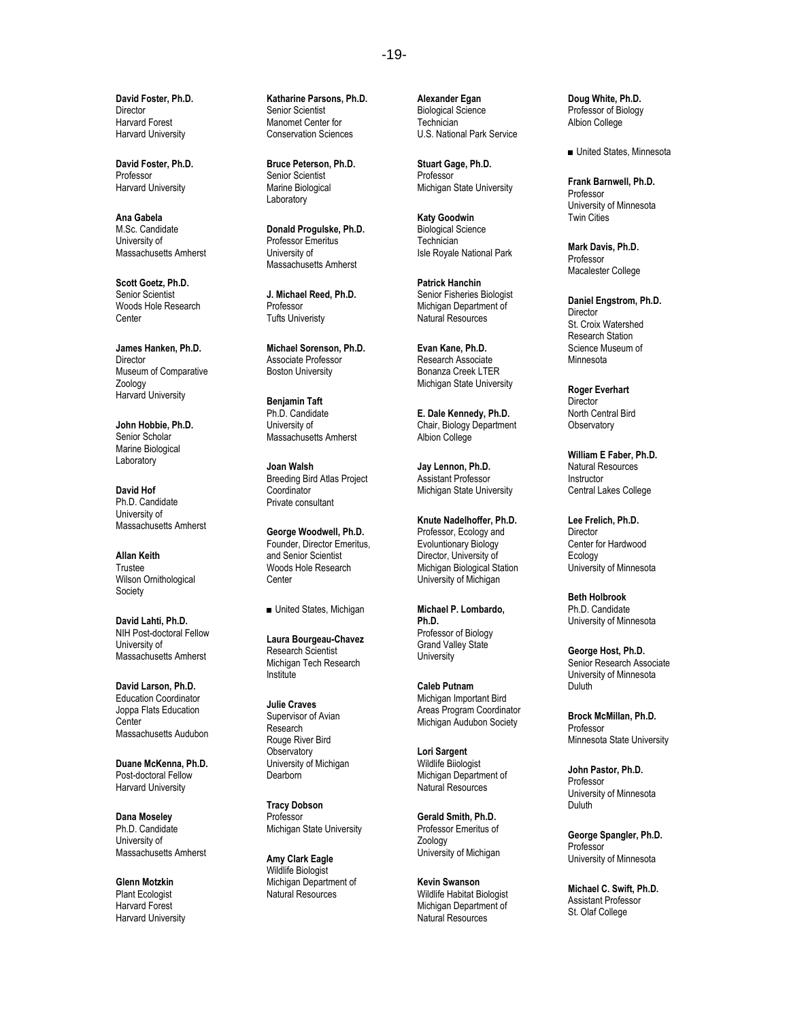**David Foster, Ph.D. Director** Harvard Forest Harvard University

**David Foster, Ph.D.** Professor Harvard University

**Ana Gabela** M.Sc. Candidate University of Massachusetts Amherst

**Scott Goetz, Ph.D.** Senior Scientist Woods Hole Research Center

**James Hanken, Ph.D. Director** Museum of Comparative Zoology Harvard University

**John Hobbie, Ph.D.** Senior Scholar Marine Biological Laboratory

**David Hof** Ph.D. Candidate University of Massachusetts Amherst

**Allan Keith** Trustee Wilson Ornithological **Society** 

**David Lahti, Ph.D.** NIH Post-doctoral Fellow University of Massachusetts Amherst

**David Larson, Ph.D.** Education Coordinator Joppa Flats Education Center Massachusetts Audubon

**Duane McKenna, Ph.D.** Post-doctoral Fellow Harvard University

**Dana Moseley** Ph.D. Candidate University of Massachusetts Amherst

**Glenn Motzkin** Plant Ecologist Harvard Forest Harvard University

**Katharine Parsons, Ph.D.** Senior Scientist Manomet Center for Conservation Sciences

**Bruce Peterson, Ph.D.** Senior Scientist Marine Biological Laboratory

**Donald Progulske, Ph.D.** Professor Emeritus University of Massachusetts Amherst

**J. Michael Reed, Ph.D.** Professor Tufts Univeristy

**Michael Sorenson, Ph.D.** Associate Professor Boston University

**Benjamin Taft** Ph.D. Candidate University of Massachusetts Amherst

**Joan Walsh** Breeding Bird Atlas Project **Coordinator** Private consultant

**George Woodwell, Ph.D.** Founder, Director Emeritus, and Senior Scientist Woods Hole Research Center

■ United States, Michigan

**Laura Bourgeau-Chavez** Research Scientist Michigan Tech Research Institute

**Julie Craves** Supervisor of Avian Research Rouge River Bird **Observatory** University of Michigan Dearborn

**Tracy Dobson** Professor Michigan State University

**Amy Clark Eagle** Wildlife Biologist Michigan Department of Natural Resources

**Alexander Egan** Biological Science **Technician** U.S. National Park Service

**Stuart Gage, Ph.D.** Professor Michigan State University

**Katy Goodwin** Biological Science **Technician** Isle Royale National Park

**Patrick Hanchin** Senior Fisheries Biologist Michigan Department of Natural Resources

**Evan Kane, Ph.D.** Research Associate Bonanza Creek LTER Michigan State University

**E. Dale Kennedy, Ph.D.** Chair, Biology Department Albion College

**Jay Lennon, Ph.D.** Assistant Professor Michigan State University

**Knute Nadelhoffer, Ph.D.** Professor, Ecology and Evoluntionary Biology Director, University of Michigan Biological Station University of Michigan

**Michael P. Lombardo, Ph.D.** Professor of Biology Grand Valley State **University** 

**Caleb Putnam** Michigan Important Bird Areas Program Coordinator Michigan Audubon Society

**Lori Sargent** Wildlife Biiologist Michigan Department of Natural Resources

**Gerald Smith, Ph.D.** Professor Emeritus of Zoology University of Michigan

**Kevin Swanson** Wildlife Habitat Biologist Michigan Department of Natural Resources

**Doug White, Ph.D.** Professor of Biology Albion College

■ United States, Minnesota

**Frank Barnwell, Ph.D.** Professor University of Minnesota Twin Cities

**Mark Davis, Ph.D.** Professor Macalester College

**Daniel Engstrom, Ph.D.** Director St. Croix Watershed Research Station Science Museum of **Minnesota** 

**Roger Everhart Director** North Central Bird **Observatory** 

**William E Faber, Ph.D.** Natural Resources Instructor Central Lakes College

**Lee Frelich, Ph.D.** Director Center for Hardwood Ecology University of Minnesota

**Beth Holbrook** Ph.D. Candidate University of Minnesota

**George Host, Ph.D.** Senior Research Associate University of Minnesota Duluth

**Brock McMillan, Ph.D.** Professor Minnesota State University

**John Pastor, Ph.D.** Professor University of Minnesota Duluth

**George Spangler, Ph.D.** Professor University of Minnesota

**Michael C. Swift, Ph.D.** Assistant Professor St. Olaf College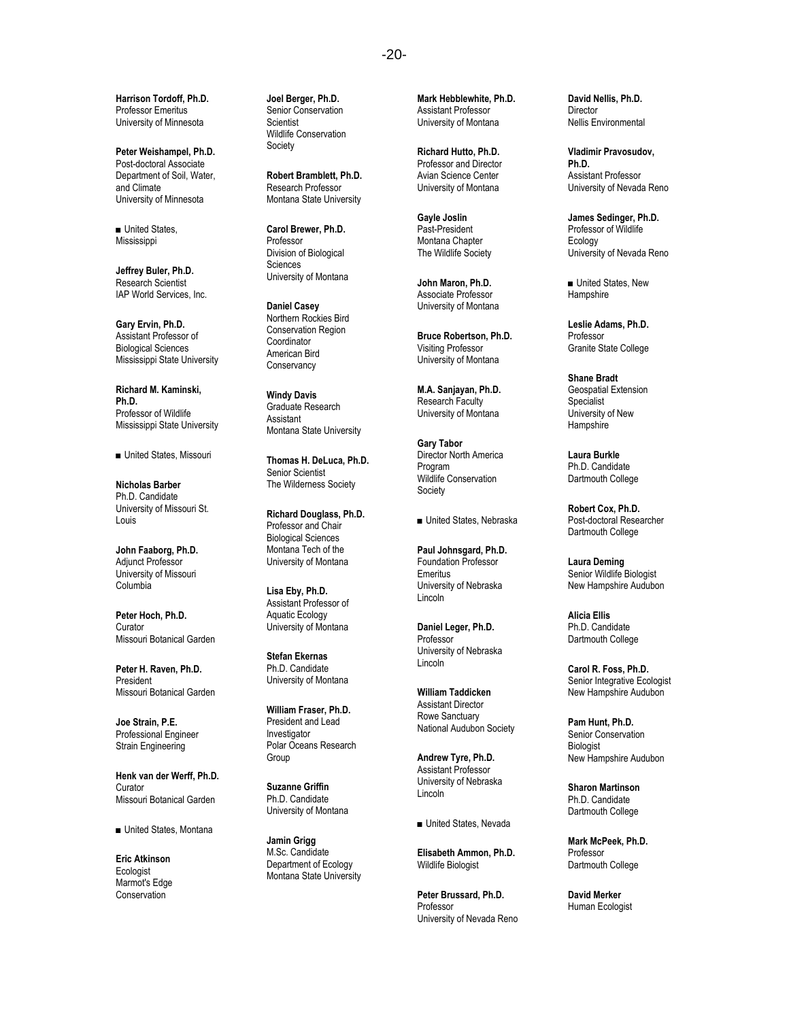**Harrison Tordoff, Ph.D.** Professor Emeritus University of Minnesota

**Peter Weishampel, Ph.D.** Post-doctoral Associate Department of Soil, Water, and Climate University of Minnesota

■ United States, Mississippi

**Jeffrey Buler, Ph.D.** Research Scientist IAP World Services, Inc.

**Gary Ervin, Ph.D.** Assistant Professor of Biological Sciences Mississippi State University

**Richard M. Kaminski, Ph.D.** Professor of Wildlife Mississippi State University

■ United States, Missouri

**Nicholas Barber** Ph.D. Candidate University of Missouri St. Louis

**John Faaborg, Ph.D.** Adjunct Professor University of Missouri Columbia

**Peter Hoch, Ph.D.** Curator Missouri Botanical Garden

**Peter H. Raven, Ph.D.** President Missouri Botanical Garden

**Joe Strain, P.E.** Professional Engineer Strain Engineering

**Henk van der Werff, Ph.D.** Curator Missouri Botanical Garden

■ United States, Montana

**Eric Atkinson** Ecologist Marmot's Edge **Conservation** 

**Joel Berger, Ph.D.** Senior Conservation **Scientist** Wildlife Conservation Society

**Robert Bramblett, Ph.D.** Research Professor Montana State University

**Carol Brewer, Ph.D.** Professor Division of Biological **Sciences** University of Montana

**Daniel Casey** Northern Rockies Bird Conservation Region Coordinator American Bird **Conservancy** 

**Windy Davis** Graduate Research Assistant Montana State University

**Thomas H. DeLuca, Ph.D.** Senior Scientist The Wilderness Society

**Richard Douglass, Ph.D.** Professor and Chair Biological Sciences Montana Tech of the University of Montana

**Lisa Eby, Ph.D.** Assistant Professor of Aquatic Ecology University of Montana

**Stefan Ekernas** Ph.D. Candidate University of Montana

**William Fraser, Ph.D.** President and Lead Investigator Polar Oceans Research Group

**Suzanne Griffin** Ph.D. Candidate University of Montana

**Jamin Grigg** M.Sc. Candidate Department of Ecology Montana State University **Mark Hebblewhite, Ph.D.** Assistant Professor University of Montana

**Richard Hutto, Ph.D.** Professor and Director Avian Science Center University of Montana

**Gayle Joslin** Past-President Montana Chapter The Wildlife Society

**John Maron, Ph.D.** Associate Professor University of Montana

**Bruce Robertson, Ph.D.** Visiting Professor University of Montana

**M.A. Sanjayan, Ph.D.** Research Faculty University of Montana

**Gary Tabor** Director North America Program Wildlife Conservation Society

■ United States, Nebraska

**Paul Johnsgard, Ph.D.** Foundation Professor Emeritus University of Nebraska Lincoln

**Daniel Leger, Ph.D.** Professor University of Nebraska Lincoln

**William Taddicken** Assistant Director Rowe Sanctuary National Audubon Society

**Andrew Tyre, Ph.D.** Assistant Professor University of Nebraska Lincoln

■ United States, Nevada

**Elisabeth Ammon, Ph.D.** Wildlife Biologist

**Peter Brussard, Ph.D. Professor** University of Nevada Reno **David Nellis, Ph.D. Director** Nellis Environmental

**Vladimir Pravosudov, Ph.D.** Assistant Professor University of Nevada Reno

**James Sedinger, Ph.D.** Professor of Wildlife Ecology University of Nevada Reno

■ United States, New **Hampshire** 

**Leslie Adams, Ph.D.** Professor Granite State College

**Shane Bradt** Geospatial Extension Specialist University of New **Hampshire** 

**Laura Burkle** Ph.D. Candidate Dartmouth College

**Robert Cox, Ph.D.** Post-doctoral Researcher Dartmouth College

**Laura Deming** Senior Wildlife Biologist New Hampshire Audubon

**Alicia Ellis** Ph.D. Candidate Dartmouth College

**Carol R. Foss, Ph.D.** Senior Integrative Ecologist New Hampshire Audubon

**Pam Hunt, Ph.D.** Senior Conservation **Biologist** New Hampshire Audubon

**Sharon Martinson** Ph.D. Candidate Dartmouth College

**Mark McPeek, Ph.D.** Professor Dartmouth College

**David Merker** Human Ecologist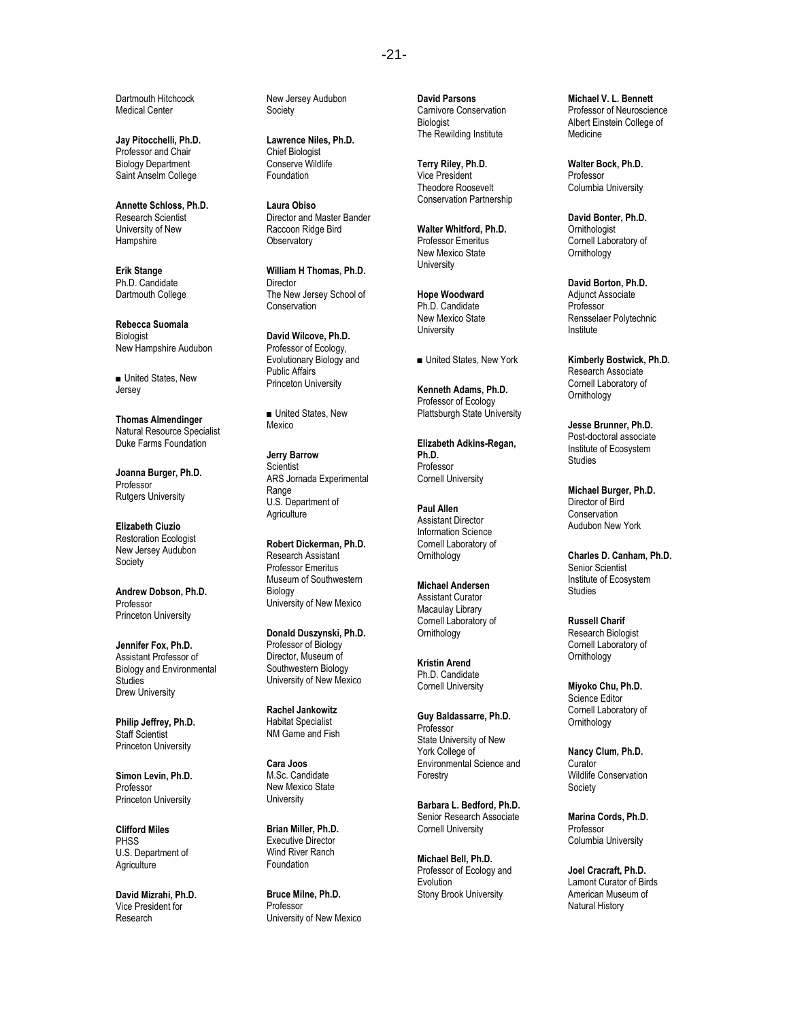Dartmouth Hitchcock Medical Center

**Jay Pitocchelli, Ph.D.** Professor and Chair Biology Department Saint Anselm College

**Annette Schloss, Ph.D.** Research Scientist University of New **Hampshire** 

**Erik Stange** Ph.D. Candidate Dartmouth College

**Rebecca Suomala Biologist** New Hampshire Audubon

■ United States, New Jersey

**Thomas Almendinger** Natural Resource Specialist Duke Farms Foundation

**Joanna Burger, Ph.D.** Professor Rutgers University

**Elizabeth Ciuzio** Restoration Ecologist New Jersey Audubon **Society** 

**Andrew Dobson, Ph.D.** Professor Princeton University

**Jennifer Fox, Ph.D.** Assistant Professor of Biology and Environmental **Studies** Drew University

**Philip Jeffrey, Ph.D.** Staff Scientist Princeton University

**Simon Levin, Ph.D.** Professor Princeton University

**Clifford Miles PHSS** U.S. Department of **Agriculture** 

**David Mizrahi, Ph.D.** Vice President for Research

New Jersey Audubon Society

**Lawrence Niles, Ph.D.** Chief Biologist Conserve Wildlife Foundation

**Laura Obiso** Director and Master Bander Raccoon Ridge Bird **Observatory** 

**William H Thomas, Ph.D.** Director The New Jersey School of Conservation

**David Wilcove, Ph.D.** Professor of Ecology, Evolutionary Biology and Public Affairs Princeton University

■ United States, New Mexico

**Jerry Barrow Scientist** ARS Jornada Experimental Range U.S. Department of **Agriculture** 

**Robert Dickerman, Ph.D.** Research Assistant Professor Emeritus Museum of Southwestern **Biology** University of New Mexico

**Donald Duszynski, Ph.D.** Professor of Biology Director, Museum of Southwestern Biology University of New Mexico

**Rachel Jankowitz** Habitat Specialist NM Game and Fish

**Cara Joos** M.Sc. Candidate New Mexico State **University** 

**Brian Miller, Ph.D.** Executive Director Wind River Ranch Foundation

**Bruce Milne, Ph.D.** Professor University of New Mexico **David Parsons** Carnivore Conservation Biologist The Rewilding Institute

**Terry Riley, Ph.D.** Vice President Theodore Roosevelt Conservation Partnership

**Walter Whitford, Ph.D.** Professor Emeritus New Mexico State **University** 

**Hope Woodward** Ph.D. Candidate New Mexico State **University** 

■ United States, New York

**Kenneth Adams, Ph.D.** Professor of Ecology Plattsburgh State University

**Elizabeth Adkins-Regan, Ph.D.** Professor Cornell University

**Paul Allen** Assistant Director Information Science Cornell Laboratory of **Ornithology** 

**Michael Andersen** Assistant Curator Macaulay Library Cornell Laboratory of **Ornithology** 

**Kristin Arend** Ph.D. Candidate Cornell University

**Guy Baldassarre, Ph.D.** Professor State University of New York College of Environmental Science and Forestry

**Barbara L. Bedford, Ph.D.** Senior Research Associate Cornell University

**Michael Bell, Ph.D.** Professor of Ecology and Evolution Stony Brook University

**Michael V. L. Bennett** Professor of Neuroscience Albert Einstein College of Medicine

**Walter Bock, Ph.D.** Professor Columbia University

**David Bonter, Ph.D. Ornithologist** Cornell Laboratory of Ornithology

**David Borton, Ph.D.** Adjunct Associate Professor Rensselaer Polytechnic Institute

**Kimberly Bostwick, Ph.D.** Research Associate Cornell Laboratory of **Ornithology** 

**Jesse Brunner, Ph.D.** Post-doctoral associate Institute of Ecosystem Studies

**Michael Burger, Ph.D.** Director of Bird **Conservation** Audubon New York

**Charles D. Canham, Ph.D.** Senior Scientist Institute of Ecosystem Studies

**Russell Charif** Research Biologist Cornell Laboratory of **Ornithology** 

**Miyoko Chu, Ph.D.** Science Editor Cornell Laboratory of **Ornithology** 

**Nancy Clum, Ph.D.** Curator Wildlife Conservation Society

**Marina Cords, Ph.D.** Professor Columbia University

**Joel Cracraft, Ph.D.** Lamont Curator of Birds American Museum of Natural History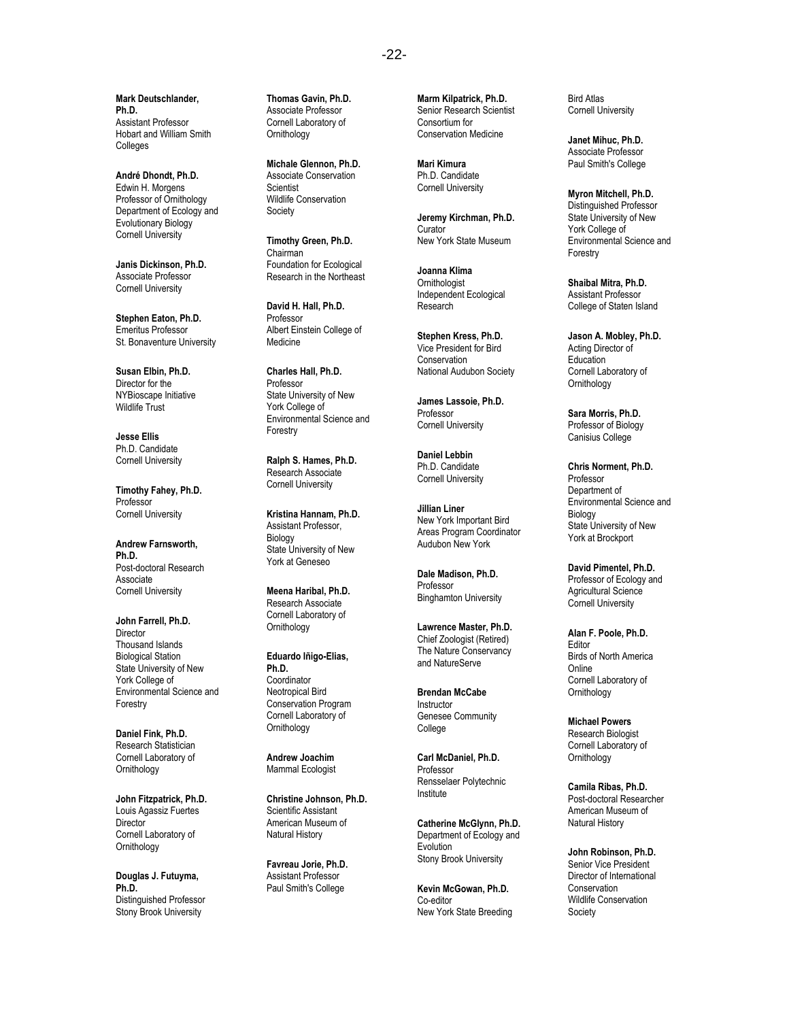**Mark Deutschlander, Ph.D.** Assistant Professor Hobart and William Smith **Colleges** 

**André Dhondt, Ph.D.** Edwin H. Morgens Professor of Ornithology Department of Ecology and Evolutionary Biology Cornell University

**Janis Dickinson, Ph.D.** Associate Professor Cornell University

**Stephen Eaton, Ph.D.** Emeritus Professor St. Bonaventure University

**Susan Elbin, Ph.D.** Director for the NYBioscape Initiative Wildlife Trust

**Jesse Ellis** Ph.D. Candidate Cornell University

**Timothy Fahey, Ph.D.** Professor Cornell University

**Andrew Farnsworth, Ph.D.** Post-doctoral Research Associate Cornell University

**John Farrell, Ph.D. Director** Thousand Islands Biological Station State University of New York College of Environmental Science and Forestry

**Daniel Fink, Ph.D.** Research Statistician Cornell Laboratory of **Ornithology** 

**John Fitzpatrick, Ph.D.** Louis Agassiz Fuertes Director Cornell Laboratory of **Ornithology** 

**Douglas J. Futuyma, Ph.D.** Distinguished Professor Stony Brook University

**Thomas Gavin, Ph.D.** Associate Professor Cornell Laboratory of Ornithology

**Michale Glennon, Ph.D.** Associate Conservation **Scientist** Wildlife Conservation Society

**Timothy Green, Ph.D.** Chairman Foundation for Ecological Research in the Northeast

**David H. Hall, Ph.D.** Professor Albert Einstein College of Medicine

**Charles Hall, Ph.D.** Professor State University of New York College of Environmental Science and Forestry

**Ralph S. Hames, Ph.D.** Research Associate Cornell University

**Kristina Hannam, Ph.D.** Assistant Professor, Biology State University of New York at Geneseo

**Meena Haribal, Ph.D.** Research Associate Cornell Laboratory of Ornithology

**Eduardo Iñigo-Elias, Ph.D.** Coordinator Neotropical Bird Conservation Program Cornell Laboratory of **Ornithology** 

**Andrew Joachim** Mammal Ecologist

**Christine Johnson, Ph.D.** Scientific Assistant American Museum of Natural History

**Favreau Jorie, Ph.D.** Assistant Professor Paul Smith's College

**Marm Kilpatrick, Ph.D.** Senior Research Scientist Consortium for Conservation Medicine

**Mari Kimura** Ph.D. Candidate Cornell University

**Jeremy Kirchman, Ph.D.** Curator New York State Museum

**Joanna Klima Ornithologist** Independent Ecological Research

**Stephen Kress, Ph.D.** Vice President for Bird Conservation National Audubon Society

**James Lassoie, Ph.D.** Professor Cornell University

**Daniel Lebbin** Ph.D. Candidate Cornell University

**Jillian Liner** New York Important Bird Areas Program Coordinator Audubon New York

**Dale Madison, Ph.D.** Professor Binghamton University

**Lawrence Master, Ph.D.** Chief Zoologist (Retired) The Nature Conservancy and NatureServe

**Brendan McCabe Instructor** Genesee Community College

**Carl McDaniel, Ph.D.** Professor Rensselaer Polytechnic Institute

**Catherine McGlynn, Ph.D.** Department of Ecology and Evolution Stony Brook University

**Kevin McGowan, Ph.D.** Co-editor New York State Breeding Bird Atlas Cornell University

**Janet Mihuc, Ph.D.** Associate Professor Paul Smith's College

**Myron Mitchell, Ph.D.** Distinguished Professor State University of New York College of Environmental Science and Forestry

**Shaibal Mitra, Ph.D.** Assistant Professor College of Staten Island

**Jason A. Mobley, Ph.D.** Acting Director of Education Cornell Laboratory of **Ornithology** 

**Sara Morris, Ph.D.** Professor of Biology Canisius College

**Chris Norment, Ph.D.** Professor Department of Environmental Science and Biology State University of New York at Brockport

**David Pimentel, Ph.D.** Professor of Ecology and Agricultural Science Cornell University

**Alan F. Poole, Ph.D.** Editor Birds of North America Online Cornell Laboratory of **Ornithology** 

**Michael Powers** Research Biologist Cornell Laboratory of **Ornithology** 

**Camila Ribas, Ph.D.** Post-doctoral Researcher American Museum of Natural History

**John Robinson, Ph.D.** Senior Vice President Director of International Conservation Wildlife Conservation Society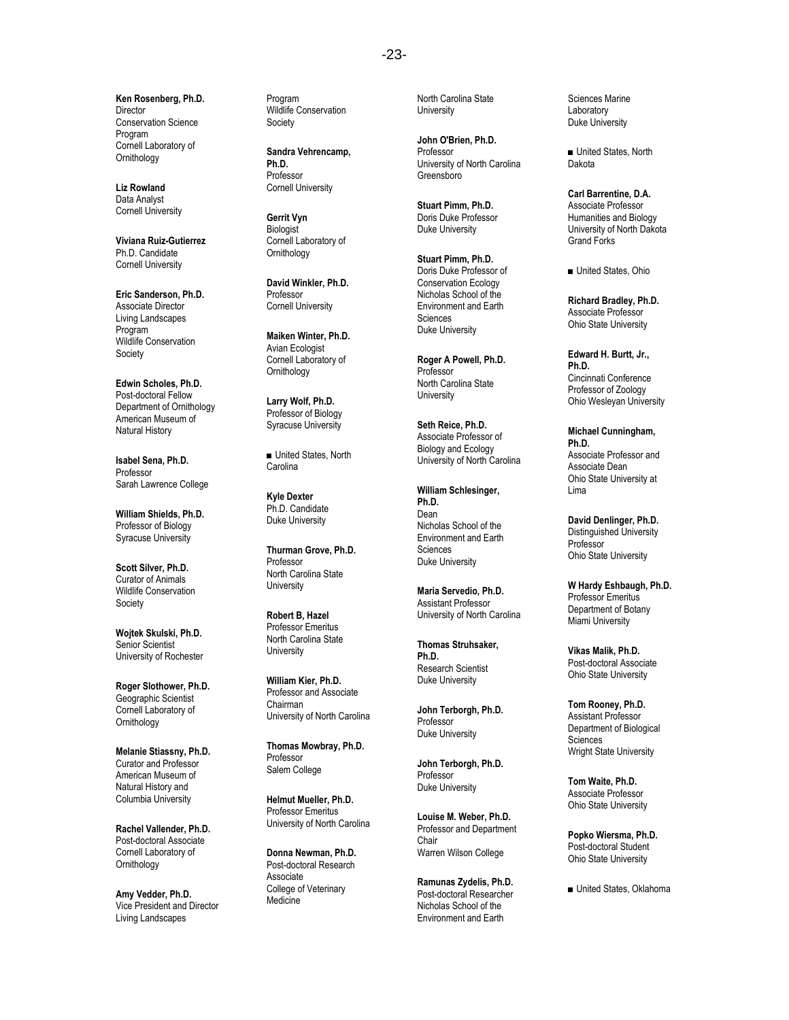**Ken Rosenberg, Ph.D. Director** Conservation Science Program Cornell Laboratory of Ornithology

**Liz Rowland** Data Analyst Cornell University

**Viviana Ruiz-Gutierrez** Ph.D. Candidate Cornell University

**Eric Sanderson, Ph.D.** Associate Director Living Landscapes Program Wildlife Conservation Society

**Edwin Scholes, Ph.D.** Post-doctoral Fellow Department of Ornithology American Museum of Natural History

**Isabel Sena, Ph.D.** Professor Sarah Lawrence College

**William Shields, Ph.D.** Professor of Biology Syracuse University

**Scott Silver, Ph.D.** Curator of Animals Wildlife Conservation **Society** 

**Wojtek Skulski, Ph.D.** Senior Scientist University of Rochester

**Roger Slothower, Ph.D.** Geographic Scientist Cornell Laboratory of **Ornithology** 

**Melanie Stiassny, Ph.D.** Curator and Professor American Museum of Natural History and Columbia University

**Rachel Vallender, Ph.D.** Post-doctoral Associate Cornell Laboratory of Ornithology

**Amy Vedder, Ph.D.** Vice President and Director Living Landscapes

Program Wildlife Conservation Society

**Sandra Vehrencamp, Ph.D.** Professor Cornell University

**Gerrit Vyn Biologist** Cornell Laboratory of Ornithology

**David Winkler, Ph.D.** Professor Cornell University

**Maiken Winter, Ph.D.** Avian Ecologist Cornell Laboratory of **Ornithology** 

**Larry Wolf, Ph.D.** Professor of Biology Syracuse University

■ United States, North **Carolina** 

**Kyle Dexter** Ph.D. Candidate Duke University

**Thurman Grove, Ph.D.** Professor North Carolina State **University** 

**Robert B, Hazel** Professor Emeritus North Carolina State **University** 

**William Kier, Ph.D.** Professor and Associate Chairman University of North Carolina

**Thomas Mowbray, Ph.D.** Professor Salem College

**Helmut Mueller, Ph.D.** Professor Emeritus University of North Carolina

**Donna Newman, Ph.D.** Post-doctoral Research **Associate** College of Veterinary Medicine

North Carolina State **University** 

**John O'Brien, Ph.D.** Professor University of North Carolina Greensboro

**Stuart Pimm, Ph.D.** Doris Duke Professor Duke University

**Stuart Pimm, Ph.D.** Doris Duke Professor of Conservation Ecology Nicholas School of the Environment and Earth Sciences Duke University

**Roger A Powell, Ph.D.** Professor North Carolina State University

**Seth Reice, Ph.D.** Associate Professor of Biology and Ecology University of North Carolina

**William Schlesinger, Ph.D.** Dean Nicholas School of the Environment and Earth **Sciences** Duke University

**Maria Servedio, Ph.D.** Assistant Professor University of North Carolina

**Thomas Struhsaker, Ph.D.** Research Scientist Duke University

**John Terborgh, Ph.D.** Professor Duke University

**John Terborgh, Ph.D.** Professor Duke University

**Louise M. Weber, Ph.D.** Professor and Department Chair Warren Wilson College

**Ramunas Zydelis, Ph.D.** Post-doctoral Researcher Nicholas School of the Environment and Earth

Sciences Marine Laboratory Duke University

■ United States, North Dakota

**Carl Barrentine, D.A.** Associate Professor Humanities and Biology University of North Dakota Grand Forks

■ United States, Ohio

**Richard Bradley, Ph.D.** Associate Professor Ohio State University

**Edward H. Burtt, Jr., Ph.D.** Cincinnati Conference Professor of Zoology Ohio Wesleyan University

**Michael Cunningham, Ph.D.**  Associate Professor and Associate Dean Ohio State University at Lima

**David Denlinger, Ph.D.** Distinguished University Professor Ohio State University

**W Hardy Eshbaugh, Ph.D.** Professor Emeritus Department of Botany Miami University

**Vikas Malik, Ph.D.** Post-doctoral Associate Ohio State University

**Tom Rooney, Ph.D.** Assistant Professor Department of Biological **Sciences** Wright State University

**Tom Waite, Ph.D.** Associate Professor Ohio State University

**Popko Wiersma, Ph.D.** Post-doctoral Student Ohio State University

■ United States, Oklahoma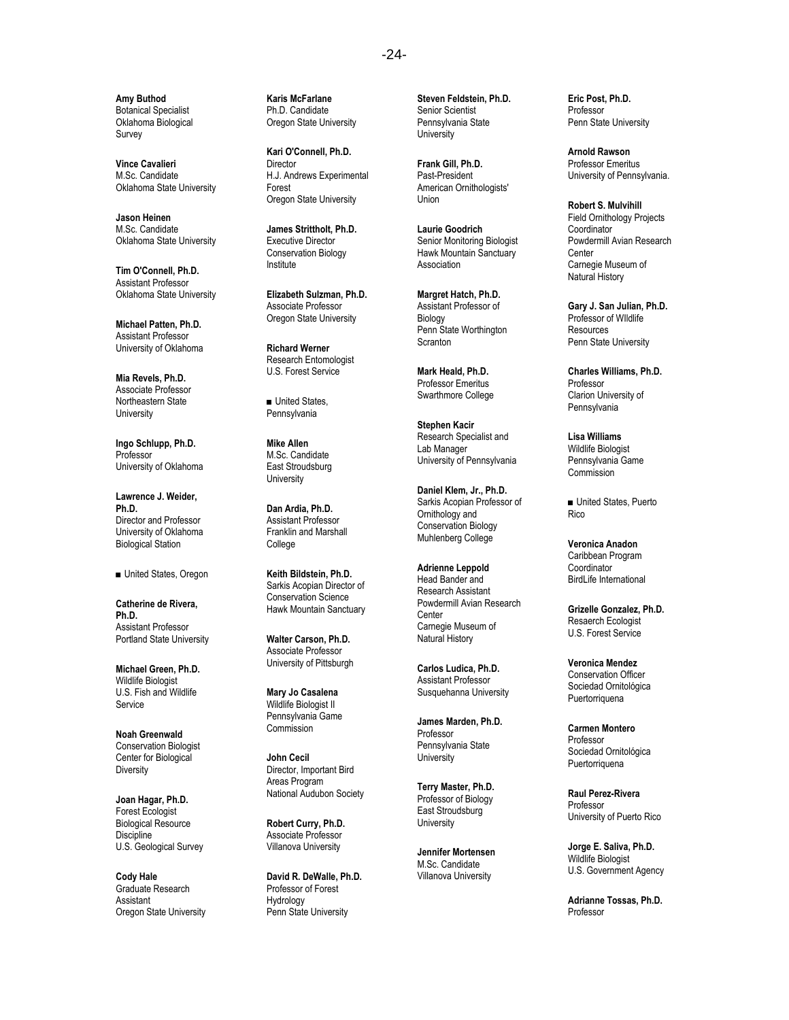**Amy Buthod** Botanical Specialist Oklahoma Biological Survey

**Vince Cavalieri** M.Sc. Candidate Oklahoma State University

**Jason Heinen** M.Sc. Candidate Oklahoma State University

**Tim O'Connell, Ph.D.** Assistant Professor Oklahoma State University

**Michael Patten, Ph.D.** Assistant Professor University of Oklahoma

**Mia Revels, Ph.D.** Associate Professor Northeastern State **University** 

**Ingo Schlupp, Ph.D.** Professor University of Oklahoma

**Lawrence J. Weider, Ph.D.** Director and Professor University of Oklahoma Biological Station

■ United States, Oregon

**Catherine de Rivera, Ph.D.** Assistant Professor Portland State University

**Michael Green, Ph.D.** Wildlife Biologist U.S. Fish and Wildlife Service

**Noah Greenwald** Conservation Biologist Center for Biological **Diversity** 

**Joan Hagar, Ph.D.** Forest Ecologist Biological Resource **Discipline** U.S. Geological Survey

**Cody Hale** Graduate Research Assistant Oregon State University **Karis McFarlane** Ph.D. Candidate Oregon State University

**Kari O'Connell, Ph.D.** Director H.J. Andrews Experimental Forest Oregon State University

**James Strittholt, Ph.D.** Executive Director Conservation Biology Institute

**Elizabeth Sulzman, Ph.D.** Associate Professor Oregon State University

**Richard Werner** Research Entomologist U.S. Forest Service

■ United States, Pennsylvania

**Mike Allen** M.Sc. Candidate East Stroudsburg **University** 

**Dan Ardia, Ph.D.** Assistant Professor Franklin and Marshall College

**Keith Bildstein, Ph.D.** Sarkis Acopian Director of Conservation Science Hawk Mountain Sanctuary

**Walter Carson, Ph.D.** Associate Professor University of Pittsburgh

**Mary Jo Casalena** Wildlife Biologist II Pennsylvania Game **Commission** 

**John Cecil** Director, Important Bird Areas Program National Audubon Society

**Robert Curry, Ph.D.** Associate Professor Villanova University

**David R. DeWalle, Ph.D.** Professor of Forest Hydrology Penn State University

**Steven Feldstein, Ph.D.** Senior Scientist Pennsylvania State **University** 

**Frank Gill, Ph.D.** Past-President American Ornithologists' Union

**Laurie Goodrich** Senior Monitoring Biologist Hawk Mountain Sanctuary Association

**Margret Hatch, Ph.D.** Assistant Professor of Biology Penn State Worthington **Scranton** 

**Mark Heald, Ph.D.** Professor Emeritus Swarthmore College

**Stephen Kacir** Research Specialist and Lab Manager University of Pennsylvania

**Daniel Klem, Jr., Ph.D.** Sarkis Acopian Professor of Ornithology and Conservation Biology Muhlenberg College

**Adrienne Leppold** Head Bander and Research Assistant Powdermill Avian Research Center Carnegie Museum of Natural History

**Carlos Ludica, Ph.D.** Assistant Professor Susquehanna University

**James Marden, Ph.D.** Professor Pennsylvania State **University** 

**Terry Master, Ph.D.** Professor of Biology East Stroudsburg **University** 

**Jennifer Mortensen** M.Sc. Candidate Villanova University

**Eric Post, Ph.D.** Professor Penn State University

**Arnold Rawson** Professor Emeritus University of Pennsylvania.

**Robert S. Mulvihill** Field Ornithology Projects Coordinator Powdermill Avian Research **Center** Carnegie Museum of Natural History

**Gary J. San Julian, Ph.D.** Professor of WIldlife Resources Penn State University

**Charles Williams, Ph.D.** Professor Clarion University of Pennsylvania

**Lisa Williams** Wildlife Biologist Pennsylvania Game Commission

■ United States, Puerto **Rico** 

**Veronica Anadon** Caribbean Program **Coordinator** BirdLife International

**Grizelle Gonzalez, Ph.D.** Resaerch Ecologist U.S. Forest Service

**Veronica Mendez** Conservation Officer Sociedad Ornitológica Puertorriquena

**Carmen Montero** Professor Sociedad Ornitológica Puertorriquena

**Raul Perez-Rivera** Professor University of Puerto Rico

**Jorge E. Saliva, Ph.D.** Wildlife Biologist U.S. Government Agency

**Adrianne Tossas, Ph.D.** Professor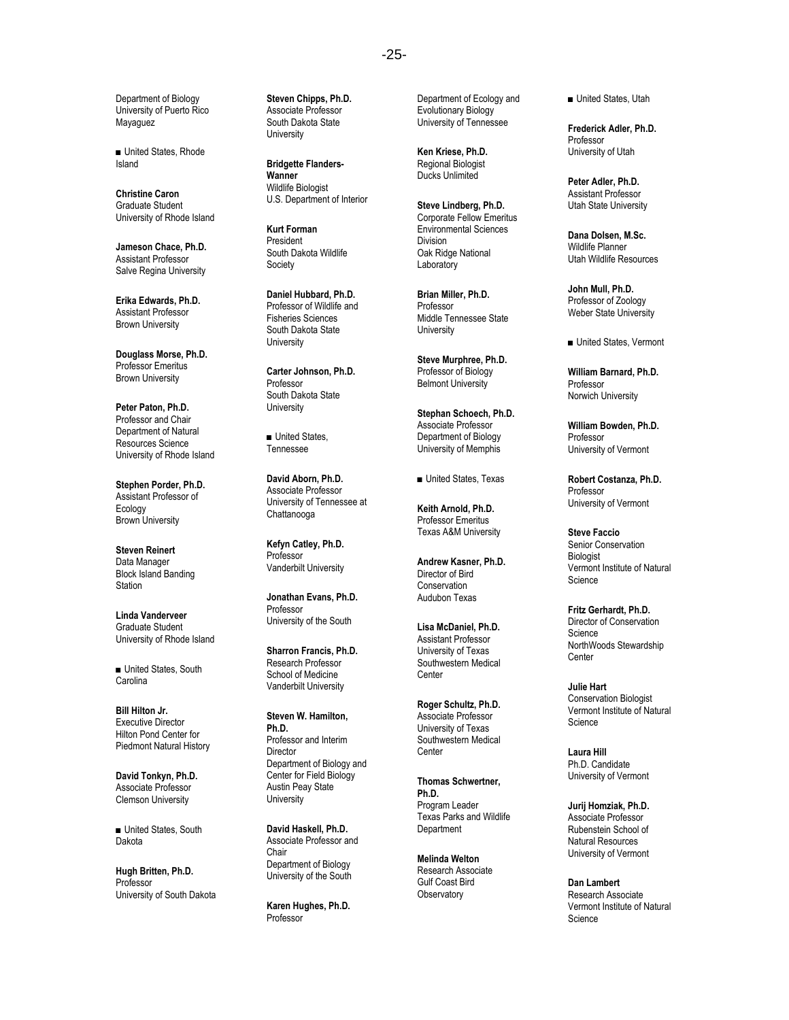Department of Biology University of Puerto Rico **Mayaquez** 

■ United States, Rhode Island

**Christine Caron** Graduate Student University of Rhode Island

**Jameson Chace, Ph.D.** Assistant Professor Salve Regina University

**Erika Edwards, Ph.D.** Assistant Professor Brown University

**Douglass Morse, Ph.D.** Professor Emeritus Brown University

**Peter Paton, Ph.D.** Professor and Chair Department of Natural Resources Science University of Rhode Island

**Stephen Porder, Ph.D.** Assistant Professor of Ecology Brown University

**Steven Reinert** Data Manager Block Island Banding **Station** 

**Linda Vanderveer** Graduate Student University of Rhode Island

■ United States, South **Carolina** 

**Bill Hilton Jr.** Executive Director Hilton Pond Center for Piedmont Natural History

**David Tonkyn, Ph.D.** Associate Professor Clemson University

■ United States, South Dakota

**Hugh Britten, Ph.D.** Professor University of South Dakota **Steven Chipps, Ph.D.** Associate Professor South Dakota State **University** 

**Bridgette Flanders-Wanner** Wildlife Biologist U.S. Department of Interior

**Kurt Forman** President South Dakota Wildlife Society

**Daniel Hubbard, Ph.D.** Professor of Wildlife and Fisheries Sciences South Dakota State **University** 

**Carter Johnson, Ph.D.** Professor South Dakota State **University** 

■ United States Tennessee

**David Aborn, Ph.D.** Associate Professor University of Tennessee at **Chattanooga** 

**Kefyn Catley, Ph.D.** Professor Vanderbilt University

**Jonathan Evans, Ph.D.** Professor University of the South

**Sharron Francis, Ph.D.** Research Professor School of Medicine Vanderbilt University

**Steven W. Hamilton, Ph.D.** Professor and Interim **Director** Department of Biology and Center for Field Biology Austin Peay State **University** 

**David Haskell, Ph.D.** Associate Professor and Chair Department of Biology University of the South

**Karen Hughes, Ph.D.** Professor

Department of Ecology and Evolutionary Biology University of Tennessee

**Ken Kriese, Ph.D.** Regional Biologist Ducks Unlimited

**Steve Lindberg, Ph.D.** Corporate Fellow Emeritus Environmental Sciences Division Oak Ridge National **Laboratory** 

**Brian Miller, Ph.D.** Professor Middle Tennessee State **University** 

**Steve Murphree, Ph.D.** Professor of Biology Belmont University

**Stephan Schoech, Ph.D.** Associate Professor Department of Biology University of Memphis

■ United States, Texas

**Keith Arnold, Ph.D.** Professor Emeritus Texas A&M University

**Andrew Kasner, Ph.D.** Director of Bird Conservation Audubon Texas

**Lisa McDaniel, Ph.D.** Assistant Professor University of Texas Southwestern Medical **Center** 

**Roger Schultz, Ph.D.** Associate Professor University of Texas Southwestern Medical **Center** 

**Thomas Schwertner, Ph.D.** Program Leader Texas Parks and Wildlife **Department** 

**Melinda Welton** Research Associate Gulf Coast Bird **Observatory** 

■ United States, Utah

**Frederick Adler, Ph.D.** Professor University of Utah

**Peter Adler, Ph.D.** Assistant Professor Utah State University

**Dana Dolsen, M.Sc.** Wildlife Planner Utah Wildlife Resources

**John Mull, Ph.D.** Professor of Zoology Weber State University

■ United States, Vermont

**William Barnard, Ph.D.** Professor Norwich University

**William Bowden, Ph.D.** Professor University of Vermont

**Robert Costanza, Ph.D.** Professor University of Vermont

**Steve Faccio** Senior Conservation Biologist Vermont Institute of Natural Science

**Fritz Gerhardt, Ph.D.** Director of Conservation **Science** NorthWoods Stewardship **Center** 

**Julie Hart** Conservation Biologist Vermont Institute of Natural Science

**Laura Hill** Ph.D. Candidate University of Vermont

**Jurij Homziak, Ph.D.** Associate Professor Rubenstein School of Natural Resources University of Vermont

**Dan Lambert** Research Associate Vermont Institute of Natural Science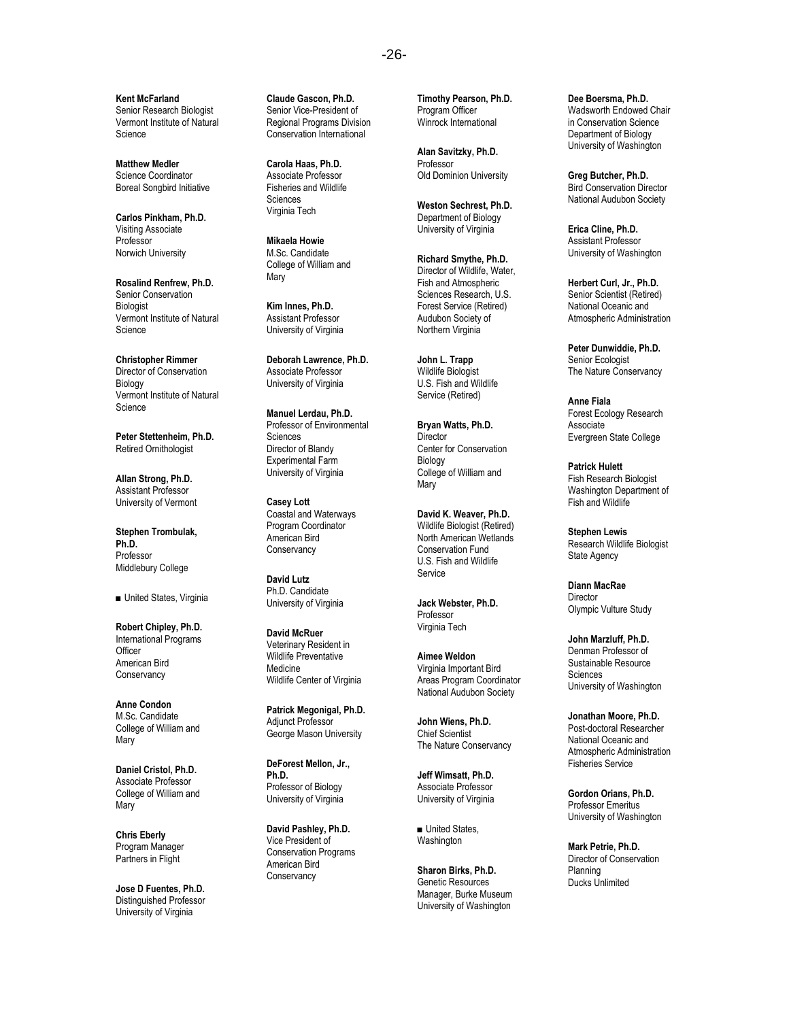**Kent McFarland** Senior Research Biologist Vermont Institute of Natural Science

**Matthew Medler** Science Coordinator Boreal Songbird Initiative

**Carlos Pinkham, Ph.D.** Visiting Associate Professor Norwich University

**Rosalind Renfrew, Ph.D.** Senior Conservation Biologist Vermont Institute of Natural Science

**Christopher Rimmer** Director of Conservation Biology Vermont Institute of Natural **Science** 

**Peter Stettenheim, Ph.D.** Retired Ornithologist

**Allan Strong, Ph.D.** Assistant Professor University of Vermont

**Stephen Trombulak, Ph.D.** Professor Middlebury College

■ United States, Virginia

**Robert Chipley, Ph.D.** International Programs **Officer** American Bird **Conservancy** 

**Anne Condon** M.Sc. Candidate College of William and **Mary** 

**Daniel Cristol, Ph.D.** Associate Professor College of William and Mary

**Chris Eberly** Program Manager Partners in Flight

**Jose D Fuentes, Ph.D.** Distinguished Professor University of Virginia

**Claude Gascon, Ph.D.** Senior Vice-President of Regional Programs Division Conservation International

**Carola Haas, Ph.D.** Associate Professor Fisheries and Wildlife Sciences Virginia Tech

**Mikaela Howie** M.Sc. Candidate College of William and **Mary** 

**Kim Innes, Ph.D.** Assistant Professor University of Virginia

**Deborah Lawrence, Ph.D.** Associate Professor University of Virginia

**Manuel Lerdau, Ph.D.** Professor of Environmental Sciences Director of Blandy Experimental Farm University of Virginia

**Casey Lott** Coastal and Waterways Program Coordinator American Bird **Conservancy** 

**David Lutz** Ph.D. Candidate University of Virginia

**David McRuer** Veterinary Resident in Wildlife Preventative Medicine Wildlife Center of Virginia

**Patrick Megonigal, Ph.D.** Adjunct Professor George Mason University

**DeForest Mellon, Jr., Ph.D.** Professor of Biology University of Virginia

**David Pashley, Ph.D.** Vice President of Conservation Programs American Bird **Conservancy** 

**Timothy Pearson, Ph.D.** Program Officer Winrock International

**Alan Savitzky, Ph.D.** Professor Old Dominion University

**Weston Sechrest, Ph.D.** Department of Biology University of Virginia

**Richard Smythe, Ph.D.** Director of Wildlife, Water, Fish and Atmospheric Sciences Research, U.S. Forest Service (Retired) Audubon Society of Northern Virginia

**John L. Trapp** Wildlife Biologist U.S. Fish and Wildlife Service (Retired)

**Bryan Watts, Ph.D. Director** Center for Conservation Biology College of William and **Mary** 

**David K. Weaver, Ph.D.** Wildlife Biologist (Retired) North American Wetlands Conservation Fund U.S. Fish and Wildlife **Service** 

**Jack Webster, Ph.D.** Professor Virginia Tech

**Aimee Weldon** Virginia Important Bird Areas Program Coordinator National Audubon Society

**John Wiens, Ph.D.** Chief Scientist The Nature Conservancy

**Jeff Wimsatt, Ph.D.** Associate Professor University of Virginia

■ United States, **Washington** 

**Sharon Birks, Ph.D.** Genetic Resources Manager, Burke Museum University of Washington

**Dee Boersma, Ph.D.** Wadsworth Endowed Chair in Conservation Science Department of Biology University of Washington

**Greg Butcher, Ph.D.** Bird Conservation Director National Audubon Society

**Erica Cline, Ph.D.** Assistant Professor University of Washington

**Herbert Curl, Jr., Ph.D.** Senior Scientist (Retired) National Oceanic and Atmospheric Administration

**Peter Dunwiddie, Ph.D.** Senior Ecologist The Nature Conservancy

**Anne Fiala** Forest Ecology Research Associate Evergreen State College

**Patrick Hulett** Fish Research Biologist Washington Department of Fish and Wildlife

**Stephen Lewis** Research Wildlife Biologist State Agency

**Diann MacRae Director** Olympic Vulture Study

**John Marzluff, Ph.D.** Denman Professor of Sustainable Resource Sciences University of Washington

**Jonathan Moore, Ph.D.** Post-doctoral Researcher National Oceanic and Atmospheric Administration Fisheries Service

**Gordon Orians, Ph.D.** Professor Emeritus University of Washington

**Mark Petrie, Ph.D.** Director of Conservation Planning Ducks Unlimited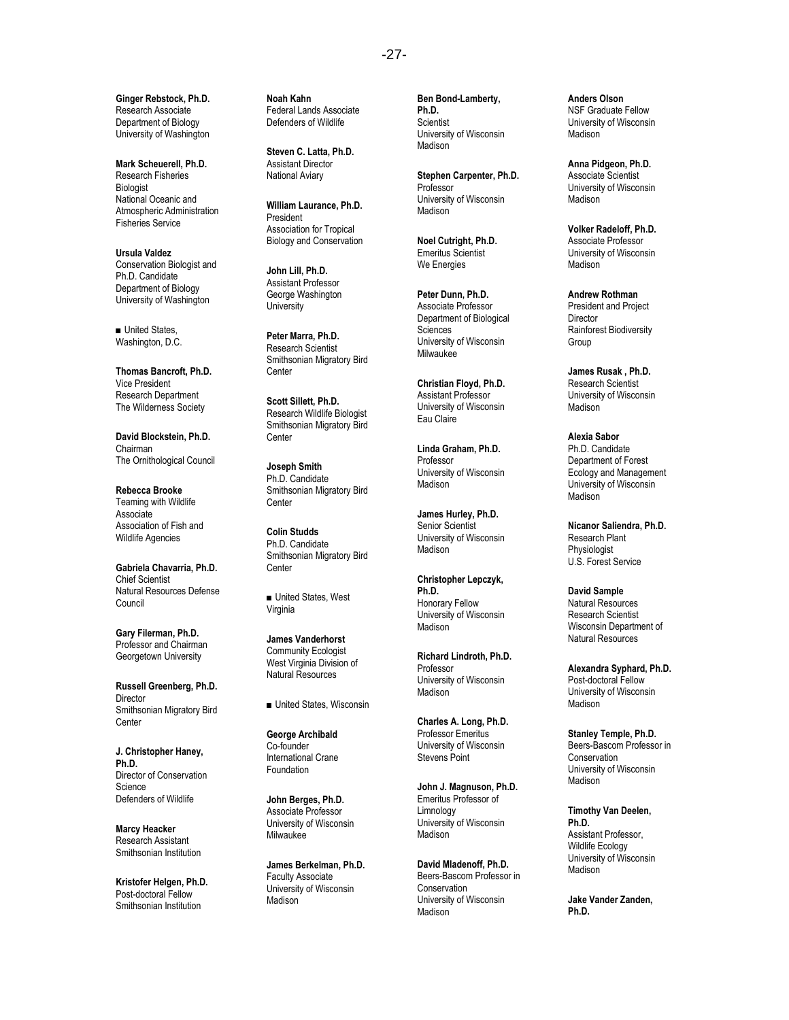-27-

**Ginger Rebstock, Ph.D.** Research Associate Department of Biology University of Washington

**Mark Scheuerell, Ph.D.** Research Fisheries **Biologist** National Oceanic and Atmospheric Administration Fisheries Service

**Ursula Valdez** Conservation Biologist and Ph.D. Candidate Department of Biology University of Washington

■ United States, Washington, D.C.

**Thomas Bancroft, Ph.D.** Vice President Research Department The Wilderness Society

**David Blockstein, Ph.D.** Chairman The Ornithological Council

**Rebecca Brooke** Teaming with Wildlife **Associate** Association of Fish and Wildlife Agencies

**Gabriela Chavarria, Ph.D.** Chief Scientist Natural Resources Defense Council

**Gary Filerman, Ph.D.** Professor and Chairman Georgetown University

**Russell Greenberg, Ph.D. Director** Smithsonian Migratory Bird **Center** 

**J. Christopher Haney, Ph.D.** Director of Conservation Science Defenders of Wildlife

**Marcy Heacker** Research Assistant Smithsonian Institution

**Kristofer Helgen, Ph.D.** Post-doctoral Fellow Smithsonian Institution

**Noah Kahn** Federal Lands Associate Defenders of Wildlife

**Steven C. Latta, Ph.D.** Assistant Director National Aviary

**William Laurance, Ph.D.** President Association for Tropical Biology and Conservation

**John Lill, Ph.D.** Assistant Professor George Washington **University** 

**Peter Marra, Ph.D.** Research Scientist Smithsonian Migratory Bird **Center** 

**Scott Sillett, Ph.D.** Research Wildlife Biologist Smithsonian Migratory Bird **Center** 

**Joseph Smith** Ph.D. Candidate Smithsonian Migratory Bird **Center** 

**Colin Studds** Ph.D. Candidate Smithsonian Migratory Bird **Center** 

■ United States, West Virginia

**James Vanderhorst** Community Ecologist West Virginia Division of Natural Resources

■ United States, Wisconsin

**George Archibald** Co-founder International Crane Foundation

**John Berges, Ph.D.** Associate Professor University of Wisconsin ر<br>موعانيوس

**James Berkelman, Ph.D.** Faculty Associate University of Wisconsin Madison

**Ben Bond-Lamberty, Ph.D. Scientist** University of Wisconsin Madison

**Stephen Carpenter, Ph.D.** Professor University of Wisconsin Madison

**Noel Cutright, Ph.D.** Emeritus Scientist We Energies

**Peter Dunn, Ph.D.** Associate Professor Department of Biological **Sciences** University of Wisconsin Milwaukee

**Christian Floyd, Ph.D.** Assistant Professor University of Wisconsin Eau Claire

**Linda Graham, Ph.D.** Professor University of Wisconsin Madison<sup>1</sup>

**James Hurley, Ph.D.** Senior Scientist University of Wisconsin Madison

**Christopher Lepczyk, Ph.D.** Honorary Fellow University of Wisconsin **Madison** 

**Richard Lindroth, Ph.D.** Professor University of Wisconsin **Madison** 

**Charles A. Long, Ph.D.** Professor Emeritus University of Wisconsin Stevens Point

**John J. Magnuson, Ph.D.** Emeritus Professor of Limnology University of Wisconsin Madison<sup>1</sup>

**David Mladenoff, Ph.D.** Beers-Bascom Professor in Conservation University of Wisconsin **Madison** 

**Anders Olson** NSF Graduate Fellow University of Wisconsin **Madison** 

**Anna Pidgeon, Ph.D.** Associate Scientist University of Wisconsin **Madison** 

**Volker Radeloff, Ph.D.** Associate Professor University of Wisconsin Madison

**Andrew Rothman** President and Project Director Rainforest Biodiversity Group

**James Rusak , Ph.D.** Research Scientist University of Wisconsin Madison

**Alexia Sabor** Ph.D. Candidate Department of Forest Ecology and Management University of Wisconsin Madison

**Nicanor Saliendra, Ph.D.** Research Plant Physiologist U.S. Forest Service

**David Sample** Natural Resources Research Scientist Wisconsin Department of Natural Resources

**Alexandra Syphard, Ph.D.** Post-doctoral Fellow University of Wisconsin **Madison** 

**Stanley Temple, Ph.D.** Beers-Bascom Professor in Conservation University of Wisconsin Madison

**Timothy Van Deelen, Ph.D.** Assistant Professor, Wildlife Ecology University of Wisconsin Madison

**Jake Vander Zanden, Ph.D.**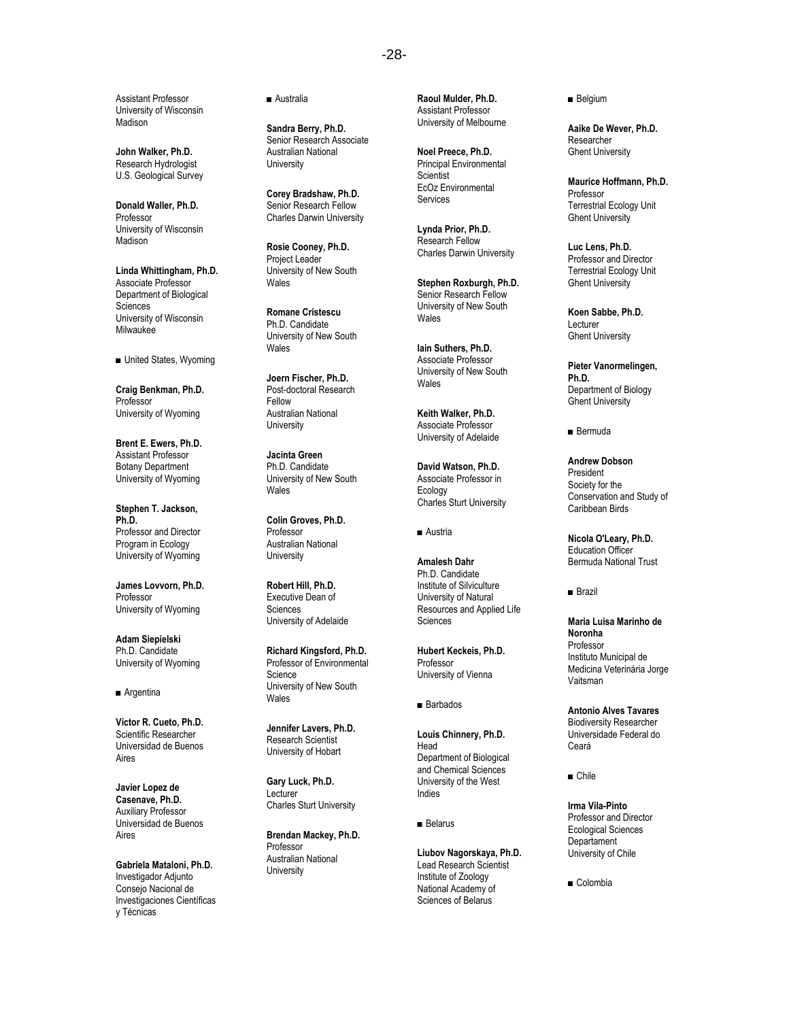Assistant Professor University of Wisconsin Madison

**John Walker, Ph.D.** Research Hydrologist U.S. Geological Survey

**Donald Waller, Ph.D.** Professor University of Wisconsin **Madison** 

**Linda Whittingham, Ph.D.** Associate Professor Department of Biological Sciences University of Wisconsin Milwaukee

■ United States, Wyoming

**Craig Benkman, Ph.D.** Professor University of Wyoming

**Brent E. Ewers, Ph.D.** Assistant Professor Botany Department University of Wyoming

**Stephen T. Jackson, Ph.D.** Professor and Director Program in Ecology University of Wyoming

**James Lovvorn, Ph.D.** Professor University of Wyoming

**Adam Siepielski** Ph.D. Candidate University of Wyoming

#### ■ Argentina

**Víctor R. Cueto, Ph.D.** Scientific Researcher Universidad de Buenos Aires

**Javier Lopez de Casenave, Ph.D.** Auxiliary Professor Universidad de Buenos Aires

**Gabriela Mataloni, Ph.D.** Investigador Adjunto Consejo Nacional de Investigaciones Científicas y Técnicas

■ Australia

**Sandra Berry, Ph.D.** Senior Research Associate Australian National University

**Corey Bradshaw, Ph.D.** Senior Research Fellow Charles Darwin University

**Rosie Cooney, Ph.D.** Project Leader University of New South Wales

**Romane Cristescu** Ph.D. Candidate University of New South Wales

**Joern Fischer, Ph.D.** Post-doctoral Research Fellow Australian National **University** 

**Jacinta Green** Ph.D. Candidate University of New South Wales

**Colin Groves, Ph.D.** Professor Australian National **University** 

**Robert Hill, Ph.D.** Executive Dean of Sciences University of Adelaide

**Richard Kingsford, Ph.D.** Professor of Environmental Science University of New South Wales

**Jennifer Lavers, Ph.D.** Research Scientist University of Hobart

**Gary Luck, Ph.D.** Lecturer Charles Sturt University

**Brendan Mackey, Ph.D.** Professor Australian National **University** 

**Raoul Mulder, Ph.D.** Assistant Professor University of Melbourne

**Noel Preece, Ph.D.** Principal Environmental **Scientist** EcOz Environmental Services

**Lynda Prior, Ph.D.** Research Fellow Charles Darwin University

**Stephen Roxburgh, Ph.D.** Senior Research Fellow University of New South Wales

**Iain Suthers, Ph.D.** Associate Professor University of New South **Wales** 

**Keith Walker, Ph.D.** Associate Professor University of Adelaide

**David Watson, Ph.D.** Associate Professor in Ecology Charles Sturt University

■ Austria

**Amalesh Dahr** Ph.D. Candidate Institute of Silviculture University of Natural Resources and Applied Life **Sciences** 

**Hubert Keckeis, Ph.D.** Professor University of Vienna

■ Barbados

**Louis Chinnery, Ph.D.** Head Department of Biological and Chemical Sciences University of the West Indies

■ Belarus

**Liubov Nagorskaya, Ph.D.**  Lead Research Scientist Institute of Zoology National Academy of Sciences of Belarus

■ Belgium

**Aaike De Wever, Ph.D.** Researcher Ghent University

**Maurice Hoffmann, Ph.D.** Professor Terrestrial Ecology Unit Ghent University

**Luc Lens, Ph.D.** Professor and Director Terrestrial Ecology Unit Ghent University

**Koen Sabbe, Ph.D.** Lecturer Ghent University

**Pieter Vanormelingen, Ph.D.** Department of Biology Ghent University

■ Bermuda

**Andrew Dobson** President Society for the Conservation and Study of Caribbean Birds

**Nicola O'Leary, Ph.D.** Education Officer Bermuda National Trust

■ Brazil

**Maria Luisa Marinho de Noronha** Professor Instituto Municipal de Medicina Veterinária Jorge Vaitsman

**Antonio Alves Tavares** Biodiversity Researcher Universidade Federal do Ceará

■ Chile

**Irma Vila-Pinto** Professor and Director Ecological Sciences **Departament** University of Chile

■ Colombia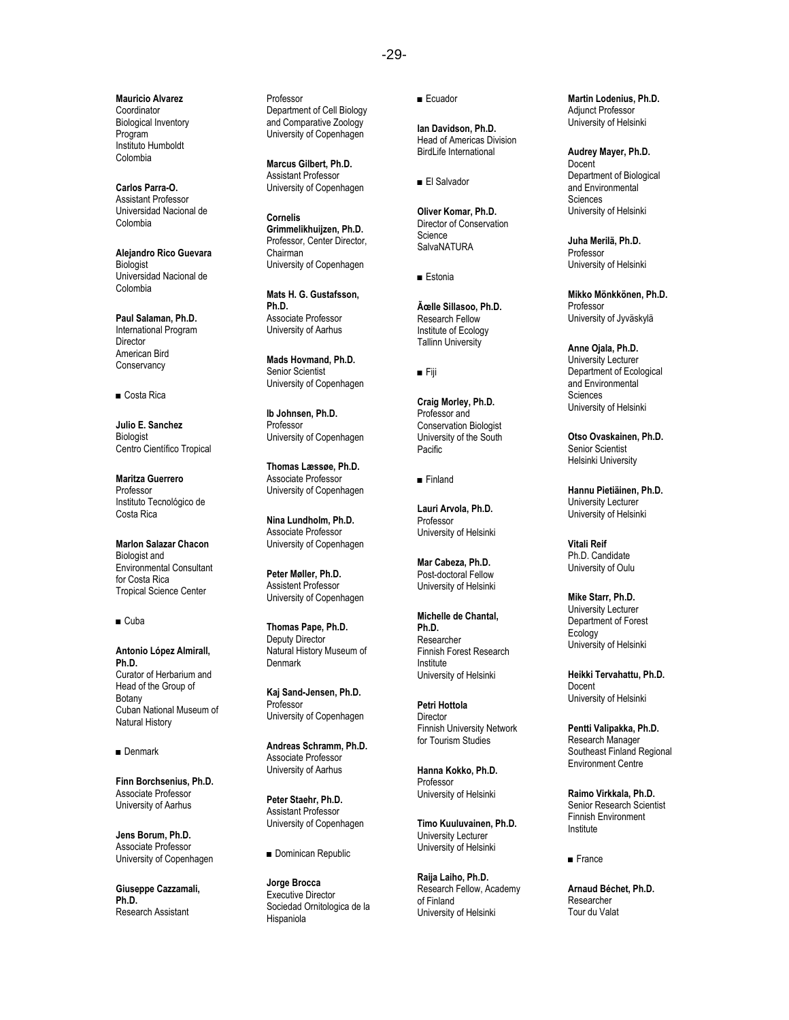-29-

**Mauricio Alvarez** Coordinator Biological Inventory Program Instituto Humboldt Colombia

**Carlos Parra-O.** Assistant Professor Universidad Nacional de Colombia

**Alejandro Rico Guevara Biologist** Universidad Nacional de Colombia

**Paul Salaman, Ph.D.** International Program **Director** American Bird **Conservancy** 

■ Costa Rica

**Julio E. Sanchez Biologist** Centro Científico Tropical

**Maritza Guerrero** Professor Instituto Tecnológico de Costa Rica

**Marlon Salazar Chacon** Biologist and Environmental Consultant for Costa Rica Tropical Science Center

■ Cuba

**Antonio López Almirall, Ph.D.** Curator of Herbarium and Head of the Group of Botany Cuban National Museum of Natural History

■ Denmark

**Finn Borchsenius, Ph.D.** Associate Professor University of Aarhus

**Jens Borum, Ph.D.** Associate Professor University of Copenhagen

**Giuseppe Cazzamali, Ph.D.** Research Assistant

Professor Department of Cell Biology and Comparative Zoology University of Copenhagen

**Marcus Gilbert, Ph.D.** Assistant Professor University of Copenhagen

**Cornelis Grimmelikhuijzen, Ph.D.** Professor, Center Director, Chairman University of Copenhagen

**Mats H. G. Gustafsson, Ph.D.** Associate Professor University of Aarhus

**Mads Hovmand, Ph.D.** Senior Scientist University of Copenhagen

**Ib Johnsen, Ph.D.** Professor University of Copenhagen

**Thomas Læssøe, Ph.D.** Associate Professor University of Copenhagen

**Nina Lundholm, Ph.D.** Associate Professor University of Copenhagen

**Peter Møller, Ph.D.** Assistent Professor University of Copenhagen

**Thomas Pape, Ph.D.** Deputy Director Natural History Museum of **Denmark** 

**Kaj Sand-Jensen, Ph.D.** Professor University of Copenhagen

**Andreas Schramm, Ph.D.** Associate Professor University of Aarhus

**Peter Staehr, Ph.D.** Assistant Professor University of Copenhagen

■ Dominican Republic

**Jorge Brocca** Executive Director Sociedad Ornitologica de la Hispaniola

■ Ecuador

**Ian Davidson, Ph.D.** Head of Americas Division BirdLife International

■ El Salvador

**Oliver Komar, Ph.D.** Director of Conservation Science **SalvaNATURA** 

■ Estonia

 $\tilde{A}$ celle Sillasoo, Ph.D. Research Fellow Institute of Ecology Tallinn University

■ Fiji

**Craig Morley, Ph.D.** Professor and Conservation Biologist University of the South Pacific

■ Finland

**Lauri Arvola, Ph.D.** Professor University of Helsinki

**Mar Cabeza, Ph.D.** Post-doctoral Fellow University of Helsinki

**Michelle de Chantal, Ph.D.** Researcher Finnish Forest Research Institute University of Helsinki

**Petri Hottola Director** Finnish University Network for Tourism Studies

**Hanna Kokko, Ph.D.** Professor University of Helsinki

**Timo Kuuluvainen, Ph.D.** University Lecturer University of Helsinki

**Raija Laiho, Ph.D.** Research Fellow, Academy of Finland University of Helsinki

**Martin Lodenius, Ph.D.** Adjunct Professor University of Helsinki

**Audrey Mayer, Ph.D. Docent** Department of Biological and Environmental Sciences University of Helsinki

**Juha Merilä, Ph.D.** Professor University of Helsinki

**Mikko Mönkkönen, Ph.D.** Professor University of Jyväskylä

**Anne Ojala, Ph.D.** University Lecturer Department of Ecological and Environmental Sciences University of Helsinki

**Otso Ovaskainen, Ph.D.** Senior Scientist Helsinki University

**Hannu Pietiäinen, Ph.D.** University Lecturer University of Helsinki

**Vitali Reif** Ph.D. Candidate University of Oulu

**Mike Starr, Ph.D.** University Lecturer Department of Forest Ecology University of Helsinki

**Heikki Tervahattu, Ph.D.** Docent University of Helsinki

**Pentti Valipakka, Ph.D.**  Research Manager Southeast Finland Regional Environment Centre

**Raimo Virkkala, Ph.D.** Senior Research Scientist Finnish Environment Institute

■ France

**Arnaud Béchet, Ph.D.** Researcher Tour du Valat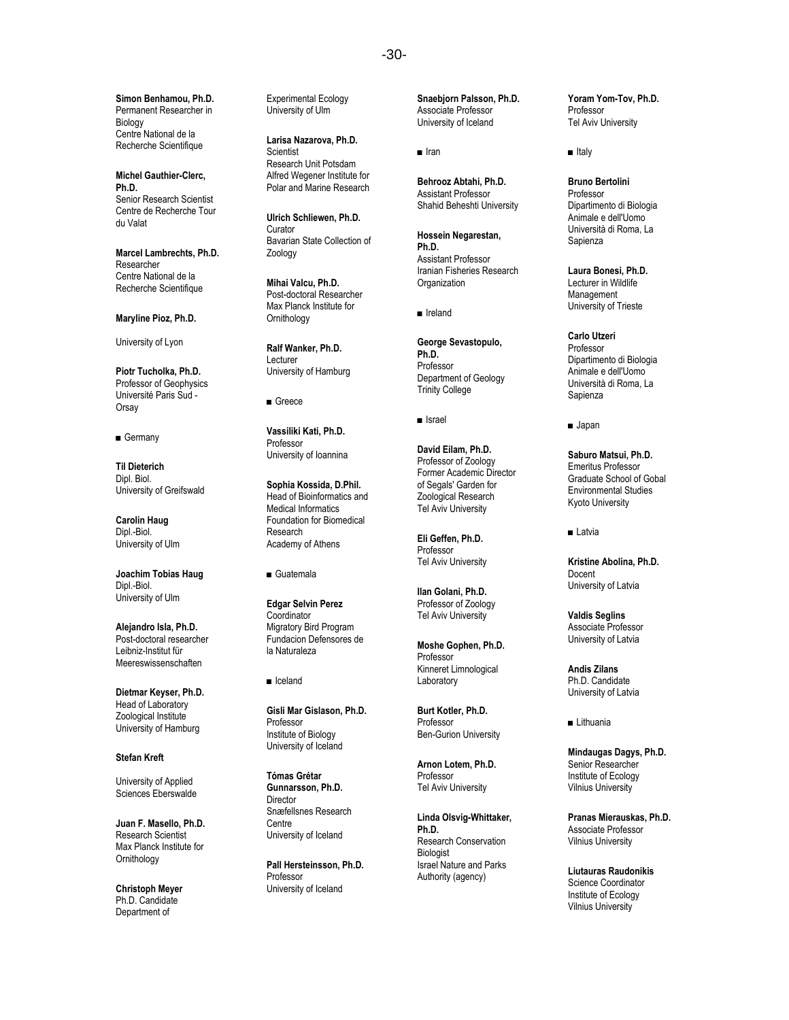**Simon Benhamou, Ph.D.** Permanent Researcher in Biology Centre National de la Recherche Scientifique

**Michel Gauthier-Clerc, Ph.D.** Senior Research Scientist Centre de Recherche Tour du Valat

**Marcel Lambrechts, Ph.D.** Researcher Centre National de la Recherche Scientifique

**Maryline Pioz, Ph.D.**

University of Lyon

**Piotr Tucholka, Ph.D.** Professor of Geophysics Université Paris Sud - **Orsay** 

■ Germany

**Til Dieterich** Dipl. Biol. University of Greifswald

**Carolin Haug** Dipl.-Biol. University of Ulm

**Joachim Tobias Haug** Dipl.-Biol. University of Ulm

**Alejandro Isla, Ph.D.** Post-doctoral researcher Leibniz-Institut für Meereswissenschaften

**Dietmar Keyser, Ph.D.** Head of Laboratory Zoological Institute University of Hamburg

**Stefan Kreft**

University of Applied Sciences Eberswalde

**Juan F. Masello, Ph.D.** Research Scientist Max Planck Institute for **Ornithology** 

**Christoph Meyer** Ph.D. Candidate Department of

Experimental Ecology University of Ulm

**Larisa Nazarova, Ph.D. Scientist** Research Unit Potsdam Alfred Wegener Institute for Polar and Marine Research

**Ulrich Schliewen, Ph.D.** Curator Bavarian State Collection of Zoology

**Mihai Valcu, Ph.D.** Post-doctoral Researcher Max Planck Institute for **Ornithology** 

**Ralf Wanker, Ph.D.** Lecturer University of Hamburg

■ Greece

**Vassiliki Kati, Ph.D.** Professor University of Ioannina

**Sophia Kossida, D.Phil.** Head of Bioinformatics and Medical Informatics Foundation for Biomedical Research Academy of Athens

■ Guatemala

**Edgar Selvin Perez Coordinator** Migratory Bird Program Fundacion Defensores de la Naturaleza

■ Iceland

**Gisli Mar Gislason, Ph.D.** Professor Institute of Biology University of Iceland

**Tómas Grétar Gunnarsson, Ph.D.** Director Snæfellsnes Research **Centre** University of Iceland

**Pall Hersteinsson, Ph.D. Professor** University of Iceland

**Snaebjorn Palsson, Ph.D.** Associate Professor University of Iceland

■ Iran

**Behrooz Abtahi, Ph.D.** Assistant Professor Shahid Beheshti University

**Hossein Negarestan, Ph.D.** Assistant Professor Iranian Fisheries Research **Organization** 

■ Ireland

**George Sevastopulo, Ph.D.** Professor Department of Geology Trinity College

■ Israel

**David Eilam, Ph.D.** Professor of Zoology Former Academic Director of Segals' Garden for Zoological Research Tel Aviv University

**Eli Geffen, Ph.D. Professor** Tel Aviv University

**Ilan Golani, Ph.D.** Professor of Zoology Tel Aviv University

**Moshe Gophen, Ph.D.** Professor Kinneret Limnological Laboratory

**Burt Kotler, Ph.D.** Professor Ben-Gurion University

**Arnon Lotem, Ph.D.** Professor Tel Aviv University

**Linda Olsvig-Whittaker, Ph.D.** Research Conservation Biologist Israel Nature and Parks Authority (agency)

**Yoram Yom-Tov, Ph.D.** Professor Tel Aviv University

■ Italy

**Bruno Bertolini** Professor Dipartimento di Biologia Animale e dell'Uomo Università di Roma, La Sapienza

**Laura Bonesi, Ph.D.**  Lecturer in Wildlife Management University of Trieste

**Carlo Utzeri** Professor Dipartimento di Biologia Animale e dell'Uomo Università di Roma, La Sapienza

■ Japan

**Saburo Matsui, Ph.D.** Emeritus Professor Graduate School of Gobal Environmental Studies Kyoto University

■ Latvia

**Kristine Abolina, Ph.D.** Docent University of Latvia

**Valdis Seglins** Associate Professor University of Latvia

**Andis Zilans** Ph.D. Candidate University of Latvia

■ Lithuania

**Mindaugas Dagys, Ph.D.** Senior Researcher Institute of Ecology Vilnius University

**Pranas Mierauskas, Ph.D.** Associate Professor Vilnius University

**Liutauras Raudonikis** Science Coordinator Institute of Ecology Vilnius University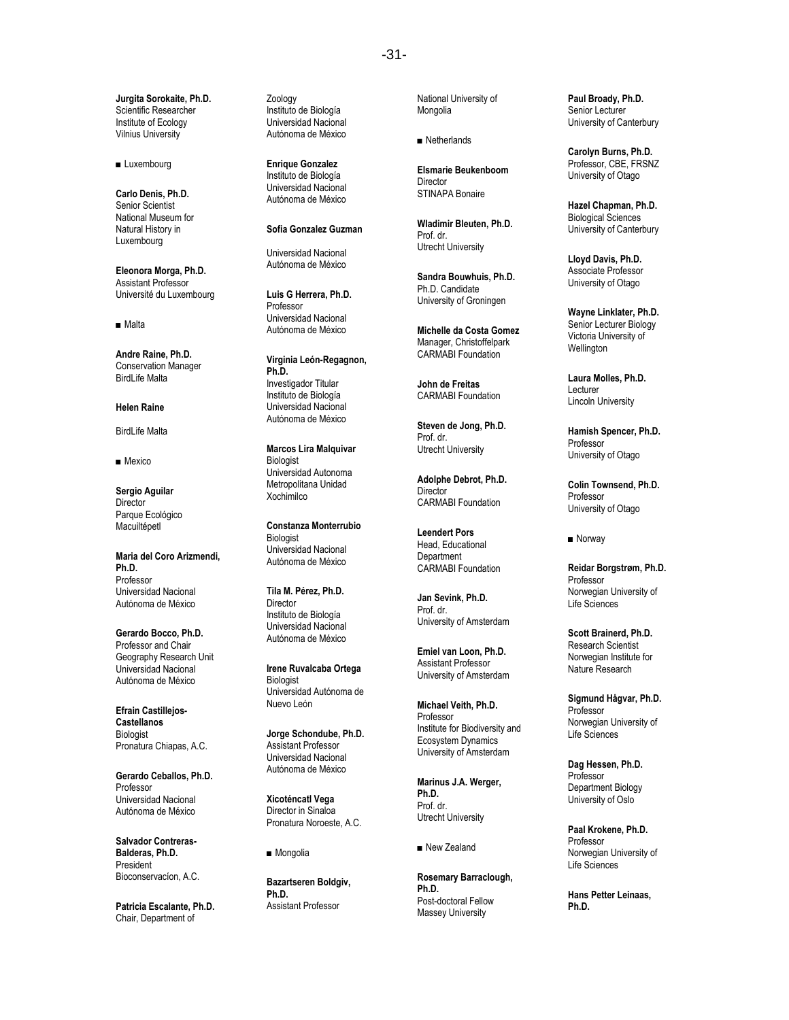**Jurgita Sorokaite, Ph.D.** Scientific Researcher Institute of Ecology Vilnius University

■ Luxembourg

**Carlo Denis, Ph.D.** Senior Scientist National Museum for Natural History in Luxembourg

**Eleonora Morga, Ph.D.** Assistant Professor Université du Luxembourg

■ Malta

**Andre Raine, Ph.D.** Conservation Manager BirdLife Malta

#### **Helen Raine**

BirdLife Malta

#### ■ Mexico

**Sergio Aguilar Director** Parque Ecológico Macuiltépetl

**Maria del Coro Arizmendi, Ph.D.** Professor Universidad Nacional Autónoma de México

**Gerardo Bocco, Ph.D.** Professor and Chair Geography Research Unit Universidad Nacional Autónoma de México

**Efrain Castillejos-Castellanos Biologist** Pronatura Chiapas, A.C.

**Gerardo Ceballos, Ph.D.** Professor Universidad Nacional Autónoma de México

**Salvador Contreras-Balderas, Ph.D. President** Bioconservacíon, A.C.

**Patricia Escalante, Ph.D.** Chair, Department of

Zoology Instituto de Biología Universidad Nacional Autónoma de México

**Enrique Gonzalez** Instituto de Biología Universidad Nacional Autónoma de México

#### **Sofia Gonzalez Guzman**

Universidad Nacional Autónoma de México

**Luis G Herrera, Ph.D.** Professor Universidad Nacional Autónoma de México

**Virginia León-Regagnon, Ph.D.** Investigador Titular Instituto de Biología Universidad Nacional Autónoma de México

**Marcos Lira Malquivar** Biologist Universidad Autonoma Metropolitana Unidad Xochimilco

**Constanza Monterrubio** Biologist Universidad Nacional Autónoma de México

**Tila M. Pérez, Ph.D.** Director Instituto de Biología Universidad Nacional Autónoma de México

**Irene Ruvalcaba Ortega** Biologist Universidad Autónoma de Nuevo León

**Jorge Schondube, Ph.D.** Assistant Professor Universidad Nacional Autónoma de México

**Xicoténcatl Vega** Director in Sinaloa Pronatura Noroeste, A.C.

■ Mongolia

**Bazartseren Boldgiv, Ph.D.** Assistant Professor

National University of Mongolia

■ Netherlands

**Elsmarie Beukenboom Director** STINAPA Bonaire

**Wladimir Bleuten, Ph.D.** Prof. dr. Utrecht University

**Sandra Bouwhuis, Ph.D.** Ph.D. Candidate University of Groningen

**Michelle da Costa Gomez**  Manager, Christoffelpark CARMABI Foundation

**John de Freitas**  CARMABI Foundation

**Steven de Jong, Ph.D.** Prof. dr. Utrecht University

**Adolphe Debrot, Ph.D. Director** CARMABI Foundation

**Leendert Pors** Head, Educational **Department** CARMABI Foundation

**Jan Sevink, Ph.D.** Prof. dr. University of Amsterdam

**Emiel van Loon, Ph.D.** Assistant Professor University of Amsterdam

**Michael Veith, Ph.D.** Professor Institute for Biodiversity and Ecosystem Dynamics University of Amsterdam

**Marinus J.A. Werger, Ph.D.** Prof. dr. Utrecht University

■ New Zealand

**Rosemary Barraclough, Ph.D.** Post-doctoral Fellow Massey University

**Paul Broady, Ph.D.** Senior Lecturer University of Canterbury

**Carolyn Burns, Ph.D.** Professor, CBE, FRSNZ University of Otago

**Hazel Chapman, Ph.D.** Biological Sciences University of Canterbury

**Lloyd Davis, Ph.D.** Associate Professor University of Otago

**Wayne Linklater, Ph.D.** Senior Lecturer Biology Victoria University of **Wellington** 

**Laura Molles, Ph.D.** Lecturer Lincoln University

**Hamish Spencer, Ph.D.** Professor University of Otago

**Colin Townsend, Ph.D.** Professor University of Otago

■ Norway

**Reidar Borgstrøm, Ph.D.** Professor Norwegian University of Life Sciences

**Scott Brainerd, Ph.D.** Research Scientist Norwegian Institute for Nature Research

**Sigmund Hågvar, Ph.D.** Professor Norwegian University of Life Sciences

**Dag Hessen, Ph.D.** Professor Department Biology University of Oslo

**Paal Krokene, Ph.D.** Professor Norwegian University of Life Sciences

**Hans Petter Leinaas, Ph.D.**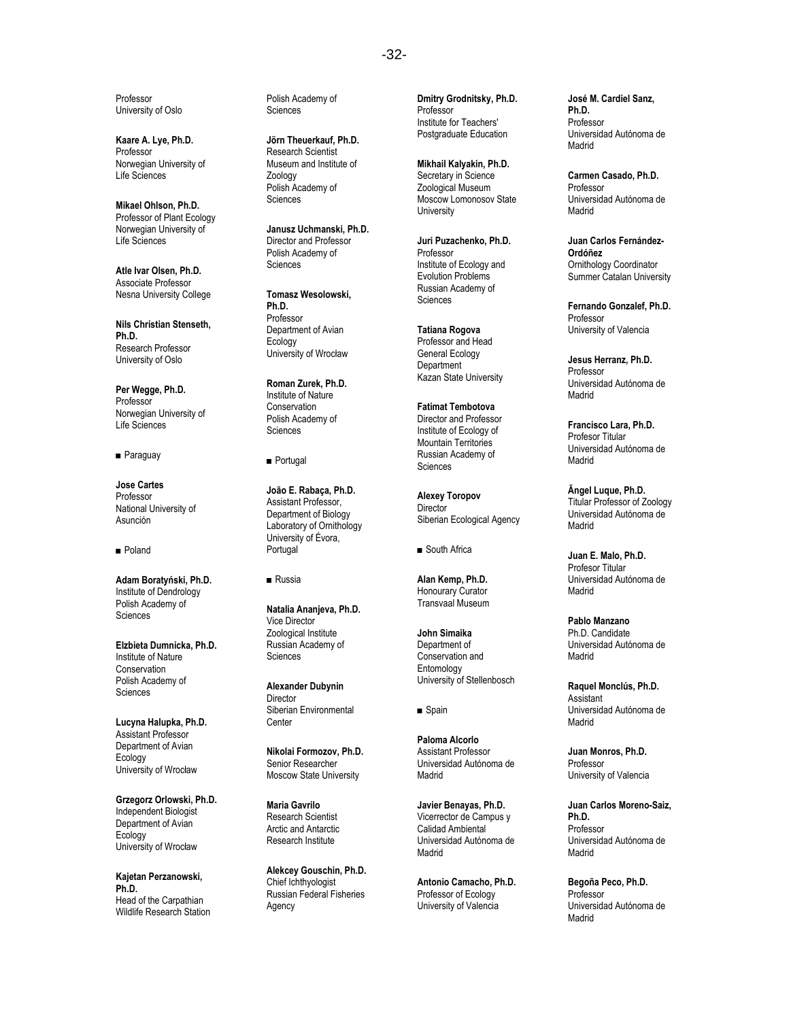Professor University of Oslo

**Kaare A. Lye, Ph.D.** Professor Norwegian University of Life Sciences

**Mikael Ohlson, Ph.D.** Professor of Plant Ecology Norwegian University of Life Sciences

**Atle Ivar Olsen, Ph.D.** Associate Professor Nesna University College

**Nils Christian Stenseth, Ph.D.** Research Professor University of Oslo

**Per Wegge, Ph.D.** Professor Norwegian University of Life Sciences

■ Paraguay

**Jose Cartes** Professor National University of Asunción

■ Poland

**Adam Boraty ński, Ph.D.** Institute of Dendrology Polish Academy of Sciences

**Elzbieta Dumnicka, Ph.D.** Institute of Nature Conservation Polish Academy of **Sciences** 

**Lucyna Halupka, Ph.D.** Assistant Professor Department of Avian Ecology University of Wroc ław

**Grzegorz Orlowski, Ph.D.** Independent Biologist Department of Avian Ecology University of Wroc ław

**Kajetan Perzanowski, Ph.D.** Head of the Carpathian Wildlife Research Station Polish Academy of **Sciences** 

**Jörn Theuerkauf, Ph.D.** Research Scientist Museum and Institute of Zoology Polish Academy of Sciences

**Janusz Uchmanski, Ph.D.** Director and Professor Polish Academy of **Sciences** 

**Tomasz Wesolowski, Ph.D.** Professor Department of Avian Ecology University of Wroc ław

**Roman Zurek, Ph.D.** Institute of Nature **Conservation** Polish Academy of Sciences

■ Portugal

**João E. Rabaça, Ph.D.** Assistant Professor, Department of Biology Laboratory of Ornithology University of Évora, Portugal

■ Russia

**Natalia Ananjeva, Ph.D.** Vice Director Zoological Institute Russian Academy of **Sciences** 

**Alexander Dubynin** Director Siberian Environmental **Center** 

**Nikolai Formozov, Ph.D.** Senior Researcher Moscow State University

**Maria Gavrilo** Research Scientist Arctic and Antarctic Research Institute

**Alekcey Gouschin, Ph.D.** Chief Ichthyologist Russian Federal Fisheries Agency

**Dmitry Grodnitsky, Ph.D.** Professor Institute for Teachers' Postgraduate Education

**Mikhail Kalyakin, Ph.D.** Secretary in Science Zoological Museum Moscow Lomonosov State **University** 

**Juri Puzachenko, Ph.D.** Professor Institute of Ecology and Evolution Problems Russian Academy of **Sciences** 

**Tatiana Rogova** Professor and Head General Ecology **Department** Kazan State University

**Fatimat Tembotova** Director and Professor Institute of Ecology of Mountain Territories Russian Academy of Sciences

**Alexey Toropov Director** Siberian Ecological Agency

■ South Africa

**Alan Kemp, Ph.D.** Honourary Curator Transvaal Museum

**John Simaika** Department of Conservation and Entomology University of Stellenbosch

■ Spain

**Paloma Alcorlo** Assistant Professor Universidad Autónoma de Madrid

**Javier Benayas, Ph.D.** Vicerrector de Campus y Calidad Ambiental Universidad Autónoma de Madrid

**Antonio Camacho, Ph.D.** Professor of Ecology University of Valencia

**José M. Cardiel Sanz, Ph.D.** Professor Universidad Autónoma de Madrid

**Carmen Casado, Ph.D.** Professor Universidad Autónoma de Madrid

**Juan Carlos Fernández-Ordóñez** Ornithology Coordinator Summer Catalan University

**Fernando Gonzalef, Ph.D.** Professor University of Valencia

**Jesus Herranz, Ph.D.** Professor Universidad Autónoma de Madrid

**Francisco Lara, Ph.D.** Profesor Titular Universidad Autónoma de Madrid

**Ãngel Luque, Ph.D.** Titular Professor of Zoology Universidad Autónoma de Madrid

**Juan E. Malo, Ph.D.** Profesor Titular Universidad Autónoma de Madrid

**Pablo Manzano** Ph.D. Candidate Universidad Autónoma de Madrid

**Raquel Monclús, Ph.D.** Assistant Universidad Autónoma de Madrid

**Juan Monros, Ph.D.** Professor University of Valencia

**Juan Carlos Moreno-Saiz, Ph.D.** Professor Universidad Autónoma de Madrid

**Begoña Peco, Ph.D.** Professor Universidad Autónoma de Madrid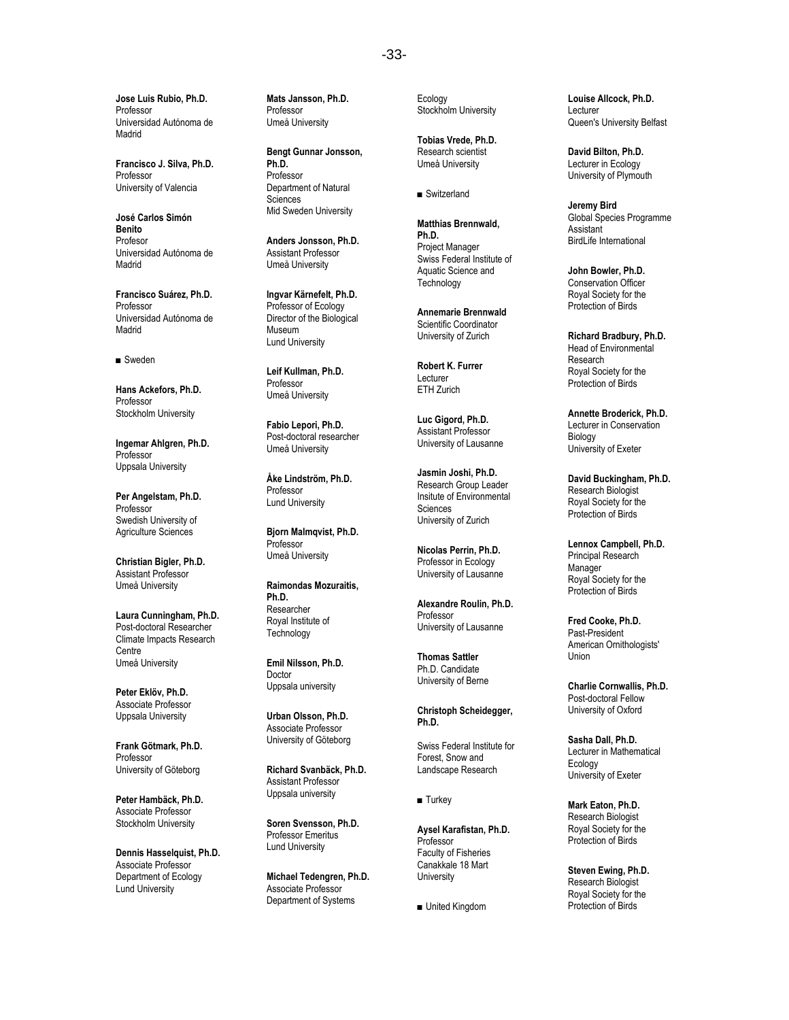**Jose Luis Rubio, Ph.D.** Professor Universidad Autónoma de Madrid

**Francisco J. Silva, Ph.D.** Professor University of Valencia

**José Carlos Simón Benito Profesor** Universidad Autónoma de Madrid

**Francisco Suárez, Ph.D.** Professor Universidad Autónoma de Madrid

■ Sweden

**Hans Ackefors, Ph.D.** Professor Stockholm University

**Ingemar Ahlgren, Ph.D.** Professor Uppsala University

**Per Angelstam, Ph.D.** Professor Swedish University of Agriculture Sciences

**Christian Bigler, Ph.D.** Assistant Professor Umeå University

**Laura Cunningham, Ph.D.** Post-doctoral Researcher Climate Impacts Research **Centre** Umeå University

**Peter Eklöv, Ph.D.** Associate Professor Uppsala University

**Frank Götmark, Ph.D.** Professor University of Göteborg

**Peter Hambäck, Ph.D.** Associate Professor Stockholm University

**Dennis Hasselquist, Ph.D.** Associate Professor Department of Ecology Lund University

**Mats Jansson, Ph.D.** Professor Umeå University

**Bengt Gunnar Jonsson, Ph.D.** Professor Department of Natural **Sciences** Mid Sweden University

**Anders Jonsson, Ph.D.** Assistant Professor Umeå University

**Ingvar Kärnefelt, Ph.D.** Professor of Ecology Director of the Biological Museum Lund University

**Leif Kullman, Ph.D.** Professor Umeå University

**Fabio Lepori, Ph.D.** Post-doctoral researcher Umeå University

**Åke Lindström, Ph.D.** Professor Lund University

**Bjorn Malmqvist, Ph.D.** Professor Umeå University

**Raimondas Mozuraitis, Ph.D.** Researcher Royal Institute of **Technology** 

**Emil Nilsson, Ph.D.** Doctor Uppsala university

**Urban Olsson, Ph.D.** Associate Professor University of Göteborg

**Richard Svanbäck, Ph.D.** Assistant Professor Uppsala university

**Soren Svensson, Ph.D.** Professor Emeritus Lund University

**Michael Tedengren, Ph.D.** Associate Professor Department of Systems

Ecology Stockholm University

**Tobias Vrede, Ph.D.** Research scientist Umeå University

■ Switzerland

**Matthias Brennwald, Ph.D.** Project Manager Swiss Federal Institute of Aquatic Science and **Technology** 

**Annemarie Brennwald** Scientific Coordinator University of Zurich

**Robert K. Furrer** Lecturer ETH Zurich

**Luc Gigord, Ph.D.** Assistant Professor University of Lausanne

**Jasmin Joshi, Ph.D.** Research Group Leader Insitute of Environmental Sciences University of Zurich

**Nicolas Perrin, Ph.D.** Professor in Ecology University of Lausanne

**Alexandre Roulin, Ph.D.** Professor University of Lausanne

**Thomas Sattler** Ph.D. Candidate University of Berne

**Christoph Scheidegger, Ph.D.**

Swiss Federal Institute for Forest, Snow and Landscape Research

■ Turkey

**Aysel Karafistan, Ph.D.** Professor Faculty of Fisheries Canakkale 18 Mart **University** 

■ United Kingdom

**Louise Allcock, Ph.D.** Lecturer Queen's University Belfast

**David Bilton, Ph.D.** Lecturer in Ecology University of Plymouth

**Jeremy Bird** Global Species Programme **Assistant** BirdLife International

**John Bowler, Ph.D.** Conservation Officer Royal Society for the Protection of Birds

**Richard Bradbury, Ph.D.** Head of Environmental Research Royal Society for the Protection of Birds

**Annette Broderick, Ph.D.** Lecturer in Conservation **Biology** University of Exeter

**David Buckingham, Ph.D.** Research Biologist Royal Society for the Protection of Birds

**Lennox Campbell, Ph.D.** Principal Research Manager Royal Society for the Protection of Birds

**Fred Cooke, Ph.D.** Past-President American Ornithologists' Union

**Charlie Cornwallis, Ph.D.** Post-doctoral Fellow University of Oxford

**Sasha Dall, Ph.D.** Lecturer in Mathematical Ecology University of Exeter

**Mark Eaton, Ph.D.** Research Biologist Royal Society for the Protection of Birds

**Steven Ewing, Ph.D.** Research Biologist Royal Society for the Protection of Birds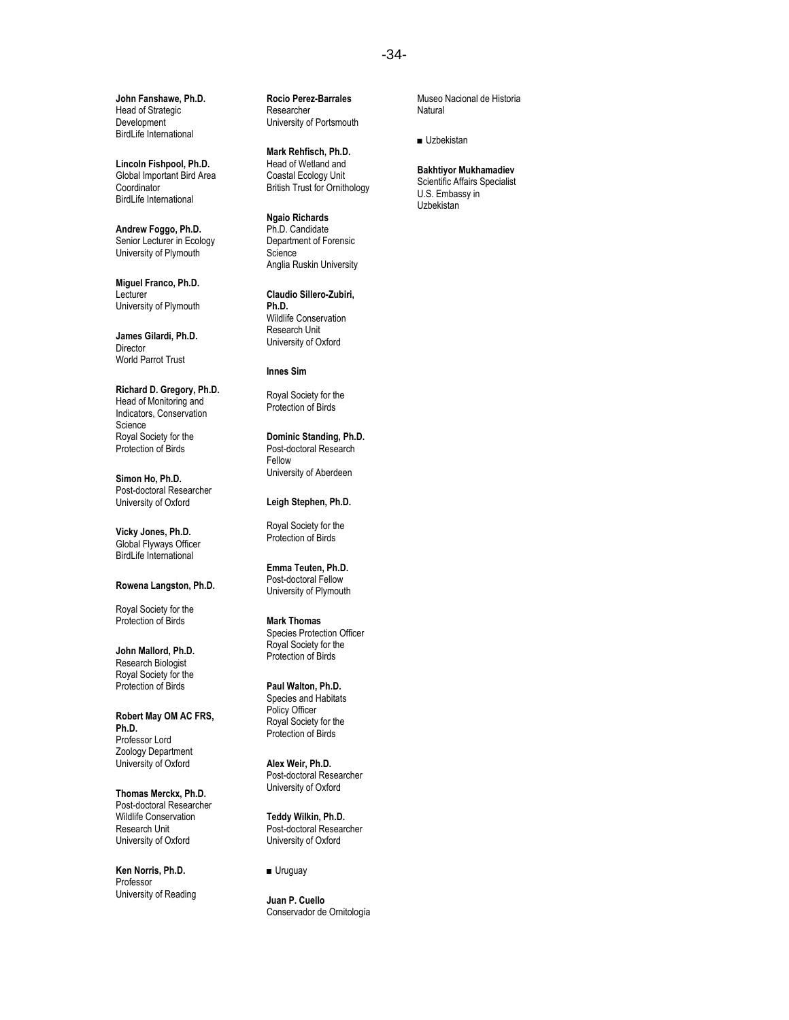**John Fanshawe, Ph.D.** Head of Strategic Development BirdLife International

**Lincoln Fishpool, Ph.D.** Global Important Bird Area **Coordinator** BirdLife International

**Andrew Foggo, Ph.D.** Senior Lecturer in Ecology University of Plymouth

**Miguel Franco, Ph.D.** Lecturer University of Plymouth

**James Gilardi, Ph.D. Director** World Parrot Trust

**Richard D. Gregory, Ph.D.** Head of Monitoring and Indicators, Conservation Science Royal Society for the Protection of Birds

**Simon Ho, Ph.D.** Post-doctoral Researcher University of Oxford

**Vicky Jones, Ph.D.** Global Flyways Officer BirdLife International

#### **Rowena Langston, Ph.D.**

Royal Society for the Protection of Birds

**John Mallord, Ph.D.** Research Biologist Royal Society for the Protection of Birds

**Robert May OM AC FRS, Ph.D.** Professor Lord Zoology Department University of Oxford

**Thomas Merckx, Ph.D.** Post-doctoral Researcher Wildlife Conservation Research Unit University of Oxford

**Ken Norris, Ph.D.** Professor University of Reading **Rocio Perez-Barrales** Researcher University of Portsmouth

**Mark Rehfisch, Ph.D.** Head of Wetland and Coastal Ecology Unit British Trust for Ornithology

**Ngaio Richards** Ph.D. Candidate Department of Forensic **Science** Anglia Ruskin University

**Claudio Sillero-Zubiri, Ph.D.** Wildlife Conservation Research Unit University of Oxford

### **Innes Sim**

Royal Society for the Protection of Birds

**Dominic Standing, Ph.D.** Post-doctoral Research Fellow University of Aberdeen

## **Leigh Stephen, Ph.D.**

Royal Society for the Protection of Birds

**Emma Teuten, Ph.D.** Post-doctoral Fellow University of Plymouth

**Mark Thomas** Species Protection Officer Royal Society for the Protection of Birds

## **Paul Walton, Ph.D.**

Species and Habitats Policy Officer Royal Society for the Protection of Birds

**Alex Weir, Ph.D.** Post-doctoral Researcher University of Oxford

**Teddy Wilkin, Ph.D.** Post-doctoral Researcher University of Oxford

■ Uruguay

**Juan P. Cuello** Conservador de Ornitología Museo Nacional de Historia Natural

■ Uzbekistan

#### **Bakhtiyor Mukhamadiev** Scientific Affairs Specialist

U.S. Embassy in Uzbekistan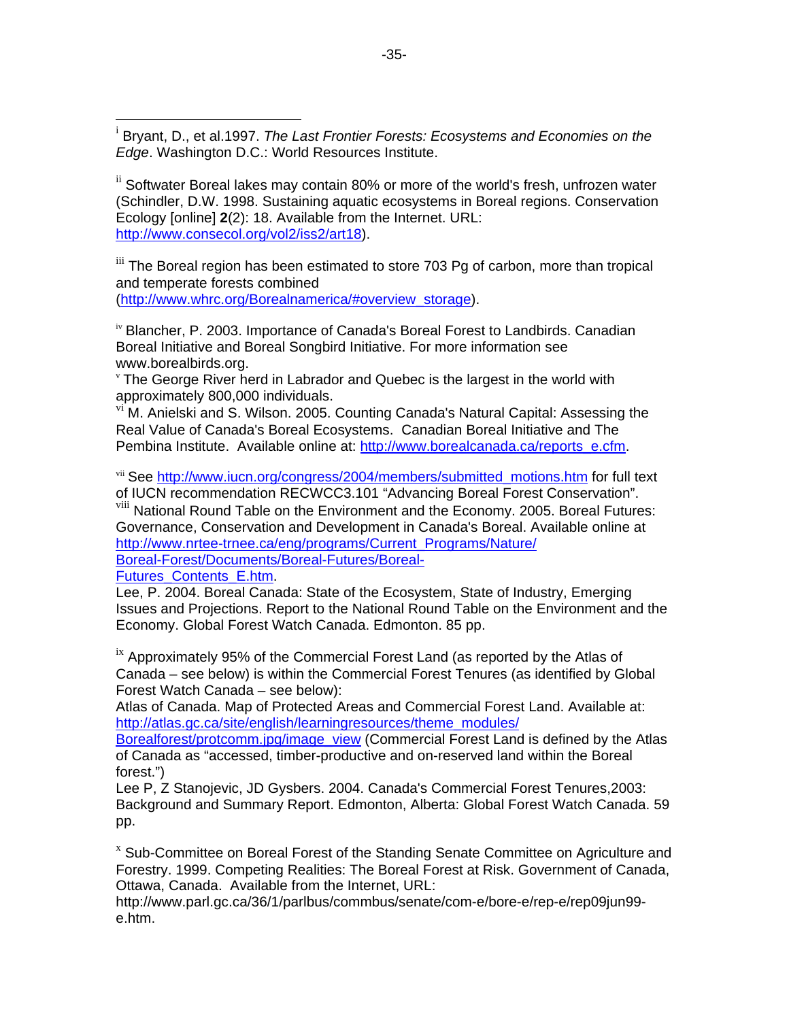<sup>i</sup> Bryant, D., et al.1997. *The Last Frontier Forests: Ecosystems and Economies on the Edge*. Washington D.C.: World Resources Institute.

ii Softwater Boreal lakes may contain 80% or more of the world's fresh, unfrozen water (Schindler, D.W. 1998. Sustaining aquatic ecosystems in Boreal regions. Conservation Ecology [online] **2**(2): 18. Available from the Internet. URL: http://www.consecol.org/vol2/iss2/art18).

iii The Boreal region has been estimated to store 703 Pg of carbon, more than tropical and temperate forests combined (http://www.whrc.org/Borealnamerica/#overview\_storage).

iv Blancher, P. 2003. Importance of Canada's Boreal Forest to Landbirds. Canadian Boreal Initiative and Boreal Songbird Initiative. For more information see www.borealbirds.org.

<sup>v</sup> The George River herd in Labrador and Quebec is the largest in the world with approximately 800,000 individuals.

vi M. Anielski and S. Wilson. 2005. Counting Canada's Natural Capital: Assessing the Real Value of Canada's Boreal Ecosystems. Canadian Boreal Initiative and The Pembina Institute. Available online at: http://www.borealcanada.ca/reports\_e.cfm.

vii See http://www.iucn.org/congress/2004/members/submitted motions.htm for full text of IUCN recommendation RECWCC3.101 "Advancing Boreal Forest Conservation".

<sup>viii</sup> National Round Table on the Environment and the Economy. 2005. Boreal Futures: Governance, Conservation and Development in Canada's Boreal. Available online at http://www.nrtee-trnee.ca/eng/programs/Current\_Programs/Nature/ Boreal-Forest/Documents/Boreal-Futures/Boreal-

Futures\_Contents\_E.htm.

 $\overline{a}$ 

Lee, P. 2004. Boreal Canada: State of the Ecosystem, State of Industry, Emerging Issues and Projections. Report to the National Round Table on the Environment and the Economy. Global Forest Watch Canada. Edmonton. 85 pp.

<sup>ix</sup> Approximately 95% of the Commercial Forest Land (as reported by the Atlas of Canada – see below) is within the Commercial Forest Tenures (as identified by Global Forest Watch Canada – see below):

Atlas of Canada. Map of Protected Areas and Commercial Forest Land. Available at: http://atlas.gc.ca/site/english/learningresources/theme\_modules/

Borealforest/protcomm.jpg/image\_view (Commercial Forest Land is defined by the Atlas of Canada as "accessed, timber-productive and on-reserved land within the Boreal forest.")

Lee P, Z Stanojevic, JD Gysbers. 2004. Canada's Commercial Forest Tenures,2003: Background and Summary Report. Edmonton, Alberta: Global Forest Watch Canada. 59 pp.

<sup>x</sup> Sub-Committee on Boreal Forest of the Standing Senate Committee on Agriculture and Forestry. 1999. Competing Realities: The Boreal Forest at Risk. Government of Canada, Ottawa, Canada. Available from the Internet, URL:

http://www.parl.gc.ca/36/1/parlbus/commbus/senate/com-e/bore-e/rep-e/rep09jun99 e.htm.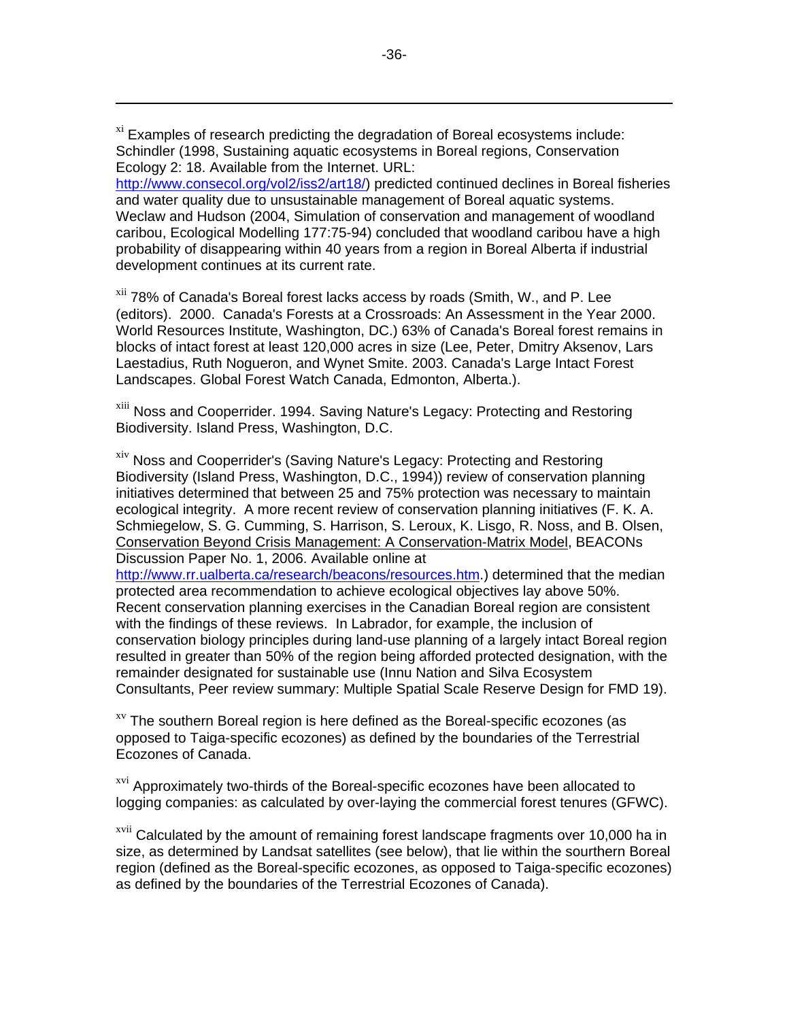<sup>xi</sup> Examples of research predicting the degradation of Boreal ecosystems include: Schindler (1998, Sustaining aquatic ecosystems in Boreal regions, Conservation Ecology 2: 18. Available from the Internet. URL:

 $\overline{a}$ 

http://www.consecol.org/vol2/iss2/art18/) predicted continued declines in Boreal fisheries and water quality due to unsustainable management of Boreal aquatic systems. Weclaw and Hudson (2004, Simulation of conservation and management of woodland caribou, Ecological Modelling 177:75-94) concluded that woodland caribou have a high probability of disappearing within 40 years from a region in Boreal Alberta if industrial development continues at its current rate.

<sup>xii</sup> 78% of Canada's Boreal forest lacks access by roads (Smith, W., and P. Lee (editors). 2000. Canada's Forests at a Crossroads: An Assessment in the Year 2000. World Resources Institute, Washington, DC.) 63% of Canada's Boreal forest remains in blocks of intact forest at least 120,000 acres in size (Lee, Peter, Dmitry Aksenov, Lars Laestadius, Ruth Nogueron, and Wynet Smite. 2003. Canada's Large Intact Forest Landscapes. Global Forest Watch Canada, Edmonton, Alberta.).

<sup>xiii</sup> Noss and Cooperrider. 1994. Saving Nature's Legacy: Protecting and Restoring Biodiversity. Island Press, Washington, D.C.

<sup>xiv</sup> Noss and Cooperrider's (Saving Nature's Legacy: Protecting and Restoring Biodiversity (Island Press, Washington, D.C., 1994)) review of conservation planning initiatives determined that between 25 and 75% protection was necessary to maintain ecological integrity. A more recent review of conservation planning initiatives (F. K. A. Schmiegelow, S. G. Cumming, S. Harrison, S. Leroux, K. Lisgo, R. Noss, and B. Olsen, Conservation Beyond Crisis Management: A Conservation-Matrix Model, BEACONs Discussion Paper No. 1, 2006. Available online at

http://www.rr.ualberta.ca/research/beacons/resources.htm.) determined that the median protected area recommendation to achieve ecological objectives lay above 50%. Recent conservation planning exercises in the Canadian Boreal region are consistent with the findings of these reviews. In Labrador, for example, the inclusion of conservation biology principles during land-use planning of a largely intact Boreal region resulted in greater than 50% of the region being afforded protected designation, with the remainder designated for sustainable use (Innu Nation and Silva Ecosystem Consultants, Peer review summary: Multiple Spatial Scale Reserve Design for FMD 19).

 $x<sub>v</sub>$  The southern Boreal region is here defined as the Boreal-specific ecozones (as opposed to Taiga-specific ecozones) as defined by the boundaries of the Terrestrial Ecozones of Canada.

<sup>xvi</sup> Approximately two-thirds of the Boreal-specific ecozones have been allocated to logging companies: as calculated by over-laying the commercial forest tenures (GFWC).

<sup>xvii</sup> Calculated by the amount of remaining forest landscape fragments over 10,000 ha in size, as determined by Landsat satellites (see below), that lie within the sourthern Boreal region (defined as the Boreal-specific ecozones, as opposed to Taiga-specific ecozones) as defined by the boundaries of the Terrestrial Ecozones of Canada).